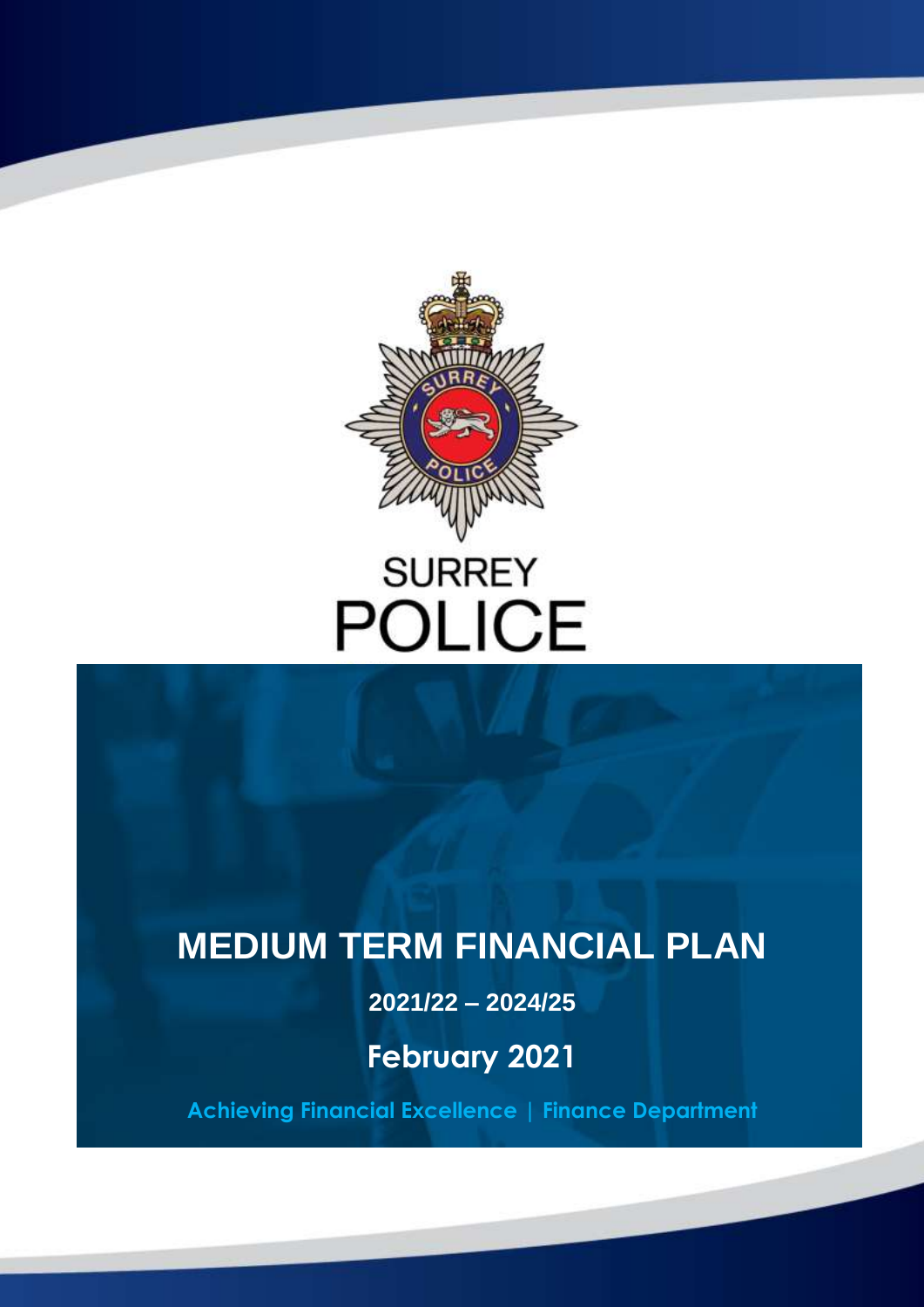

# **MEDIUM TERM FINANCIAL PLAN**

**2021/22 – 2024/25**

**February 2021**

**Achieving Financial Excellence | Finance Department**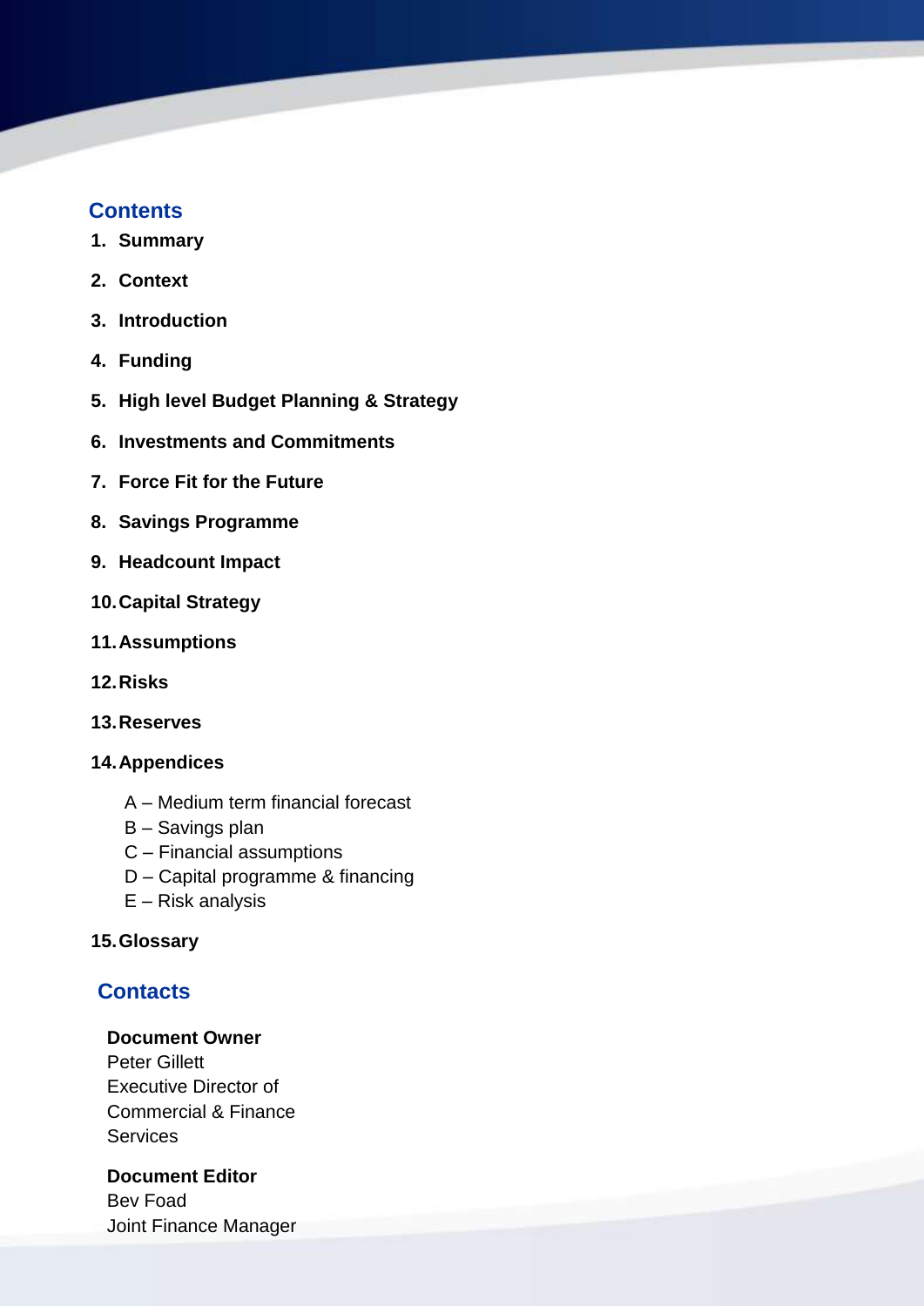# **Contents**

- **1. Summary**
- **2. Context**
- **3. Introduction**
- **4. Funding**
- **5. High level Budget Planning & Strategy**

OFFICIAL SENSITIVE

- **6. Investments and Commitments**
- **7. Force Fit for the Future**
- **8. Savings Programme**
- **9. Headcount Impact**
- **10.Capital Strategy**
- **11.Assumptions**
- **12.Risks**
- **13.Reserves**

### **14.Appendices**

- A Medium term financial forecast
- B Savings plan
- C Financial assumptions
- D Capital programme & financing
- E Risk analysis

### **15.Glossary**

# **Contacts**

#### **Document Owner**

Peter Gillett Executive Director of Commercial & Finance **Services** 

# **Document Editor**

Bev Foad Joint Finance Manager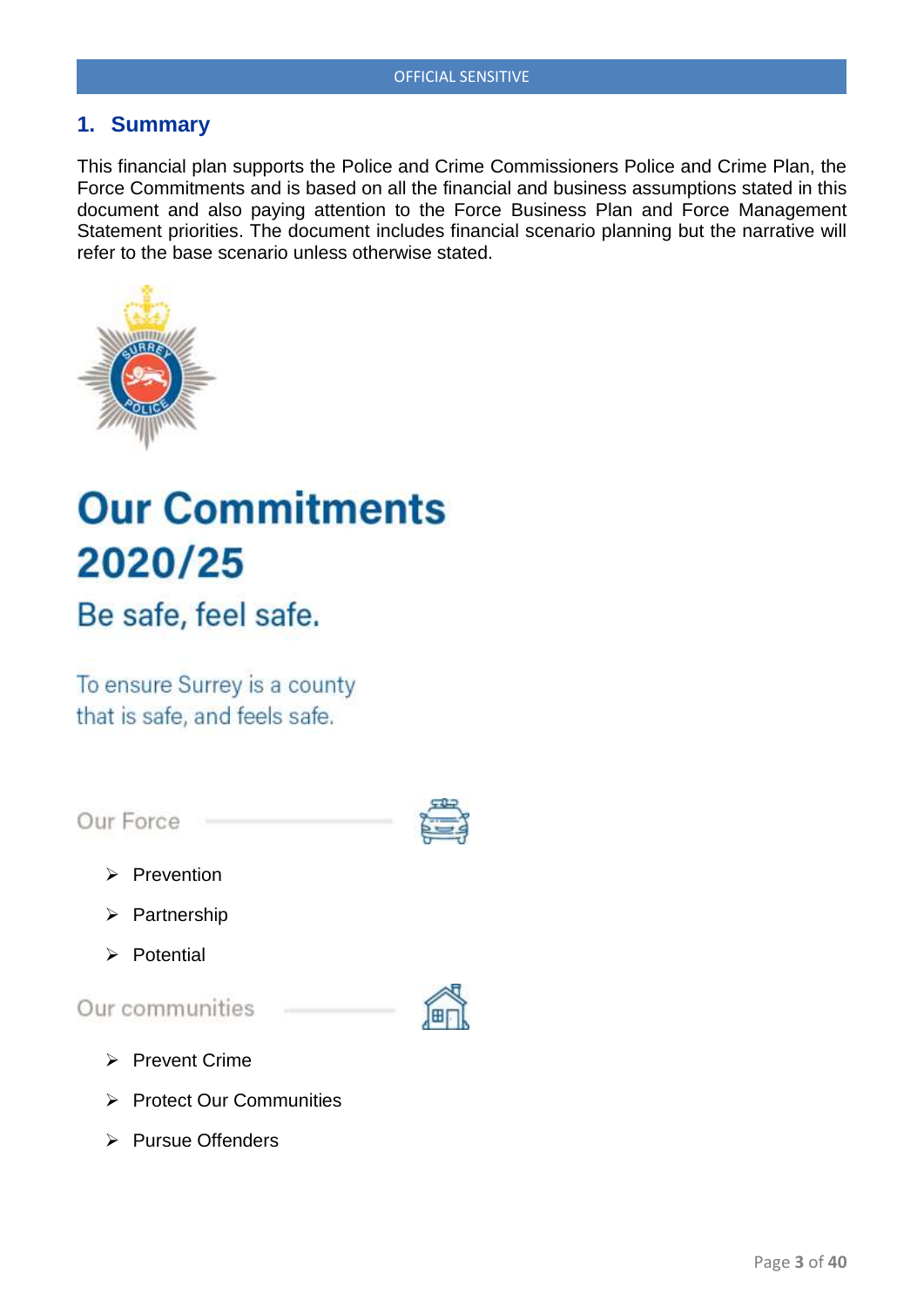# **1. Summary**

This financial plan supports the Police and Crime Commissioners Police and Crime Plan, the Force Commitments and is based on all the financial and business assumptions stated in this document and also paying attention to the Force Business Plan and Force Management Statement priorities. The document includes financial scenario planning but the narrative will refer to the base scenario unless otherwise stated.



# **Our Commitments** 2020/25

Be safe, feel safe.

To ensure Surrey is a county that is safe, and feels safe.

Our Force



- $\triangleright$  Prevention
- $\triangleright$  Partnership
- $\triangleright$  Potential

# Our communities



- $\triangleright$  Prevent Crime
- $\triangleright$  Protect Our Communities
- $\triangleright$  Pursue Offenders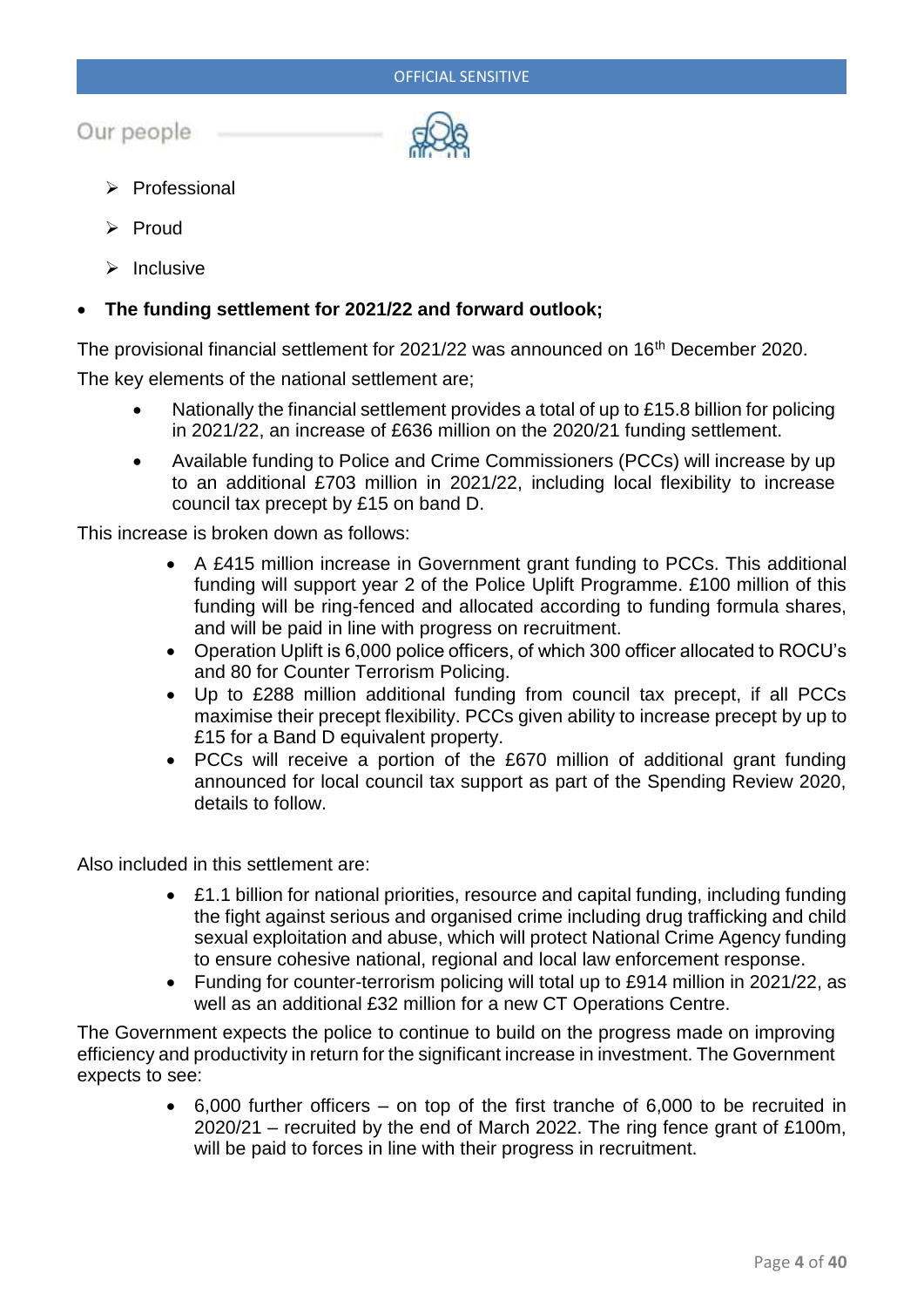Our people



- $\triangleright$  Professional
- $\triangleright$  Proud
- $\triangleright$  Inclusive

#### **The funding settlement for 2021/22 and forward outlook;**

The provisional financial settlement for 2021/22 was announced on 16th December 2020.

The key elements of the national settlement are;

- Nationally the financial settlement provides a total of up to £15.8 billion for policing in 2021/22, an increase of £636 million on the 2020/21 funding settlement.
- Available funding to Police and Crime Commissioners (PCCs) will increase by up to an additional £703 million in 2021/22, including local flexibility to increase council tax precept by £15 on band D.

This increase is broken down as follows:

- A £415 million increase in Government grant funding to PCCs. This additional funding will support year 2 of the Police Uplift Programme. £100 million of this funding will be ring-fenced and allocated according to funding formula shares, and will be paid in line with progress on recruitment.
- Operation Uplift is 6,000 police officers, of which 300 officer allocated to ROCU's and 80 for Counter Terrorism Policing.
- Up to £288 million additional funding from council tax precept, if all PCCs maximise their precept flexibility. PCCs given ability to increase precept by up to £15 for a Band D equivalent property.
- PCCs will receive a portion of the £670 million of additional grant funding announced for local council tax support as part of the Spending Review 2020, details to follow.

Also included in this settlement are:

- £1.1 billion for national priorities, resource and capital funding, including funding the fight against serious and organised crime including drug trafficking and child sexual exploitation and abuse, which will protect National Crime Agency funding to ensure cohesive national, regional and local law enforcement response.
- Funding for counter-terrorism policing will total up to £914 million in 2021/22, as well as an additional £32 million for a new CT Operations Centre.

The Government expects the police to continue to build on the progress made on improving efficiency and productivity in return for the significant increase in investment. The Government expects to see:

> $\bullet$  6,000 further officers – on top of the first tranche of 6,000 to be recruited in 2020/21 – recruited by the end of March 2022. The ring fence grant of £100m, will be paid to forces in line with their progress in recruitment.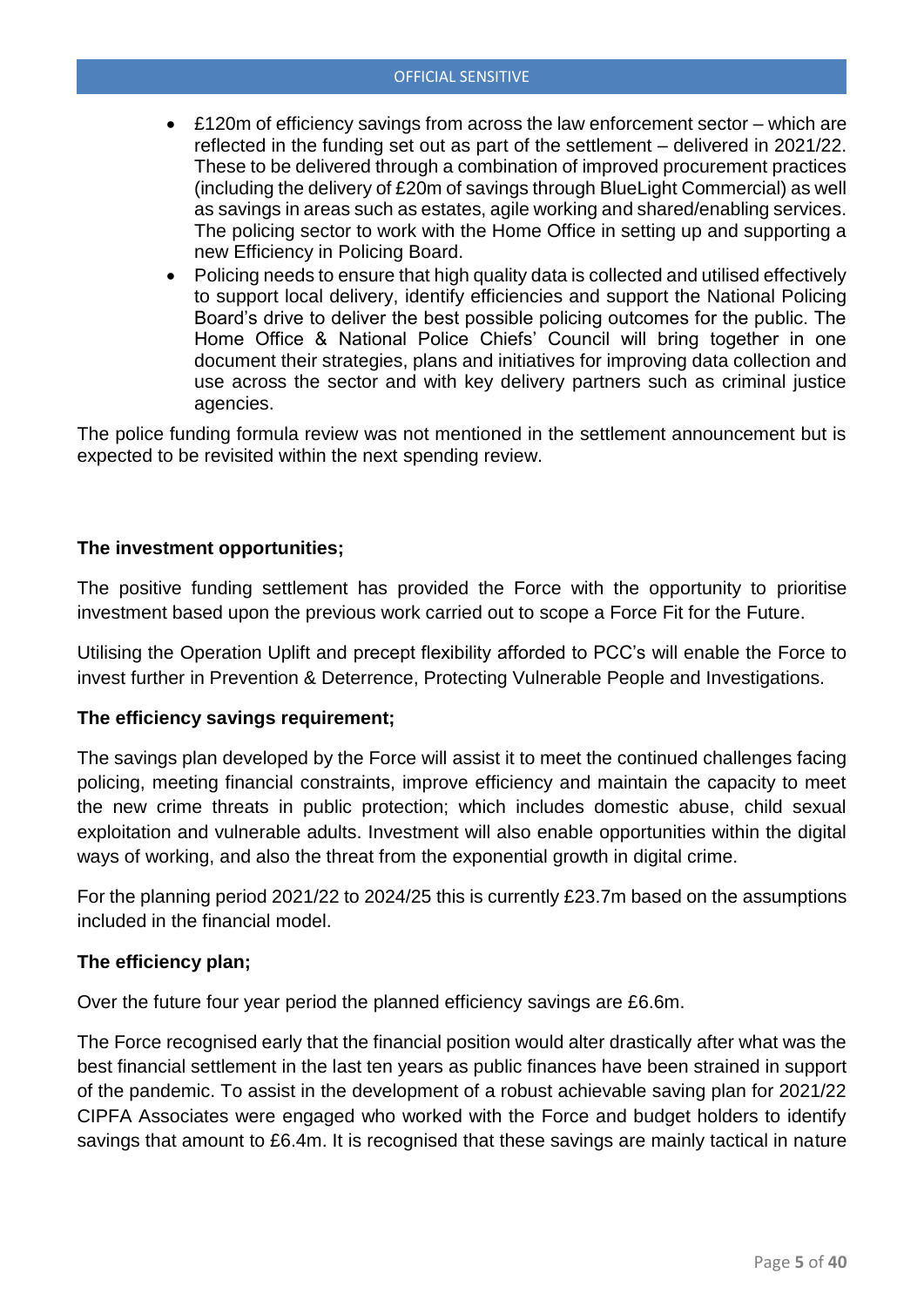- £120m of efficiency savings from across the law enforcement sector which are reflected in the funding set out as part of the settlement – delivered in 2021/22. These to be delivered through a combination of improved procurement practices (including the delivery of £20m of savings through BlueLight Commercial) as well as savings in areas such as estates, agile working and shared/enabling services. The policing sector to work with the Home Office in setting up and supporting a new Efficiency in Policing Board.
- Policing needs to ensure that high quality data is collected and utilised effectively to support local delivery, identify efficiencies and support the National Policing Board's drive to deliver the best possible policing outcomes for the public. The Home Office & National Police Chiefs' Council will bring together in one document their strategies, plans and initiatives for improving data collection and use across the sector and with key delivery partners such as criminal justice agencies.

The police funding formula review was not mentioned in the settlement announcement but is expected to be revisited within the next spending review.

#### **The investment opportunities;**

The positive funding settlement has provided the Force with the opportunity to prioritise investment based upon the previous work carried out to scope a Force Fit for the Future.

Utilising the Operation Uplift and precept flexibility afforded to PCC's will enable the Force to invest further in Prevention & Deterrence, Protecting Vulnerable People and Investigations.

#### **The efficiency savings requirement;**

The savings plan developed by the Force will assist it to meet the continued challenges facing policing, meeting financial constraints, improve efficiency and maintain the capacity to meet the new crime threats in public protection; which includes domestic abuse, child sexual exploitation and vulnerable adults. Investment will also enable opportunities within the digital ways of working, and also the threat from the exponential growth in digital crime.

For the planning period 2021/22 to 2024/25 this is currently £23.7m based on the assumptions included in the financial model.

#### **The efficiency plan;**

Over the future four year period the planned efficiency savings are £6.6m.

The Force recognised early that the financial position would alter drastically after what was the best financial settlement in the last ten years as public finances have been strained in support of the pandemic. To assist in the development of a robust achievable saving plan for 2021/22 CIPFA Associates were engaged who worked with the Force and budget holders to identify savings that amount to £6.4m. It is recognised that these savings are mainly tactical in nature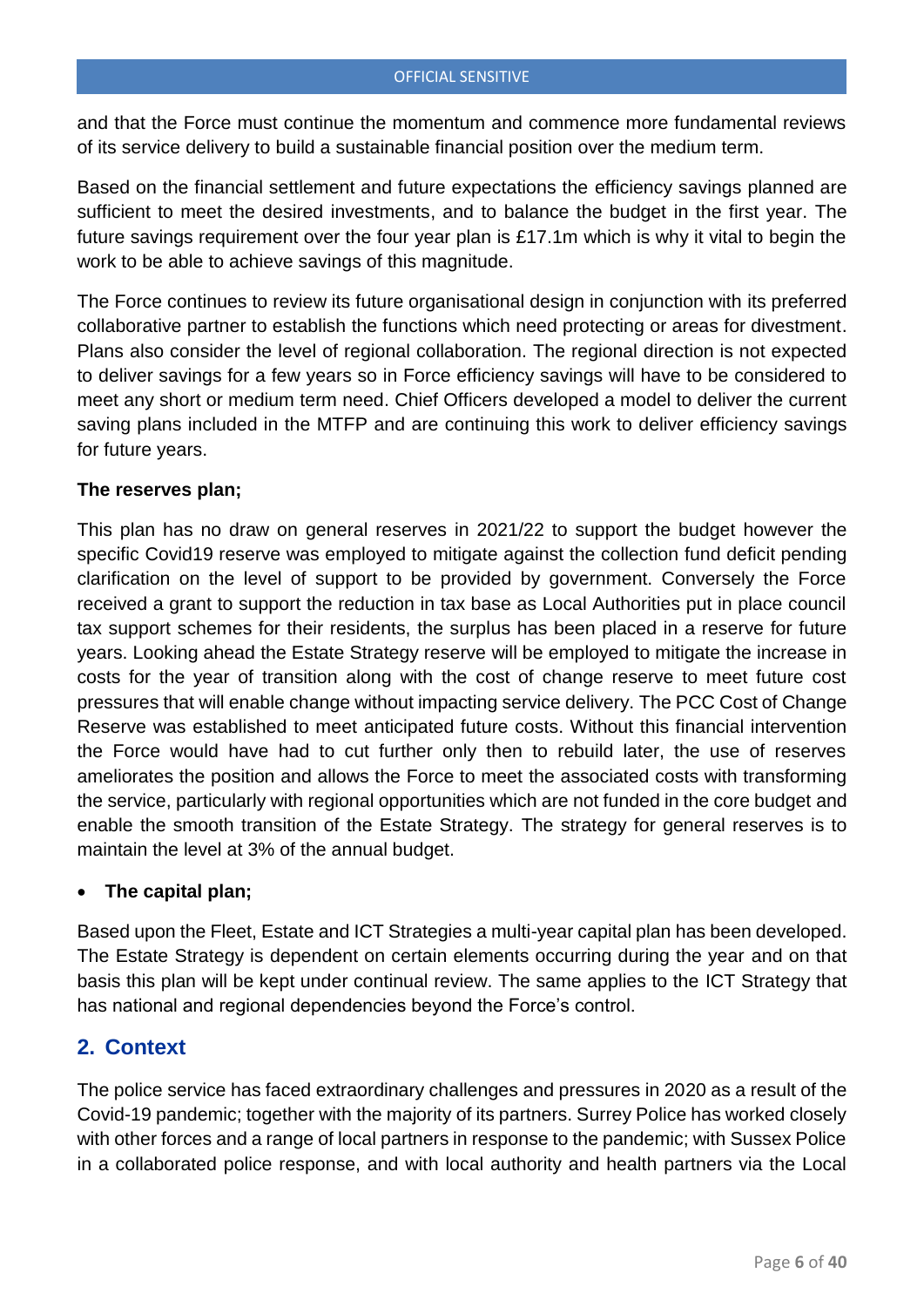and that the Force must continue the momentum and commence more fundamental reviews of its service delivery to build a sustainable financial position over the medium term.

Based on the financial settlement and future expectations the efficiency savings planned are sufficient to meet the desired investments, and to balance the budget in the first year. The future savings requirement over the four year plan is £17.1m which is why it vital to begin the work to be able to achieve savings of this magnitude.

The Force continues to review its future organisational design in conjunction with its preferred collaborative partner to establish the functions which need protecting or areas for divestment. Plans also consider the level of regional collaboration. The regional direction is not expected to deliver savings for a few years so in Force efficiency savings will have to be considered to meet any short or medium term need. Chief Officers developed a model to deliver the current saving plans included in the MTFP and are continuing this work to deliver efficiency savings for future years.

#### **The reserves plan;**

This plan has no draw on general reserves in 2021/22 to support the budget however the specific Covid19 reserve was employed to mitigate against the collection fund deficit pending clarification on the level of support to be provided by government. Conversely the Force received a grant to support the reduction in tax base as Local Authorities put in place council tax support schemes for their residents, the surplus has been placed in a reserve for future years. Looking ahead the Estate Strategy reserve will be employed to mitigate the increase in costs for the year of transition along with the cost of change reserve to meet future cost pressures that will enable change without impacting service delivery. The PCC Cost of Change Reserve was established to meet anticipated future costs. Without this financial intervention the Force would have had to cut further only then to rebuild later, the use of reserves ameliorates the position and allows the Force to meet the associated costs with transforming the service, particularly with regional opportunities which are not funded in the core budget and enable the smooth transition of the Estate Strategy. The strategy for general reserves is to maintain the level at 3% of the annual budget.

#### **The capital plan;**

Based upon the Fleet, Estate and ICT Strategies a multi-year capital plan has been developed. The Estate Strategy is dependent on certain elements occurring during the year and on that basis this plan will be kept under continual review. The same applies to the ICT Strategy that has national and regional dependencies beyond the Force's control.

### **2. Context**

The police service has faced extraordinary challenges and pressures in 2020 as a result of the Covid-19 pandemic; together with the majority of its partners. Surrey Police has worked closely with other forces and a range of local partners in response to the pandemic; with Sussex Police in a collaborated police response, and with local authority and health partners via the Local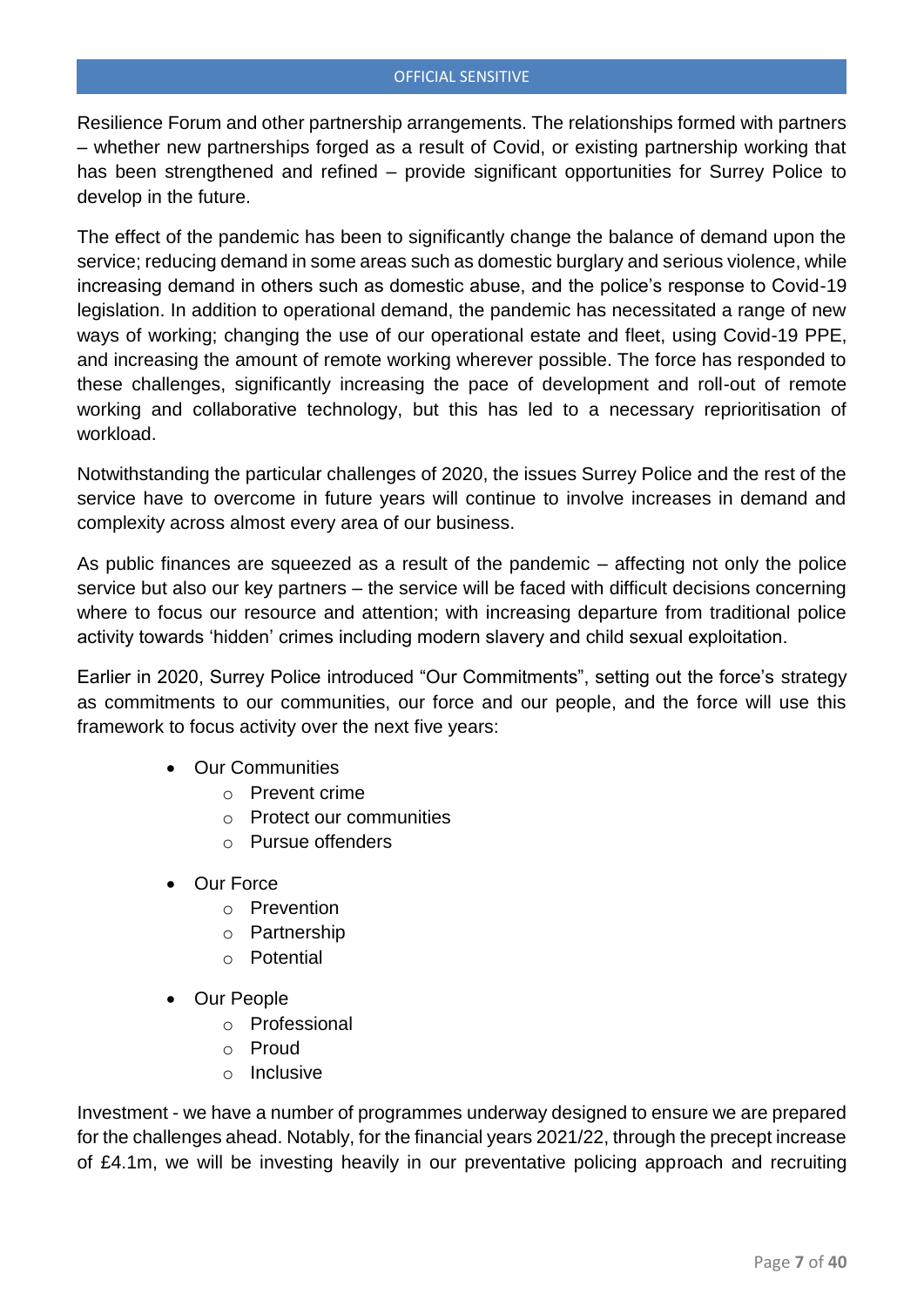Resilience Forum and other partnership arrangements. The relationships formed with partners – whether new partnerships forged as a result of Covid, or existing partnership working that has been strengthened and refined – provide significant opportunities for Surrey Police to develop in the future.

The effect of the pandemic has been to significantly change the balance of demand upon the service; reducing demand in some areas such as domestic burglary and serious violence, while increasing demand in others such as domestic abuse, and the police's response to Covid-19 legislation. In addition to operational demand, the pandemic has necessitated a range of new ways of working; changing the use of our operational estate and fleet, using Covid-19 PPE, and increasing the amount of remote working wherever possible. The force has responded to these challenges, significantly increasing the pace of development and roll-out of remote working and collaborative technology, but this has led to a necessary reprioritisation of workload.

Notwithstanding the particular challenges of 2020, the issues Surrey Police and the rest of the service have to overcome in future years will continue to involve increases in demand and complexity across almost every area of our business.

As public finances are squeezed as a result of the pandemic – affecting not only the police service but also our key partners – the service will be faced with difficult decisions concerning where to focus our resource and attention; with increasing departure from traditional police activity towards 'hidden' crimes including modern slavery and child sexual exploitation.

Earlier in 2020, Surrey Police introduced "Our Commitments", setting out the force's strategy as commitments to our communities, our force and our people, and the force will use this framework to focus activity over the next five years:

- Our Communities
	- o Prevent crime
	- o Protect our communities
	- o Pursue offenders
- Our Force
	- o Prevention
	- o Partnership
	- o Potential
- Our People
	- o Professional
	- o Proud
	- o Inclusive

Investment - we have a number of programmes underway designed to ensure we are prepared for the challenges ahead. Notably, for the financial years 2021/22, through the precept increase of £4.1m, we will be investing heavily in our preventative policing approach and recruiting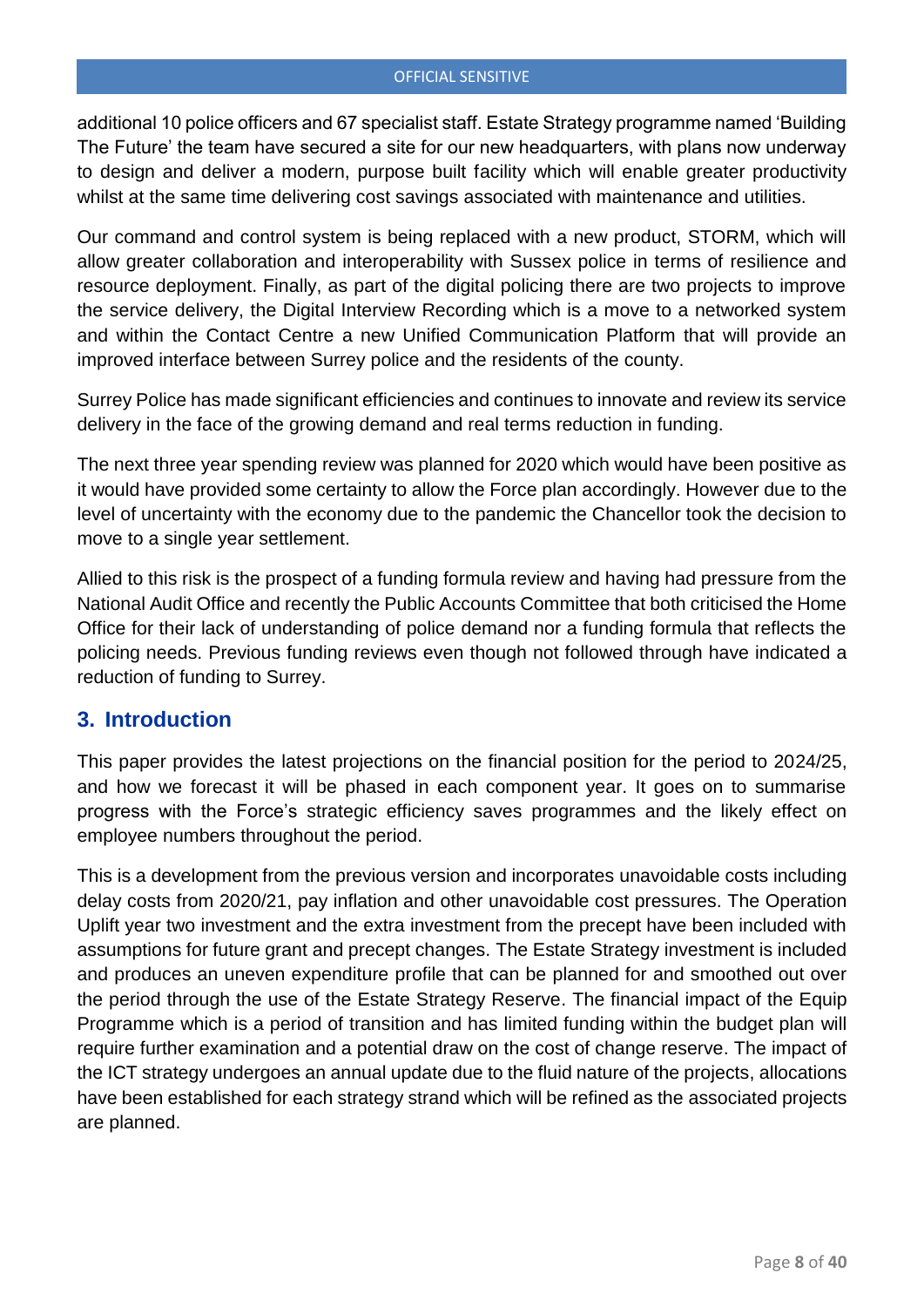additional 10 police officers and 67 specialist staff. Estate Strategy programme named 'Building The Future' the team have secured a site for our new headquarters, with plans now underway to design and deliver a modern, purpose built facility which will enable greater productivity whilst at the same time delivering cost savings associated with maintenance and utilities.

Our command and control system is being replaced with a new product, STORM, which will allow greater collaboration and interoperability with Sussex police in terms of resilience and resource deployment. Finally, as part of the digital policing there are two projects to improve the service delivery, the Digital Interview Recording which is a move to a networked system and within the Contact Centre a new Unified Communication Platform that will provide an improved interface between Surrey police and the residents of the county.

Surrey Police has made significant efficiencies and continues to innovate and review its service delivery in the face of the growing demand and real terms reduction in funding.

The next three year spending review was planned for 2020 which would have been positive as it would have provided some certainty to allow the Force plan accordingly. However due to the level of uncertainty with the economy due to the pandemic the Chancellor took the decision to move to a single year settlement.

Allied to this risk is the prospect of a funding formula review and having had pressure from the National Audit Office and recently the Public Accounts Committee that both criticised the Home Office for their lack of understanding of police demand nor a funding formula that reflects the policing needs. Previous funding reviews even though not followed through have indicated a reduction of funding to Surrey.

### **3. Introduction**

This paper provides the latest projections on the financial position for the period to 2024/25, and how we forecast it will be phased in each component year. It goes on to summarise progress with the Force's strategic efficiency saves programmes and the likely effect on employee numbers throughout the period.

This is a development from the previous version and incorporates unavoidable costs including delay costs from 2020/21, pay inflation and other unavoidable cost pressures. The Operation Uplift year two investment and the extra investment from the precept have been included with assumptions for future grant and precept changes. The Estate Strategy investment is included and produces an uneven expenditure profile that can be planned for and smoothed out over the period through the use of the Estate Strategy Reserve. The financial impact of the Equip Programme which is a period of transition and has limited funding within the budget plan will require further examination and a potential draw on the cost of change reserve. The impact of the ICT strategy undergoes an annual update due to the fluid nature of the projects, allocations have been established for each strategy strand which will be refined as the associated projects are planned.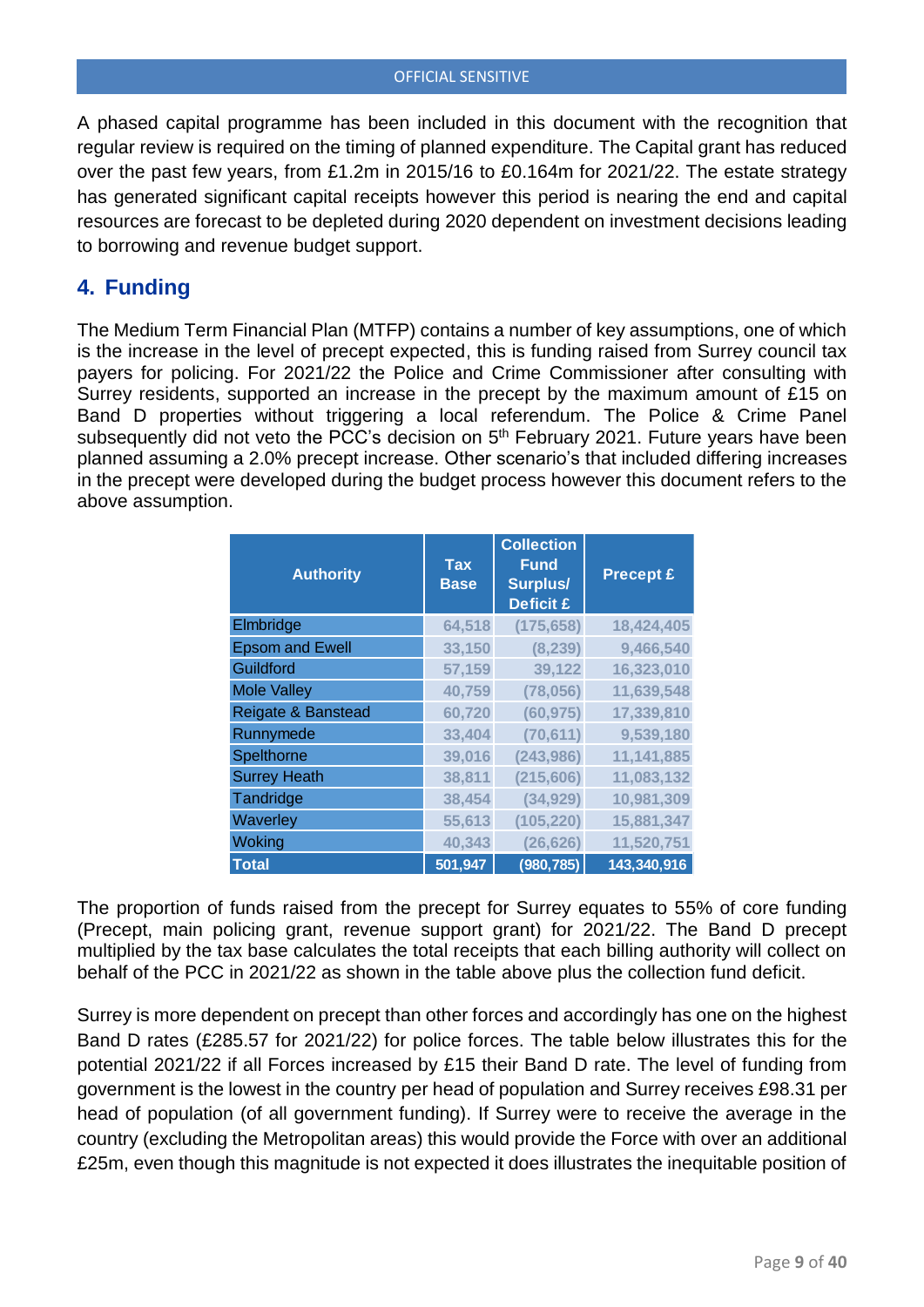A phased capital programme has been included in this document with the recognition that regular review is required on the timing of planned expenditure. The Capital grant has reduced over the past few years, from £1.2m in 2015/16 to £0.164m for 2021/22. The estate strategy has generated significant capital receipts however this period is nearing the end and capital resources are forecast to be depleted during 2020 dependent on investment decisions leading to borrowing and revenue budget support.

# **4. Funding**

The Medium Term Financial Plan (MTFP) contains a number of key assumptions, one of which is the increase in the level of precept expected, this is funding raised from Surrey council tax payers for policing. For 2021/22 the Police and Crime Commissioner after consulting with Surrey residents, supported an increase in the precept by the maximum amount of £15 on Band D properties without triggering a local referendum. The Police & Crime Panel subsequently did not veto the PCC's decision on 5<sup>th</sup> February 2021. Future years have been planned assuming a 2.0% precept increase. Other scenario's that included differing increases in the precept were developed during the budget process however this document refers to the above assumption.

| <b>Authority</b>       | <b>Tax</b><br><b>Base</b> | <b>Collection</b><br><b>Fund</b><br>Surplus/<br><b>Deficit £</b> | <b>Precept £</b> |
|------------------------|---------------------------|------------------------------------------------------------------|------------------|
| Elmbridge              | 64,518                    | (175, 658)                                                       | 18,424,405       |
| <b>Epsom and Ewell</b> | 33,150                    | (8, 239)                                                         | 9,466,540        |
| Guildford              | 57,159                    | 39,122                                                           | 16,323,010       |
| <b>Mole Valley</b>     | 40,759                    | (78, 056)                                                        | 11,639,548       |
| Reigate & Banstead     | 60,720                    | (60, 975)                                                        | 17,339,810       |
| Runnymede              | 33,404                    | (70, 611)                                                        | 9,539,180        |
| Spelthorne             | 39,016                    | (243,986)                                                        | 11,141,885       |
| <b>Surrey Heath</b>    | 38,811                    | (215, 606)                                                       | 11,083,132       |
| Tandridge              | 38,454                    | (34, 929)                                                        | 10,981,309       |
| Waverley               | 55,613                    | (105, 220)                                                       | 15,881,347       |
| Woking                 | 40,343                    | (26, 626)                                                        | 11,520,751       |
| <b>Total</b>           | 501,947                   | (980, 785)                                                       | 143,340,916      |

The proportion of funds raised from the precept for Surrey equates to 55% of core funding (Precept, main policing grant, revenue support grant) for 2021/22. The Band D precept multiplied by the tax base calculates the total receipts that each billing authority will collect on behalf of the PCC in 2021/22 as shown in the table above plus the collection fund deficit.

Surrey is more dependent on precept than other forces and accordingly has one on the highest Band D rates (£285.57 for 2021/22) for police forces. The table below illustrates this for the potential 2021/22 if all Forces increased by £15 their Band D rate. The level of funding from government is the lowest in the country per head of population and Surrey receives £98.31 per head of population (of all government funding). If Surrey were to receive the average in the country (excluding the Metropolitan areas) this would provide the Force with over an additional £25m, even though this magnitude is not expected it does illustrates the inequitable position of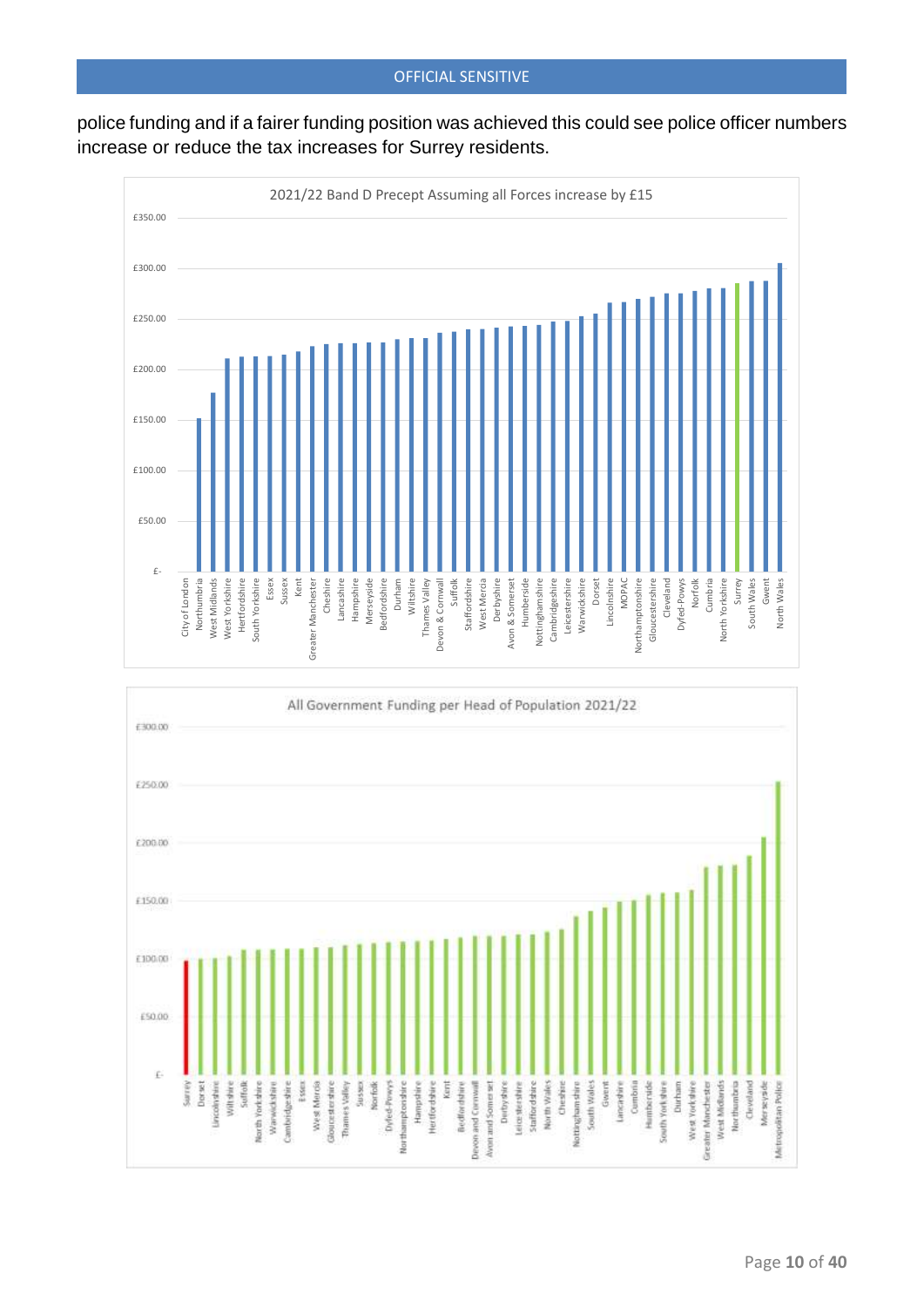

police funding and if a fairer funding position was achieved this could see police officer numbers increase or reduce the tax increases for Surrey residents.

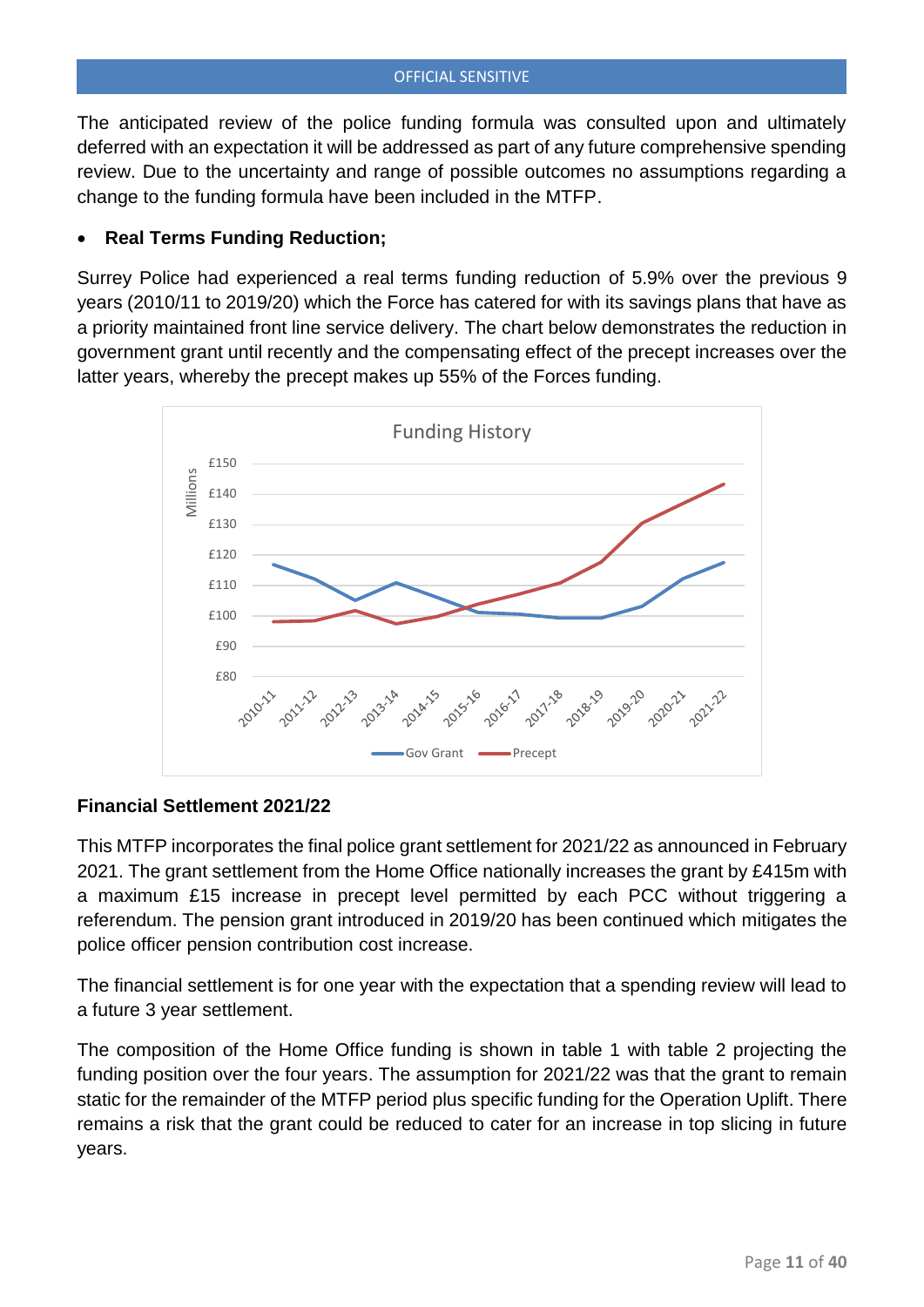The anticipated review of the police funding formula was consulted upon and ultimately deferred with an expectation it will be addressed as part of any future comprehensive spending review. Due to the uncertainty and range of possible outcomes no assumptions regarding a change to the funding formula have been included in the MTFP.

#### **Real Terms Funding Reduction;**

Surrey Police had experienced a real terms funding reduction of 5.9% over the previous 9 years (2010/11 to 2019/20) which the Force has catered for with its savings plans that have as a priority maintained front line service delivery. The chart below demonstrates the reduction in government grant until recently and the compensating effect of the precept increases over the latter years, whereby the precept makes up 55% of the Forces funding.



### **Financial Settlement 2021/22**

This MTFP incorporates the final police grant settlement for 2021/22 as announced in February 2021. The grant settlement from the Home Office nationally increases the grant by £415m with a maximum £15 increase in precept level permitted by each PCC without triggering a referendum. The pension grant introduced in 2019/20 has been continued which mitigates the police officer pension contribution cost increase.

The financial settlement is for one year with the expectation that a spending review will lead to a future 3 year settlement.

The composition of the Home Office funding is shown in table 1 with table 2 projecting the funding position over the four years. The assumption for 2021/22 was that the grant to remain static for the remainder of the MTFP period plus specific funding for the Operation Uplift. There remains a risk that the grant could be reduced to cater for an increase in top slicing in future years.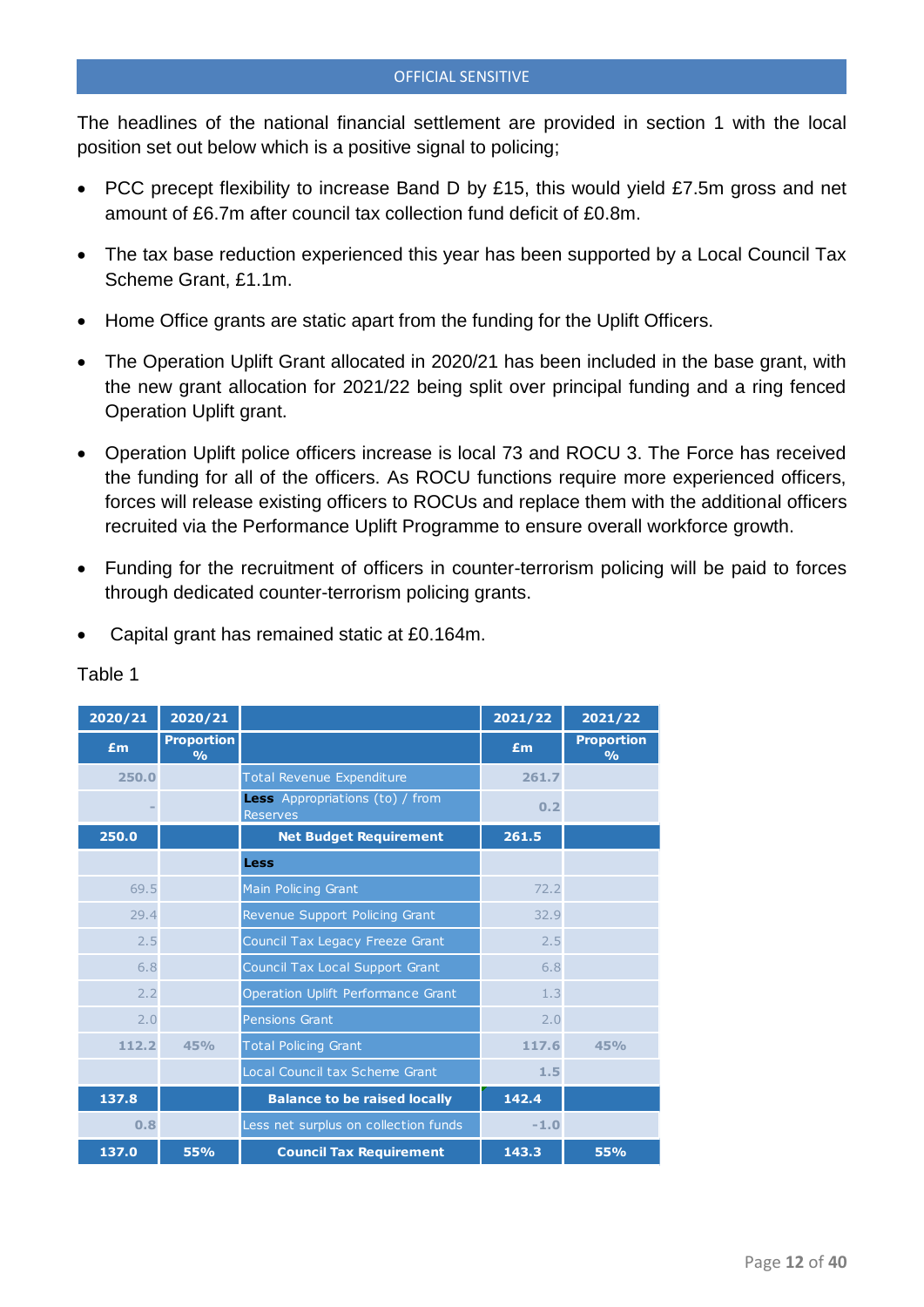The headlines of the national financial settlement are provided in section 1 with the local position set out below which is a positive signal to policing;

- PCC precept flexibility to increase Band D by £15, this would yield £7.5m gross and net amount of £6.7m after council tax collection fund deficit of £0.8m.
- The tax base reduction experienced this year has been supported by a Local Council Tax Scheme Grant, £1.1m.
- Home Office grants are static apart from the funding for the Uplift Officers.
- The Operation Uplift Grant allocated in 2020/21 has been included in the base grant, with the new grant allocation for 2021/22 being split over principal funding and a ring fenced Operation Uplift grant.
- Operation Uplift police officers increase is local 73 and ROCU 3. The Force has received the funding for all of the officers. As ROCU functions require more experienced officers, forces will release existing officers to ROCUs and replace them with the additional officers recruited via the Performance Uplift Programme to ensure overall workforce growth.
- Funding for the recruitment of officers in counter-terrorism policing will be paid to forces through dedicated counter-terrorism policing grants.
- Capital grant has remained static at £0.164m.

| 2020/21        | 2020/21                  |                                                           | 2021/22 | 2021/22                  |
|----------------|--------------------------|-----------------------------------------------------------|---------|--------------------------|
| £ <sub>m</sub> | <b>Proportion</b><br>O/2 |                                                           | £m      | <b>Proportion</b><br>O/2 |
| 250.0          |                          | <b>Total Revenue Expenditure</b>                          | 261.7   |                          |
|                |                          | <b>Less</b> Appropriations (to) / from<br><b>Reserves</b> | 0.2     |                          |
| 250.0          |                          | <b>Net Budget Requirement</b>                             | 261.5   |                          |
|                |                          | <b>Less</b>                                               |         |                          |
| 69.5           |                          | Main Policing Grant                                       | 72.2    |                          |
| 29.4           |                          | Revenue Support Policing Grant                            | 32.9    |                          |
| 2.5            |                          | Council Tax Legacy Freeze Grant                           | 2.5     |                          |
| 6.8            |                          | Council Tax Local Support Grant                           | 6.8     |                          |
| 2.2            |                          | Operation Uplift Performance Grant                        | 1.3     |                          |
| 2.0            |                          | <b>Pensions Grant</b>                                     | 2.0     |                          |
| 112.2          | 45%                      | <b>Total Policing Grant</b>                               | 117.6   | 45%                      |
|                |                          | Local Council tax Scheme Grant                            | 1.5     |                          |
| 137.8          |                          | <b>Balance to be raised locally</b>                       | 142.4   |                          |
| 0.8            |                          | Less net surplus on collection funds                      | $-1.0$  |                          |
| 137.0          | 55%                      | <b>Council Tax Requirement</b>                            | 143.3   | 55%                      |

### Table 1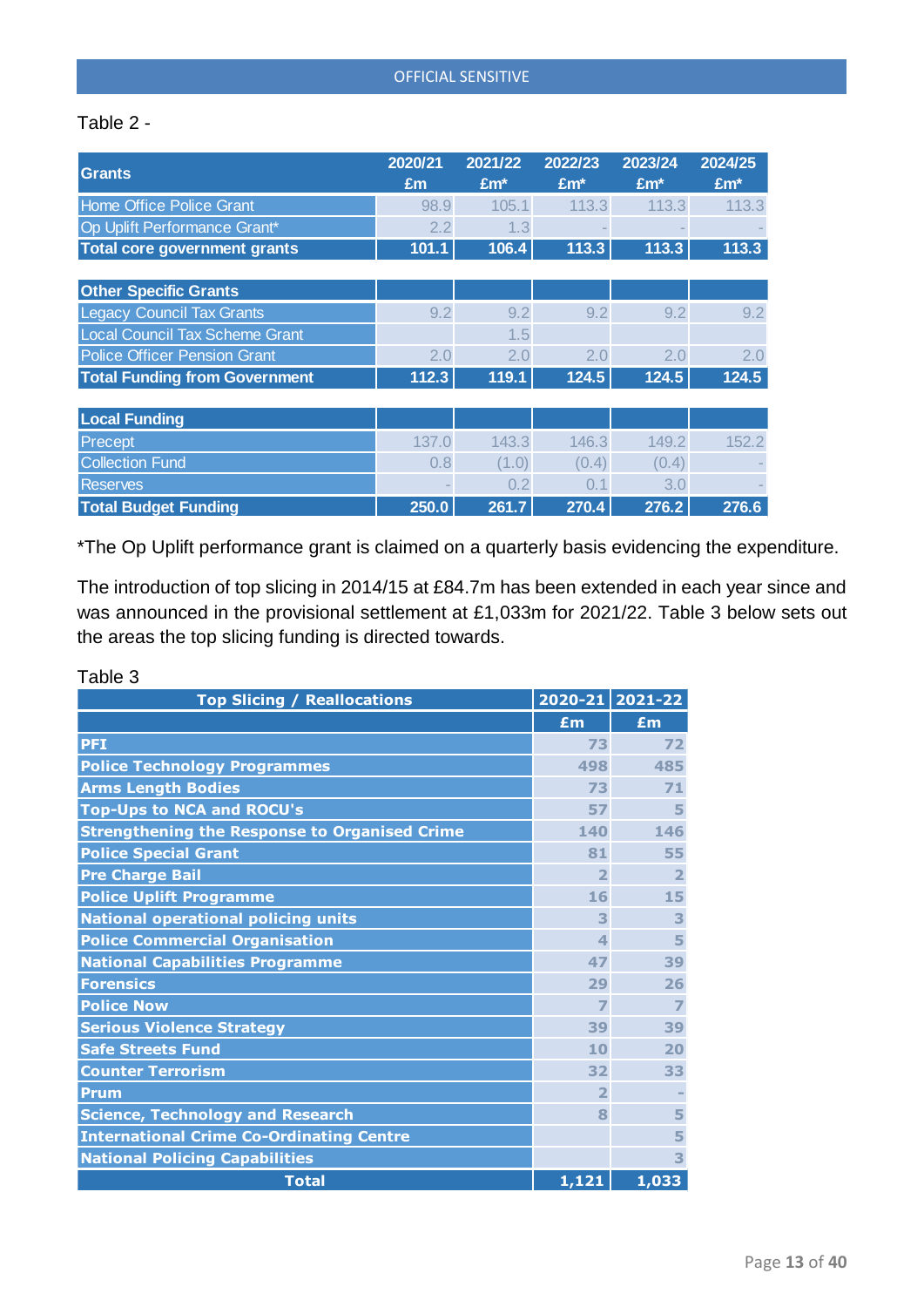#### Table 2 -

| <b>Grants</b>                         | 2020/21<br>£m | 2021/22<br>$Em*$ | 2022/23<br>$Em*$ | 2023/24<br>$Em*$ | 2024/25<br>$Em*$ |
|---------------------------------------|---------------|------------------|------------------|------------------|------------------|
| Home Office Police Grant              | 98.9          | 105.1            | 113.3            | 113.3            | 113.3            |
| Op Uplift Performance Grant*          | 2.2           | 1.3              |                  |                  |                  |
| <b>Total core government grants</b>   | 101.1         | 106.4            | 113.3            | 113.3            | 113.3            |
|                                       |               |                  |                  |                  |                  |
| <b>Other Specific Grants</b>          |               |                  |                  |                  |                  |
| <b>Legacy Council Tax Grants</b>      | 9.2           | 9.2              | 9.2              | 9.2              | 9.2              |
| <b>Local Council Tax Scheme Grant</b> |               | 1.5              |                  |                  |                  |
| <b>Police Officer Pension Grant</b>   | 2.0           | 2.0              | 2.0              | 2.0              | 2.0              |
| <b>Total Funding from Government</b>  | 112.3         | 119.1            | 124.5            | 124.5            | 124.5            |
|                                       |               |                  |                  |                  |                  |
| <b>Local Funding</b>                  |               |                  |                  |                  |                  |
| Precept                               | 137.0         | 143.3            | 146.3            | 149.2            | 152.2            |
| <b>Collection Fund</b>                | 0.8           | (1.0)            | (0.4)            | (0.4)            |                  |
| <b>Reserves</b>                       |               | 0.2              | 0.1              | 3.0              |                  |
| <b>Total Budget Funding</b>           | 250.0         | 261.7            | 270.4            | 276.2            | 276.6            |

\*The Op Uplift performance grant is claimed on a quarterly basis evidencing the expenditure.

The introduction of top slicing in 2014/15 at £84.7m has been extended in each year since and was announced in the provisional settlement at £1,033m for 2021/22. Table 3 below sets out the areas the top slicing funding is directed towards.

#### Table 3

| <b>Top Slicing / Reallocations</b>                   |                | 2020-21 2021-22 |
|------------------------------------------------------|----------------|-----------------|
|                                                      | Em             | £m              |
| <b>PFI</b>                                           | 73             | 72              |
| <b>Police Technology Programmes</b>                  | 498            | 485             |
| <b>Arms Length Bodies</b>                            | 73             | 71              |
| <b>Top-Ups to NCA and ROCU's</b>                     | 57             | 5               |
| <b>Strengthening the Response to Organised Crime</b> | 140            | 146             |
| <b>Police Special Grant</b>                          | 81             | 55              |
| <b>Pre Charge Bail</b>                               | $\overline{2}$ | $\overline{2}$  |
| <b>Police Uplift Programme</b>                       | 16             | 15              |
| <b>National operational policing units</b>           | 3              | 3               |
| <b>Police Commercial Organisation</b>                | 4              | 5               |
| <b>National Capabilities Programme</b>               | 47             | 39              |
| <b>Forensics</b>                                     | 29             | 26              |
| <b>Police Now</b>                                    | $\overline{z}$ | $\overline{ }$  |
| <b>Serious Violence Strategy</b>                     | 39             | 39              |
| <b>Safe Streets Fund</b>                             | 10             | 20              |
| <b>Counter Terrorism</b>                             | 32             | 33              |
| <b>Prum</b>                                          | $\overline{2}$ |                 |
| <b>Science, Technology and Research</b>              | 8              | 5               |
| <b>International Crime Co-Ordinating Centre</b>      |                | 5               |
| <b>National Policing Capabilities</b>                |                | 3               |
| <b>Total</b>                                         | 1,121          | 1,033           |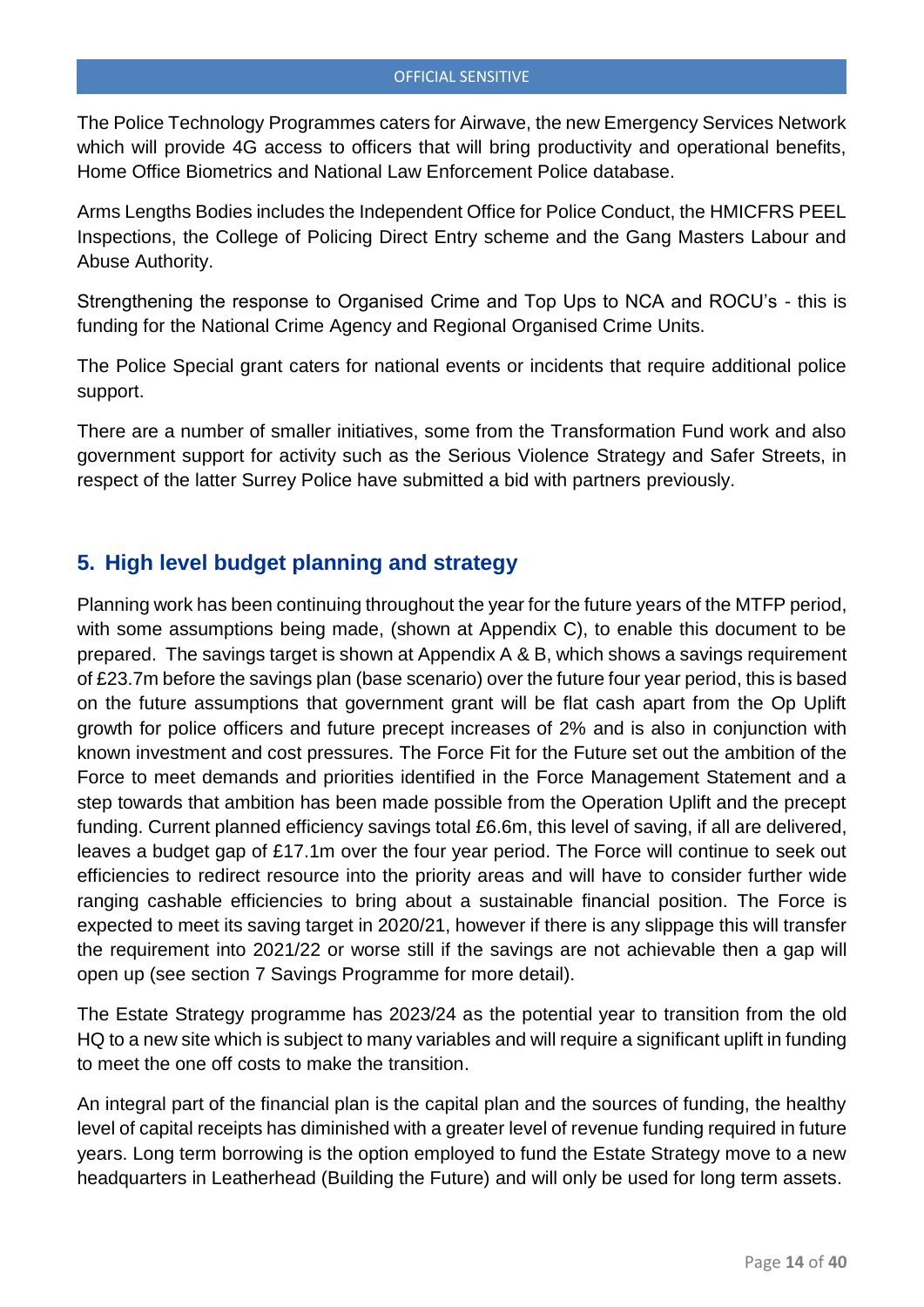The Police Technology Programmes caters for Airwave, the new Emergency Services Network which will provide 4G access to officers that will bring productivity and operational benefits, Home Office Biometrics and National Law Enforcement Police database.

Arms Lengths Bodies includes the Independent Office for Police Conduct, the HMICFRS PEEL Inspections, the College of Policing Direct Entry scheme and the Gang Masters Labour and Abuse Authority.

Strengthening the response to Organised Crime and Top Ups to NCA and ROCU's - this is funding for the National Crime Agency and Regional Organised Crime Units.

The Police Special grant caters for national events or incidents that require additional police support.

There are a number of smaller initiatives, some from the Transformation Fund work and also government support for activity such as the Serious Violence Strategy and Safer Streets, in respect of the latter Surrey Police have submitted a bid with partners previously.

# **5. High level budget planning and strategy**

Planning work has been continuing throughout the year for the future years of the MTFP period, with some assumptions being made, (shown at Appendix C), to enable this document to be prepared. The savings target is shown at Appendix A & B, which shows a savings requirement of £23.7m before the savings plan (base scenario) over the future four year period, this is based on the future assumptions that government grant will be flat cash apart from the Op Uplift growth for police officers and future precept increases of 2% and is also in conjunction with known investment and cost pressures. The Force Fit for the Future set out the ambition of the Force to meet demands and priorities identified in the Force Management Statement and a step towards that ambition has been made possible from the Operation Uplift and the precept funding. Current planned efficiency savings total £6.6m, this level of saving, if all are delivered, leaves a budget gap of £17.1m over the four year period. The Force will continue to seek out efficiencies to redirect resource into the priority areas and will have to consider further wide ranging cashable efficiencies to bring about a sustainable financial position. The Force is expected to meet its saving target in 2020/21, however if there is any slippage this will transfer the requirement into 2021/22 or worse still if the savings are not achievable then a gap will open up (see section 7 Savings Programme for more detail).

The Estate Strategy programme has 2023/24 as the potential year to transition from the old HQ to a new site which is subject to many variables and will require a significant uplift in funding to meet the one off costs to make the transition.

An integral part of the financial plan is the capital plan and the sources of funding, the healthy level of capital receipts has diminished with a greater level of revenue funding required in future years. Long term borrowing is the option employed to fund the Estate Strategy move to a new headquarters in Leatherhead (Building the Future) and will only be used for long term assets.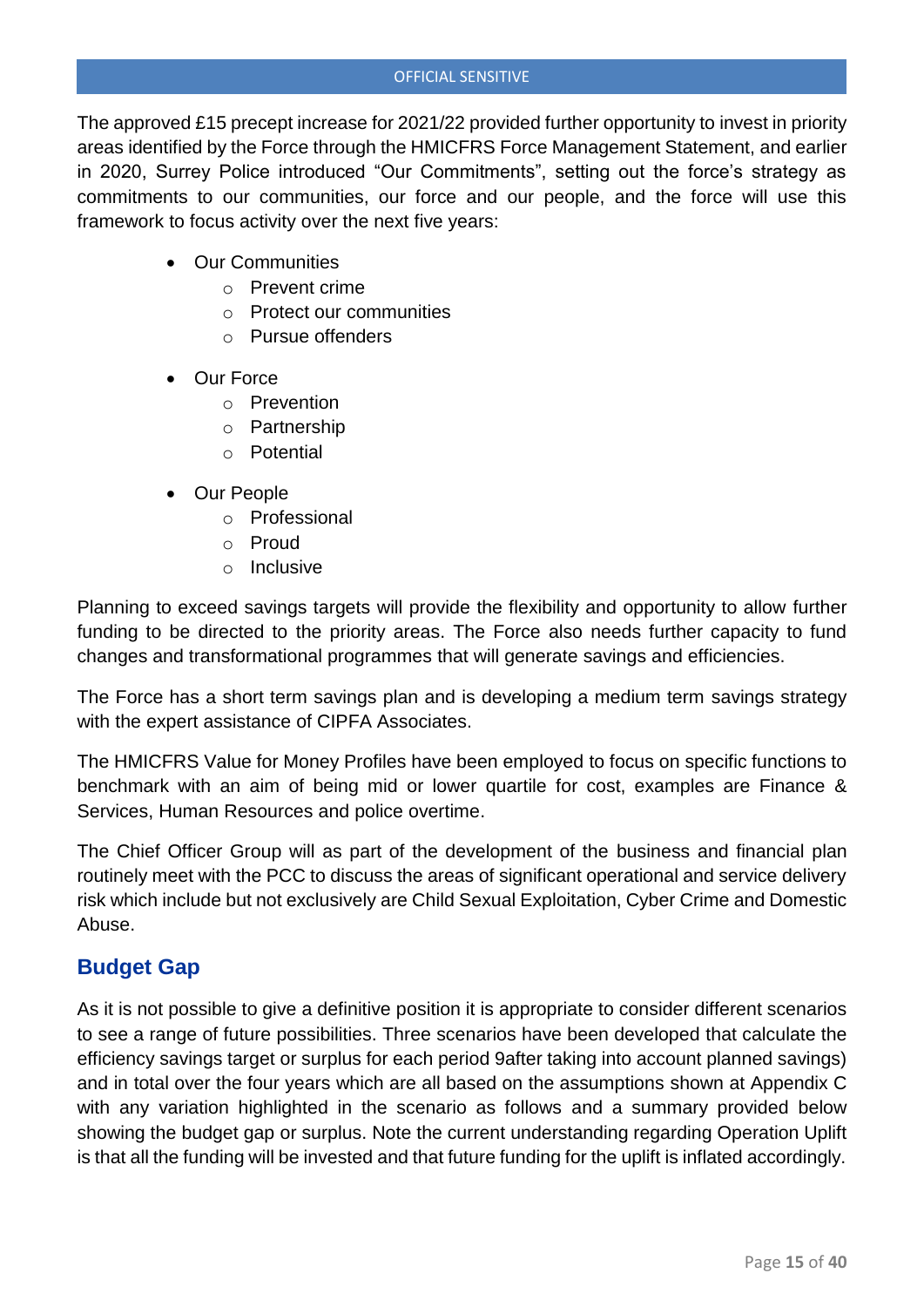The approved £15 precept increase for 2021/22 provided further opportunity to invest in priority areas identified by the Force through the HMICFRS Force Management Statement, and earlier in 2020, Surrey Police introduced "Our Commitments", setting out the force's strategy as commitments to our communities, our force and our people, and the force will use this framework to focus activity over the next five years:

- Our Communities
	- o Prevent crime
	- o Protect our communities
	- o Pursue offenders
- Our Force
	- o Prevention
	- o Partnership
	- o Potential
- Our People
	- o Professional
	- o Proud
	- o Inclusive

Planning to exceed savings targets will provide the flexibility and opportunity to allow further funding to be directed to the priority areas. The Force also needs further capacity to fund changes and transformational programmes that will generate savings and efficiencies.

The Force has a short term savings plan and is developing a medium term savings strategy with the expert assistance of CIPFA Associates.

The HMICFRS Value for Money Profiles have been employed to focus on specific functions to benchmark with an aim of being mid or lower quartile for cost, examples are Finance & Services, Human Resources and police overtime.

The Chief Officer Group will as part of the development of the business and financial plan routinely meet with the PCC to discuss the areas of significant operational and service delivery risk which include but not exclusively are Child Sexual Exploitation, Cyber Crime and Domestic Abuse.

# **Budget Gap**

As it is not possible to give a definitive position it is appropriate to consider different scenarios to see a range of future possibilities. Three scenarios have been developed that calculate the efficiency savings target or surplus for each period 9after taking into account planned savings) and in total over the four years which are all based on the assumptions shown at Appendix C with any variation highlighted in the scenario as follows and a summary provided below showing the budget gap or surplus. Note the current understanding regarding Operation Uplift is that all the funding will be invested and that future funding for the uplift is inflated accordingly.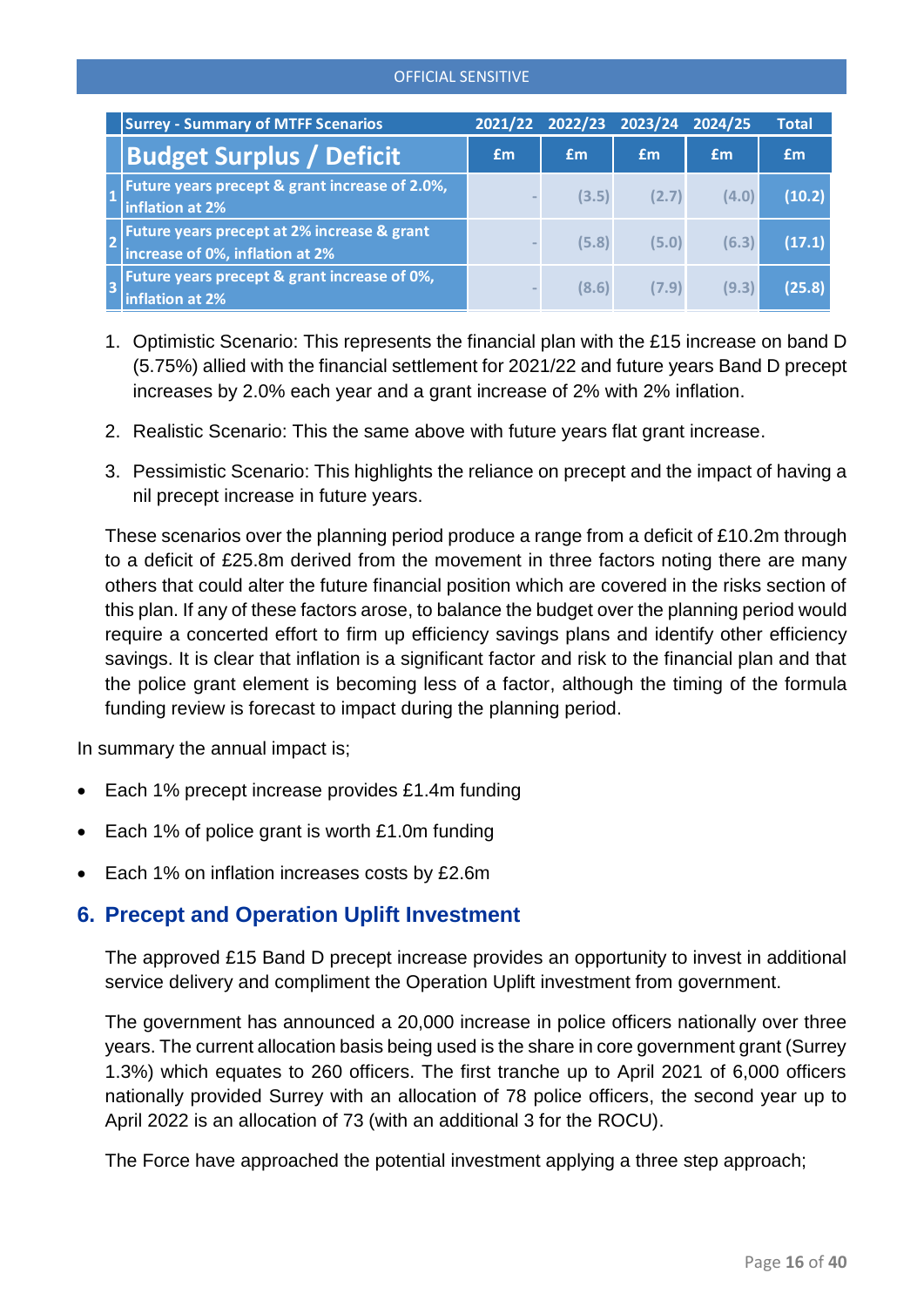|   | <b>Surrey - Summary of MTFF Scenarios</b>                                      |    | 2021/22 2022/23 2023/24 |       | 2024/25 | <b>Total</b> |
|---|--------------------------------------------------------------------------------|----|-------------------------|-------|---------|--------------|
|   | <b>Budget Surplus / Deficit</b>                                                | £m | £m                      | Em    | Em      | £m           |
|   | <b>Future years precept &amp; grant increase of 2.0%,</b><br>inflation at 2%   |    | (3.5)                   | (2.7) | (4.0)   | (10.2)       |
|   | Future years precept at 2% increase & grant<br>increase of 0%, inflation at 2% |    | (5.8)                   | (5.0) | (6.3)   | (17.1)       |
| Β | Future years precept & grant increase of 0%,<br>inflation at 2%                |    | (8.6)                   | (7.9) | (9.3)   | (25.8)       |

- 1. Optimistic Scenario: This represents the financial plan with the £15 increase on band D (5.75%) allied with the financial settlement for 2021/22 and future years Band D precept increases by 2.0% each year and a grant increase of 2% with 2% inflation.
- 2. Realistic Scenario: This the same above with future years flat grant increase.
- 3. Pessimistic Scenario: This highlights the reliance on precept and the impact of having a nil precept increase in future years.

These scenarios over the planning period produce a range from a deficit of £10.2m through to a deficit of £25.8m derived from the movement in three factors noting there are many others that could alter the future financial position which are covered in the risks section of this plan. If any of these factors arose, to balance the budget over the planning period would require a concerted effort to firm up efficiency savings plans and identify other efficiency savings. It is clear that inflation is a significant factor and risk to the financial plan and that the police grant element is becoming less of a factor, although the timing of the formula funding review is forecast to impact during the planning period.

In summary the annual impact is;

- Each 1% precept increase provides £1.4m funding
- Each 1% of police grant is worth £1.0m funding
- Each 1% on inflation increases costs by £2.6m

# **6. Precept and Operation Uplift Investment**

The approved £15 Band D precept increase provides an opportunity to invest in additional service delivery and compliment the Operation Uplift investment from government.

The government has announced a 20,000 increase in police officers nationally over three years. The current allocation basis being used is the share in core government grant (Surrey 1.3%) which equates to 260 officers. The first tranche up to April 2021 of 6,000 officers nationally provided Surrey with an allocation of 78 police officers, the second year up to April 2022 is an allocation of 73 (with an additional 3 for the ROCU).

The Force have approached the potential investment applying a three step approach;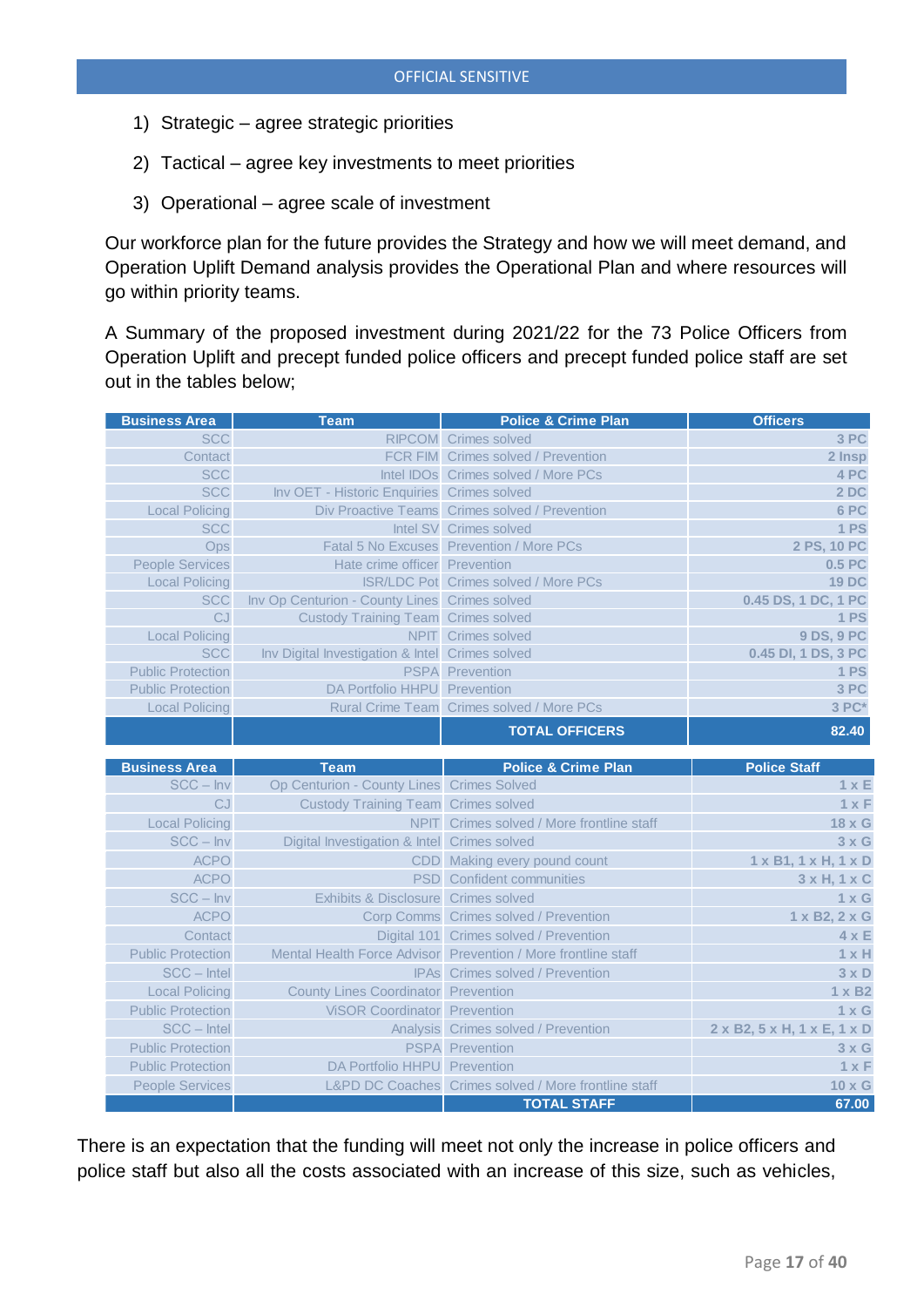- 1) Strategic agree strategic priorities
- 2) Tactical agree key investments to meet priorities
- 3) Operational agree scale of investment

Our workforce plan for the future provides the Strategy and how we will meet demand, and Operation Uplift Demand analysis provides the Operational Plan and where resources will go within priority teams.

A Summary of the proposed investment during 2021/22 for the 73 Police Officers from Operation Uplift and precept funded police officers and precept funded police staff are set out in the tables below;

| <b>SCC</b><br><b>RIPCOM</b> Crimes solved<br>FCR FIM Crimes solved / Prevention<br>Contact<br><b>SCC</b><br>Intel IDOs Crimes solved / More PCs<br><b>SCC</b><br>Inv OET - Historic Enquiries Crimes solved<br><b>Local Policing</b><br>Div Proactive Teams Crimes solved / Prevention<br><b>SCC</b><br>Intel SV Crimes solved<br>Fatal 5 No Excuses Prevention / More PCs<br>Ops<br><b>People Services</b><br>Hate crime officer Prevention<br><b>Local Policing</b><br>ISR/LDC Pot Crimes solved / More PCs<br><b>SCC</b><br>Inv Op Centurion - County Lines Crimes solved<br>CJ<br><b>Custody Training Team Crimes solved</b><br><b>9 DS, 9 PC</b><br><b>Local Policing</b><br>NPIT Crimes solved<br><b>SCC</b><br>Inv Digital Investigation & Intel Crimes solved<br><b>Public Protection</b><br><b>PSPA</b> Prevention<br><b>Public Protection</b><br>DA Portfolio HHPU Prevention<br>Rural Crime Team Crimes solved / More PCs<br><b>Local Policing</b><br><b>TOTAL OFFICERS</b><br><b>Business Area</b><br><b>Team</b><br><b>Police &amp; Crime Plan</b><br><b>Police Staff</b><br>$SCC - Inv$<br>Op Centurion - County Lines Crimes Solved<br>1 x F<br>CJ<br><b>Custody Training Team Crimes solved</b><br><b>Local Policing</b><br>NPIT Crimes solved / More frontline staff<br>$SCC - Inv$<br>Digital Investigation & Intel Crimes solved<br><b>ACPO</b><br>CDD Making every pound count<br><b>ACPO</b><br><b>PSD</b> Confident communities<br>$SCC - Inv$<br>Exhibits & Disclosure Crimes solved<br><b>ACPO</b><br>Corp Comms Crimes solved / Prevention<br>Contact<br>Digital 101 Crimes solved / Prevention<br>Mental Health Force Advisor Prevention / More frontline staff<br><b>Public Protection</b><br>SCC - Intel<br><b>IPAs</b> Crimes solved / Prevention<br><b>County Lines Coordinator Prevention</b><br><b>Local Policing</b><br><b>ViSOR Coordinator Prevention</b><br><b>Public Protection</b><br>SCC - Intel<br>Analysis Crimes solved / Prevention<br><b>Public Protection</b><br><b>PSPA</b> Prevention<br><b>Public Protection</b><br><b>DA Portfolio HHPU Prevention</b><br>L&PD DC Coaches Crimes solved / More frontline staff<br><b>People Services</b> | <b>Business Area</b> | <b>Team</b> | <b>Police &amp; Crime Plan</b> | <b>Officers</b>               |
|-------------------------------------------------------------------------------------------------------------------------------------------------------------------------------------------------------------------------------------------------------------------------------------------------------------------------------------------------------------------------------------------------------------------------------------------------------------------------------------------------------------------------------------------------------------------------------------------------------------------------------------------------------------------------------------------------------------------------------------------------------------------------------------------------------------------------------------------------------------------------------------------------------------------------------------------------------------------------------------------------------------------------------------------------------------------------------------------------------------------------------------------------------------------------------------------------------------------------------------------------------------------------------------------------------------------------------------------------------------------------------------------------------------------------------------------------------------------------------------------------------------------------------------------------------------------------------------------------------------------------------------------------------------------------------------------------------------------------------------------------------------------------------------------------------------------------------------------------------------------------------------------------------------------------------------------------------------------------------------------------------------------------------------------------------------------------------------------------------------------------------------------------------------------------------------------|----------------------|-------------|--------------------------------|-------------------------------|
|                                                                                                                                                                                                                                                                                                                                                                                                                                                                                                                                                                                                                                                                                                                                                                                                                                                                                                                                                                                                                                                                                                                                                                                                                                                                                                                                                                                                                                                                                                                                                                                                                                                                                                                                                                                                                                                                                                                                                                                                                                                                                                                                                                                           |                      |             |                                | 3 PC                          |
|                                                                                                                                                                                                                                                                                                                                                                                                                                                                                                                                                                                                                                                                                                                                                                                                                                                                                                                                                                                                                                                                                                                                                                                                                                                                                                                                                                                                                                                                                                                                                                                                                                                                                                                                                                                                                                                                                                                                                                                                                                                                                                                                                                                           |                      |             |                                | 2 Insp                        |
|                                                                                                                                                                                                                                                                                                                                                                                                                                                                                                                                                                                                                                                                                                                                                                                                                                                                                                                                                                                                                                                                                                                                                                                                                                                                                                                                                                                                                                                                                                                                                                                                                                                                                                                                                                                                                                                                                                                                                                                                                                                                                                                                                                                           |                      |             |                                | 4 PC                          |
|                                                                                                                                                                                                                                                                                                                                                                                                                                                                                                                                                                                                                                                                                                                                                                                                                                                                                                                                                                                                                                                                                                                                                                                                                                                                                                                                                                                                                                                                                                                                                                                                                                                                                                                                                                                                                                                                                                                                                                                                                                                                                                                                                                                           |                      |             |                                | 2DC                           |
|                                                                                                                                                                                                                                                                                                                                                                                                                                                                                                                                                                                                                                                                                                                                                                                                                                                                                                                                                                                                                                                                                                                                                                                                                                                                                                                                                                                                                                                                                                                                                                                                                                                                                                                                                                                                                                                                                                                                                                                                                                                                                                                                                                                           |                      |             |                                | 6 PC                          |
|                                                                                                                                                                                                                                                                                                                                                                                                                                                                                                                                                                                                                                                                                                                                                                                                                                                                                                                                                                                                                                                                                                                                                                                                                                                                                                                                                                                                                                                                                                                                                                                                                                                                                                                                                                                                                                                                                                                                                                                                                                                                                                                                                                                           |                      |             |                                | <b>1 PS</b>                   |
|                                                                                                                                                                                                                                                                                                                                                                                                                                                                                                                                                                                                                                                                                                                                                                                                                                                                                                                                                                                                                                                                                                                                                                                                                                                                                                                                                                                                                                                                                                                                                                                                                                                                                                                                                                                                                                                                                                                                                                                                                                                                                                                                                                                           |                      |             |                                | 2 PS, 10 PC                   |
|                                                                                                                                                                                                                                                                                                                                                                                                                                                                                                                                                                                                                                                                                                                                                                                                                                                                                                                                                                                                                                                                                                                                                                                                                                                                                                                                                                                                                                                                                                                                                                                                                                                                                                                                                                                                                                                                                                                                                                                                                                                                                                                                                                                           |                      |             |                                | 0.5 PC                        |
|                                                                                                                                                                                                                                                                                                                                                                                                                                                                                                                                                                                                                                                                                                                                                                                                                                                                                                                                                                                                                                                                                                                                                                                                                                                                                                                                                                                                                                                                                                                                                                                                                                                                                                                                                                                                                                                                                                                                                                                                                                                                                                                                                                                           |                      |             |                                | <b>19 DC</b>                  |
|                                                                                                                                                                                                                                                                                                                                                                                                                                                                                                                                                                                                                                                                                                                                                                                                                                                                                                                                                                                                                                                                                                                                                                                                                                                                                                                                                                                                                                                                                                                                                                                                                                                                                                                                                                                                                                                                                                                                                                                                                                                                                                                                                                                           |                      |             |                                | 0.45 DS, 1 DC, 1 PC           |
|                                                                                                                                                                                                                                                                                                                                                                                                                                                                                                                                                                                                                                                                                                                                                                                                                                                                                                                                                                                                                                                                                                                                                                                                                                                                                                                                                                                                                                                                                                                                                                                                                                                                                                                                                                                                                                                                                                                                                                                                                                                                                                                                                                                           |                      |             |                                | 1PS                           |
|                                                                                                                                                                                                                                                                                                                                                                                                                                                                                                                                                                                                                                                                                                                                                                                                                                                                                                                                                                                                                                                                                                                                                                                                                                                                                                                                                                                                                                                                                                                                                                                                                                                                                                                                                                                                                                                                                                                                                                                                                                                                                                                                                                                           |                      |             |                                |                               |
|                                                                                                                                                                                                                                                                                                                                                                                                                                                                                                                                                                                                                                                                                                                                                                                                                                                                                                                                                                                                                                                                                                                                                                                                                                                                                                                                                                                                                                                                                                                                                                                                                                                                                                                                                                                                                                                                                                                                                                                                                                                                                                                                                                                           |                      |             |                                | 0.45 DI, 1 DS, 3 PC           |
|                                                                                                                                                                                                                                                                                                                                                                                                                                                                                                                                                                                                                                                                                                                                                                                                                                                                                                                                                                                                                                                                                                                                                                                                                                                                                                                                                                                                                                                                                                                                                                                                                                                                                                                                                                                                                                                                                                                                                                                                                                                                                                                                                                                           |                      |             |                                | 1 PS                          |
|                                                                                                                                                                                                                                                                                                                                                                                                                                                                                                                                                                                                                                                                                                                                                                                                                                                                                                                                                                                                                                                                                                                                                                                                                                                                                                                                                                                                                                                                                                                                                                                                                                                                                                                                                                                                                                                                                                                                                                                                                                                                                                                                                                                           |                      |             |                                | 3 PC                          |
|                                                                                                                                                                                                                                                                                                                                                                                                                                                                                                                                                                                                                                                                                                                                                                                                                                                                                                                                                                                                                                                                                                                                                                                                                                                                                                                                                                                                                                                                                                                                                                                                                                                                                                                                                                                                                                                                                                                                                                                                                                                                                                                                                                                           |                      |             |                                | $3 PC*$                       |
|                                                                                                                                                                                                                                                                                                                                                                                                                                                                                                                                                                                                                                                                                                                                                                                                                                                                                                                                                                                                                                                                                                                                                                                                                                                                                                                                                                                                                                                                                                                                                                                                                                                                                                                                                                                                                                                                                                                                                                                                                                                                                                                                                                                           |                      |             |                                | 82.40                         |
|                                                                                                                                                                                                                                                                                                                                                                                                                                                                                                                                                                                                                                                                                                                                                                                                                                                                                                                                                                                                                                                                                                                                                                                                                                                                                                                                                                                                                                                                                                                                                                                                                                                                                                                                                                                                                                                                                                                                                                                                                                                                                                                                                                                           |                      |             |                                |                               |
|                                                                                                                                                                                                                                                                                                                                                                                                                                                                                                                                                                                                                                                                                                                                                                                                                                                                                                                                                                                                                                                                                                                                                                                                                                                                                                                                                                                                                                                                                                                                                                                                                                                                                                                                                                                                                                                                                                                                                                                                                                                                                                                                                                                           |                      |             |                                |                               |
|                                                                                                                                                                                                                                                                                                                                                                                                                                                                                                                                                                                                                                                                                                                                                                                                                                                                                                                                                                                                                                                                                                                                                                                                                                                                                                                                                                                                                                                                                                                                                                                                                                                                                                                                                                                                                                                                                                                                                                                                                                                                                                                                                                                           |                      |             |                                | $1 \times E$                  |
|                                                                                                                                                                                                                                                                                                                                                                                                                                                                                                                                                                                                                                                                                                                                                                                                                                                                                                                                                                                                                                                                                                                                                                                                                                                                                                                                                                                                                                                                                                                                                                                                                                                                                                                                                                                                                                                                                                                                                                                                                                                                                                                                                                                           |                      |             |                                |                               |
|                                                                                                                                                                                                                                                                                                                                                                                                                                                                                                                                                                                                                                                                                                                                                                                                                                                                                                                                                                                                                                                                                                                                                                                                                                                                                                                                                                                                                                                                                                                                                                                                                                                                                                                                                                                                                                                                                                                                                                                                                                                                                                                                                                                           |                      |             |                                |                               |
|                                                                                                                                                                                                                                                                                                                                                                                                                                                                                                                                                                                                                                                                                                                                                                                                                                                                                                                                                                                                                                                                                                                                                                                                                                                                                                                                                                                                                                                                                                                                                                                                                                                                                                                                                                                                                                                                                                                                                                                                                                                                                                                                                                                           |                      |             |                                | 18 x G                        |
|                                                                                                                                                                                                                                                                                                                                                                                                                                                                                                                                                                                                                                                                                                                                                                                                                                                                                                                                                                                                                                                                                                                                                                                                                                                                                                                                                                                                                                                                                                                                                                                                                                                                                                                                                                                                                                                                                                                                                                                                                                                                                                                                                                                           |                      |             |                                | $3 \times G$                  |
|                                                                                                                                                                                                                                                                                                                                                                                                                                                                                                                                                                                                                                                                                                                                                                                                                                                                                                                                                                                                                                                                                                                                                                                                                                                                                                                                                                                                                                                                                                                                                                                                                                                                                                                                                                                                                                                                                                                                                                                                                                                                                                                                                                                           |                      |             |                                | 1 x B1, 1 x H, 1 x D          |
|                                                                                                                                                                                                                                                                                                                                                                                                                                                                                                                                                                                                                                                                                                                                                                                                                                                                                                                                                                                                                                                                                                                                                                                                                                                                                                                                                                                                                                                                                                                                                                                                                                                                                                                                                                                                                                                                                                                                                                                                                                                                                                                                                                                           |                      |             |                                | 3xH, 1xC                      |
|                                                                                                                                                                                                                                                                                                                                                                                                                                                                                                                                                                                                                                                                                                                                                                                                                                                                                                                                                                                                                                                                                                                                                                                                                                                                                                                                                                                                                                                                                                                                                                                                                                                                                                                                                                                                                                                                                                                                                                                                                                                                                                                                                                                           |                      |             |                                | $1 \times G$                  |
|                                                                                                                                                                                                                                                                                                                                                                                                                                                                                                                                                                                                                                                                                                                                                                                                                                                                                                                                                                                                                                                                                                                                                                                                                                                                                                                                                                                                                                                                                                                                                                                                                                                                                                                                                                                                                                                                                                                                                                                                                                                                                                                                                                                           |                      |             |                                | 1 x B2, 2 x G                 |
|                                                                                                                                                                                                                                                                                                                                                                                                                                                                                                                                                                                                                                                                                                                                                                                                                                                                                                                                                                                                                                                                                                                                                                                                                                                                                                                                                                                                                                                                                                                                                                                                                                                                                                                                                                                                                                                                                                                                                                                                                                                                                                                                                                                           |                      |             |                                | 4xE                           |
|                                                                                                                                                                                                                                                                                                                                                                                                                                                                                                                                                                                                                                                                                                                                                                                                                                                                                                                                                                                                                                                                                                                                                                                                                                                                                                                                                                                                                                                                                                                                                                                                                                                                                                                                                                                                                                                                                                                                                                                                                                                                                                                                                                                           |                      |             |                                | 1xH                           |
|                                                                                                                                                                                                                                                                                                                                                                                                                                                                                                                                                                                                                                                                                                                                                                                                                                                                                                                                                                                                                                                                                                                                                                                                                                                                                                                                                                                                                                                                                                                                                                                                                                                                                                                                                                                                                                                                                                                                                                                                                                                                                                                                                                                           |                      |             |                                |                               |
|                                                                                                                                                                                                                                                                                                                                                                                                                                                                                                                                                                                                                                                                                                                                                                                                                                                                                                                                                                                                                                                                                                                                                                                                                                                                                                                                                                                                                                                                                                                                                                                                                                                                                                                                                                                                                                                                                                                                                                                                                                                                                                                                                                                           |                      |             |                                | $3 \times D$                  |
|                                                                                                                                                                                                                                                                                                                                                                                                                                                                                                                                                                                                                                                                                                                                                                                                                                                                                                                                                                                                                                                                                                                                                                                                                                                                                                                                                                                                                                                                                                                                                                                                                                                                                                                                                                                                                                                                                                                                                                                                                                                                                                                                                                                           |                      |             |                                | $1 \times B2$<br>$1 \times G$ |
|                                                                                                                                                                                                                                                                                                                                                                                                                                                                                                                                                                                                                                                                                                                                                                                                                                                                                                                                                                                                                                                                                                                                                                                                                                                                                                                                                                                                                                                                                                                                                                                                                                                                                                                                                                                                                                                                                                                                                                                                                                                                                                                                                                                           |                      |             |                                |                               |
|                                                                                                                                                                                                                                                                                                                                                                                                                                                                                                                                                                                                                                                                                                                                                                                                                                                                                                                                                                                                                                                                                                                                                                                                                                                                                                                                                                                                                                                                                                                                                                                                                                                                                                                                                                                                                                                                                                                                                                                                                                                                                                                                                                                           |                      |             |                                | 2 x B2, 5 x H, 1 x E, 1 x D   |
|                                                                                                                                                                                                                                                                                                                                                                                                                                                                                                                                                                                                                                                                                                                                                                                                                                                                                                                                                                                                                                                                                                                                                                                                                                                                                                                                                                                                                                                                                                                                                                                                                                                                                                                                                                                                                                                                                                                                                                                                                                                                                                                                                                                           |                      |             |                                | 3xG                           |
| <b>TOTAL STAFF</b><br>67.00                                                                                                                                                                                                                                                                                                                                                                                                                                                                                                                                                                                                                                                                                                                                                                                                                                                                                                                                                                                                                                                                                                                                                                                                                                                                                                                                                                                                                                                                                                                                                                                                                                                                                                                                                                                                                                                                                                                                                                                                                                                                                                                                                               |                      |             |                                | 1 x F<br>$10 \times G$        |

There is an expectation that the funding will meet not only the increase in police officers and police staff but also all the costs associated with an increase of this size, such as vehicles,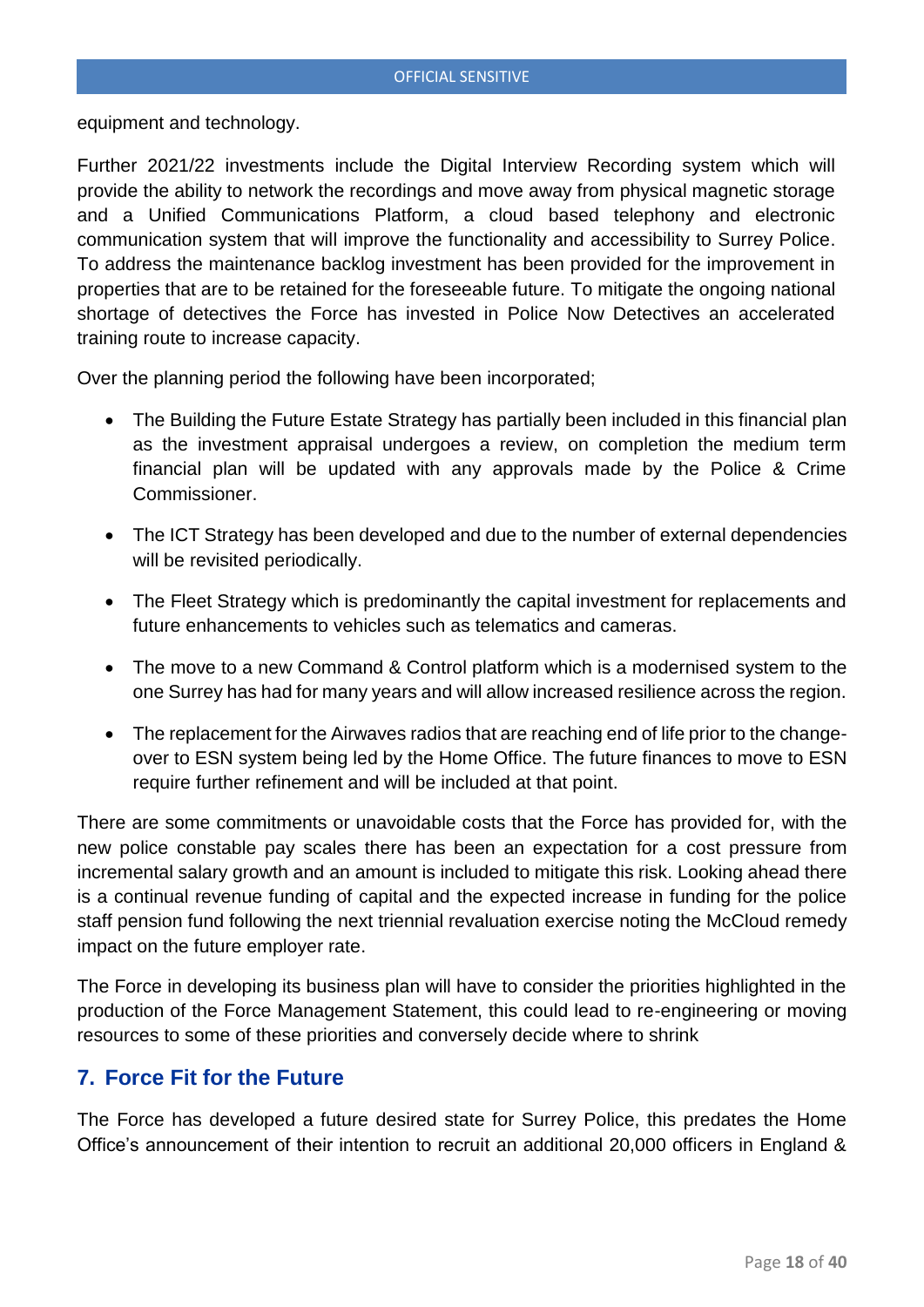equipment and technology.

Further 2021/22 investments include the Digital Interview Recording system which will provide the ability to network the recordings and move away from physical magnetic storage and a Unified Communications Platform, a cloud based telephony and electronic communication system that will improve the functionality and accessibility to Surrey Police. To address the maintenance backlog investment has been provided for the improvement in properties that are to be retained for the foreseeable future. To mitigate the ongoing national shortage of detectives the Force has invested in Police Now Detectives an accelerated training route to increase capacity.

Over the planning period the following have been incorporated;

- The Building the Future Estate Strategy has partially been included in this financial plan as the investment appraisal undergoes a review, on completion the medium term financial plan will be updated with any approvals made by the Police & Crime Commissioner.
- The ICT Strategy has been developed and due to the number of external dependencies will be revisited periodically.
- The Fleet Strategy which is predominantly the capital investment for replacements and future enhancements to vehicles such as telematics and cameras.
- The move to a new Command & Control platform which is a modernised system to the one Surrey has had for many years and will allow increased resilience across the region.
- The replacement for the Airwaves radios that are reaching end of life prior to the changeover to ESN system being led by the Home Office. The future finances to move to ESN require further refinement and will be included at that point.

There are some commitments or unavoidable costs that the Force has provided for, with the new police constable pay scales there has been an expectation for a cost pressure from incremental salary growth and an amount is included to mitigate this risk. Looking ahead there is a continual revenue funding of capital and the expected increase in funding for the police staff pension fund following the next triennial revaluation exercise noting the McCloud remedy impact on the future employer rate.

The Force in developing its business plan will have to consider the priorities highlighted in the production of the Force Management Statement, this could lead to re-engineering or moving resources to some of these priorities and conversely decide where to shrink

# **7. Force Fit for the Future**

The Force has developed a future desired state for Surrey Police, this predates the Home Office's announcement of their intention to recruit an additional 20,000 officers in England &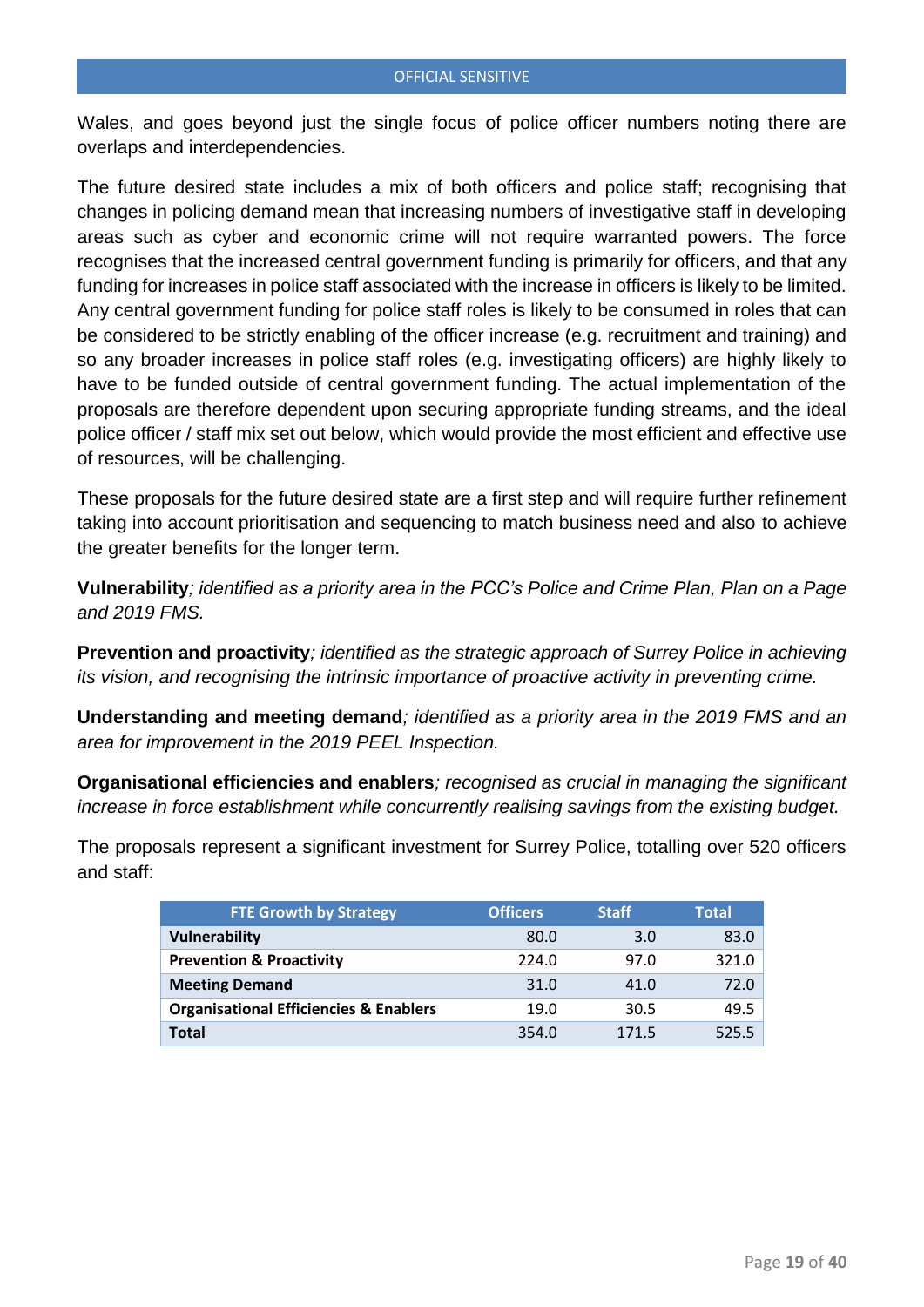Wales, and goes beyond just the single focus of police officer numbers noting there are overlaps and interdependencies.

The future desired state includes a mix of both officers and police staff; recognising that changes in policing demand mean that increasing numbers of investigative staff in developing areas such as cyber and economic crime will not require warranted powers. The force recognises that the increased central government funding is primarily for officers, and that any funding for increases in police staff associated with the increase in officers is likely to be limited. Any central government funding for police staff roles is likely to be consumed in roles that can be considered to be strictly enabling of the officer increase (e.g. recruitment and training) and so any broader increases in police staff roles (e.g. investigating officers) are highly likely to have to be funded outside of central government funding. The actual implementation of the proposals are therefore dependent upon securing appropriate funding streams, and the ideal police officer / staff mix set out below, which would provide the most efficient and effective use of resources, will be challenging.

These proposals for the future desired state are a first step and will require further refinement taking into account prioritisation and sequencing to match business need and also to achieve the greater benefits for the longer term.

**Vulnerability***; identified as a priority area in the PCC's Police and Crime Plan, Plan on a Page and 2019 FMS.*

**Prevention and proactivity***; identified as the strategic approach of Surrey Police in achieving its vision, and recognising the intrinsic importance of proactive activity in preventing crime.*

**Understanding and meeting demand***; identified as a priority area in the 2019 FMS and an area for improvement in the 2019 PEEL Inspection.*

**Organisational efficiencies and enablers***; recognised as crucial in managing the significant increase in force establishment while concurrently realising savings from the existing budget.*

The proposals represent a significant investment for Surrey Police, totalling over 520 officers and staff:

| <b>FTE Growth by Strategy</b>                     | <b>Officers</b> | <b>Staff</b> | <b>Total</b> |
|---------------------------------------------------|-----------------|--------------|--------------|
| <b>Vulnerability</b>                              | 80.0            | 3.0          | 83.0         |
| <b>Prevention &amp; Proactivity</b>               | 224.0           | 97.0         | 321.0        |
| <b>Meeting Demand</b>                             | 31.0            | 41.0         | 72.0         |
| <b>Organisational Efficiencies &amp; Enablers</b> | 19.0            | 30.5         | 49.5         |
| <b>Total</b>                                      | 354.0           | 171.5        | 525.5        |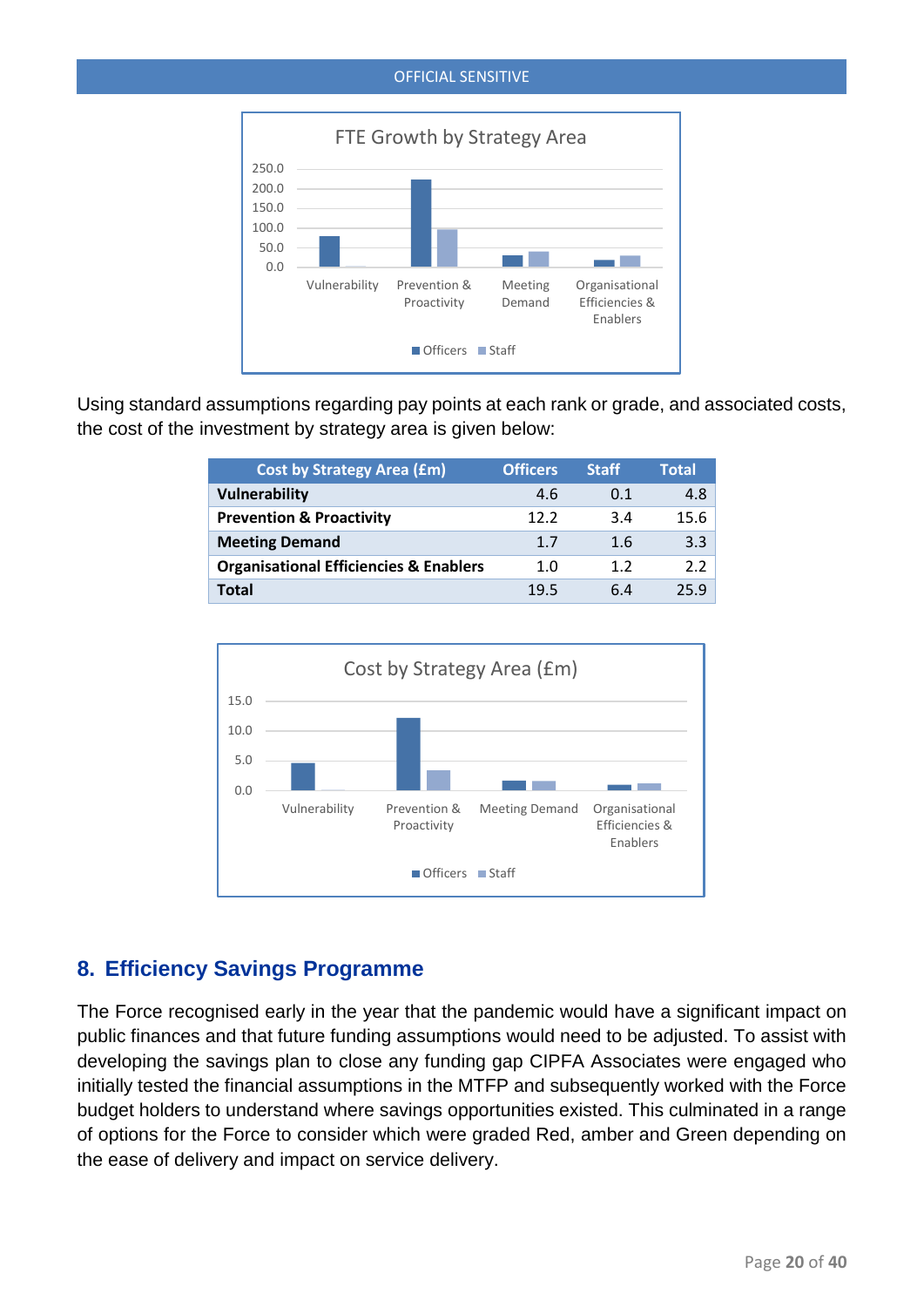

Using standard assumptions regarding pay points at each rank or grade, and associated costs, the cost of the investment by strategy area is given below:

| <b>Cost by Strategy Area (£m)</b>                 | <b>Officers</b> | <b>Staff</b> | <b>Total</b> |
|---------------------------------------------------|-----------------|--------------|--------------|
| <b>Vulnerability</b>                              | 4.6             | 0.1          | 4.8          |
| <b>Prevention &amp; Proactivity</b>               | 12.2            | 3.4          | 15.6         |
| <b>Meeting Demand</b>                             | 1.7             | 1.6          | 3.3          |
| <b>Organisational Efficiencies &amp; Enablers</b> | 1.0             | 1.2          | 2.2          |
| Total                                             | 19.5            | 6.4          | 25.9         |



# **8. Efficiency Savings Programme**

The Force recognised early in the year that the pandemic would have a significant impact on public finances and that future funding assumptions would need to be adjusted. To assist with developing the savings plan to close any funding gap CIPFA Associates were engaged who initially tested the financial assumptions in the MTFP and subsequently worked with the Force budget holders to understand where savings opportunities existed. This culminated in a range of options for the Force to consider which were graded Red, amber and Green depending on the ease of delivery and impact on service delivery.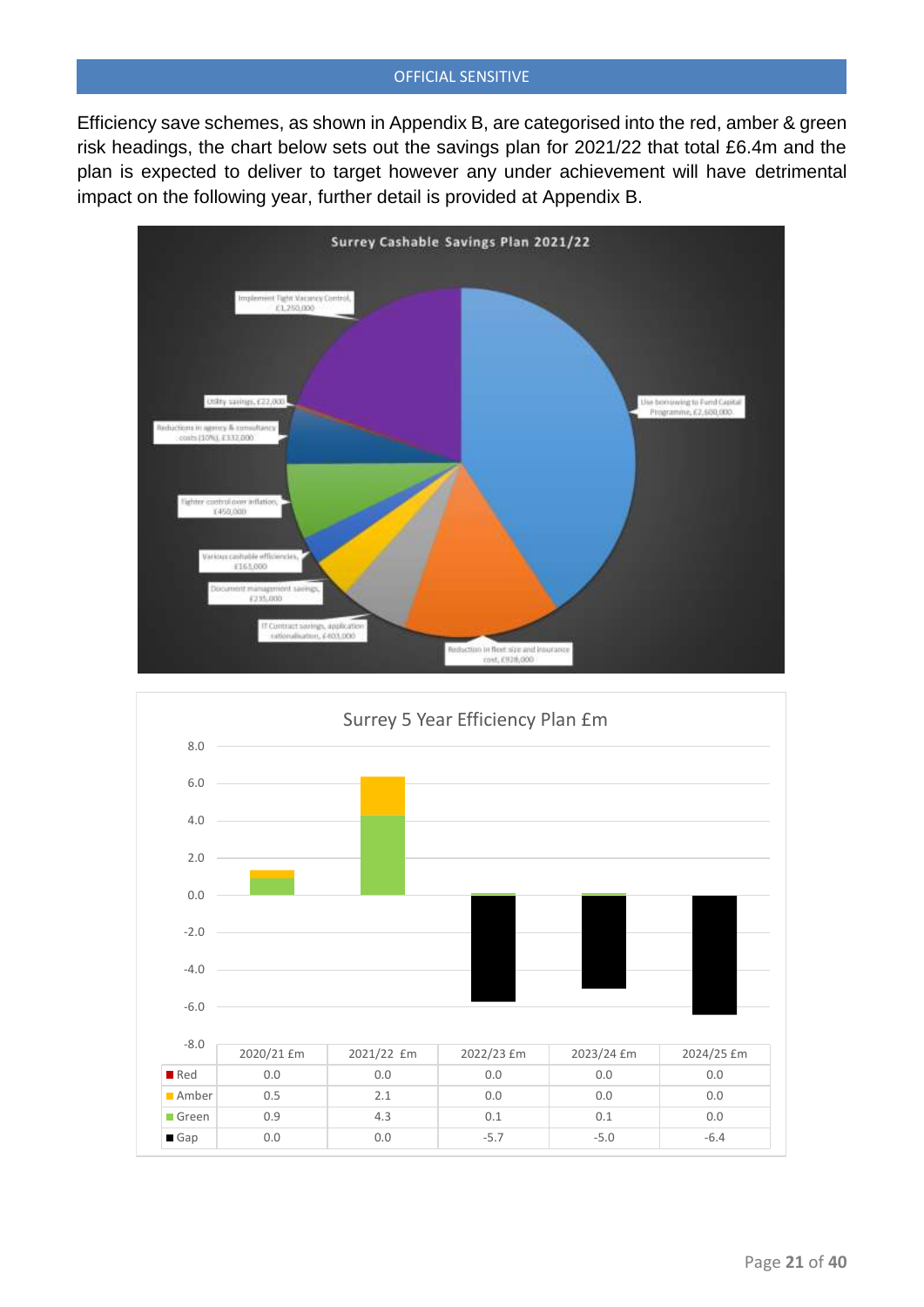Efficiency save schemes, as shown in Appendix B, are categorised into the red, amber & green risk headings, the chart below sets out the savings plan for 2021/22 that total £6.4m and the plan is expected to deliver to target however any under achievement will have detrimental impact on the following year, further detail is provided at Appendix B.



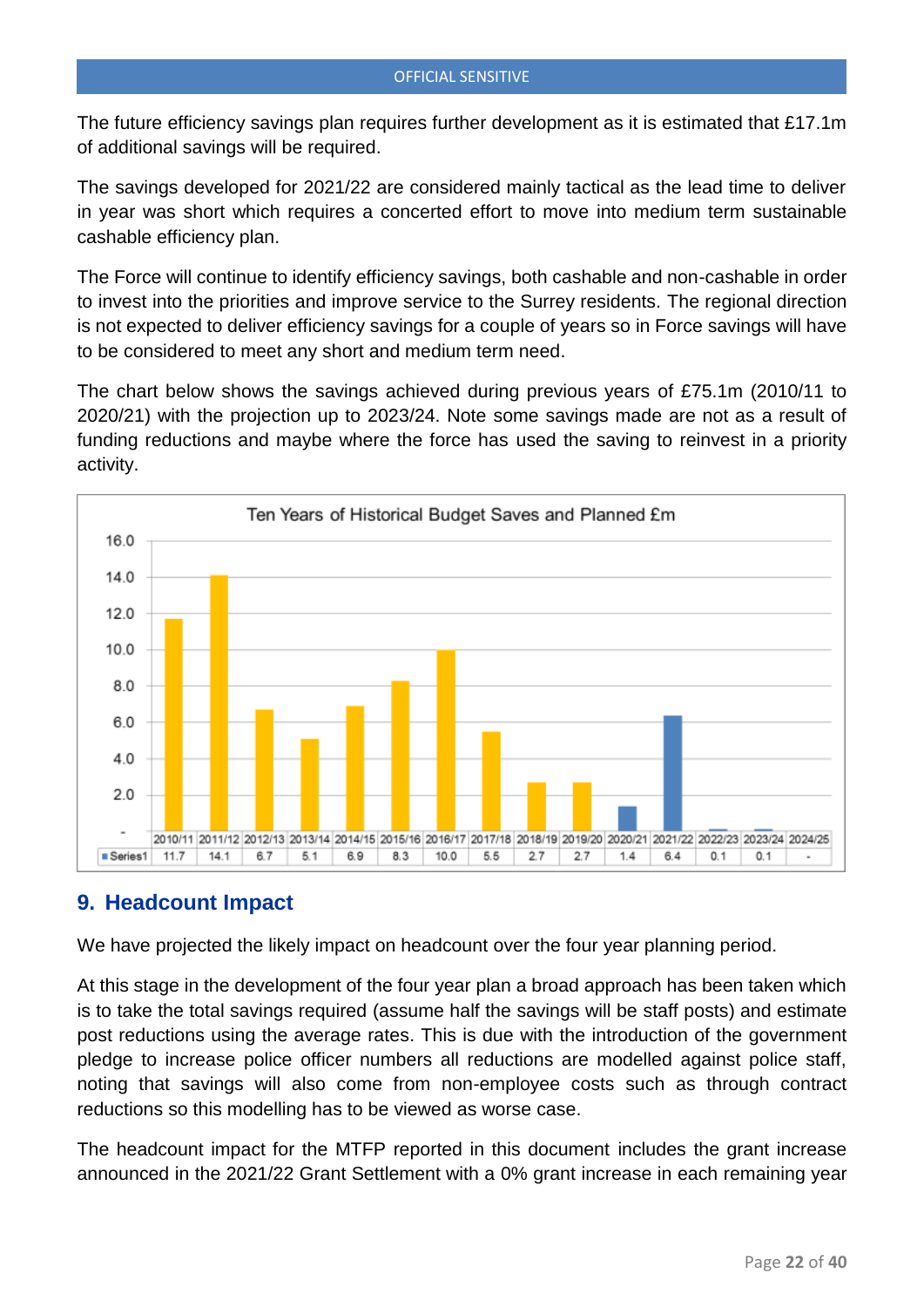The future efficiency savings plan requires further development as it is estimated that £17.1m of additional savings will be required.

The savings developed for 2021/22 are considered mainly tactical as the lead time to deliver in year was short which requires a concerted effort to move into medium term sustainable cashable efficiency plan.

The Force will continue to identify efficiency savings, both cashable and non-cashable in order to invest into the priorities and improve service to the Surrey residents. The regional direction is not expected to deliver efficiency savings for a couple of years so in Force savings will have to be considered to meet any short and medium term need.

The chart below shows the savings achieved during previous years of £75.1m (2010/11 to 2020/21) with the projection up to 2023/24. Note some savings made are not as a result of funding reductions and maybe where the force has used the saving to reinvest in a priority activity.



# **9. Headcount Impact**

We have projected the likely impact on headcount over the four year planning period.

At this stage in the development of the four year plan a broad approach has been taken which is to take the total savings required (assume half the savings will be staff posts) and estimate post reductions using the average rates. This is due with the introduction of the government pledge to increase police officer numbers all reductions are modelled against police staff, noting that savings will also come from non-employee costs such as through contract reductions so this modelling has to be viewed as worse case.

The headcount impact for the MTFP reported in this document includes the grant increase announced in the 2021/22 Grant Settlement with a 0% grant increase in each remaining year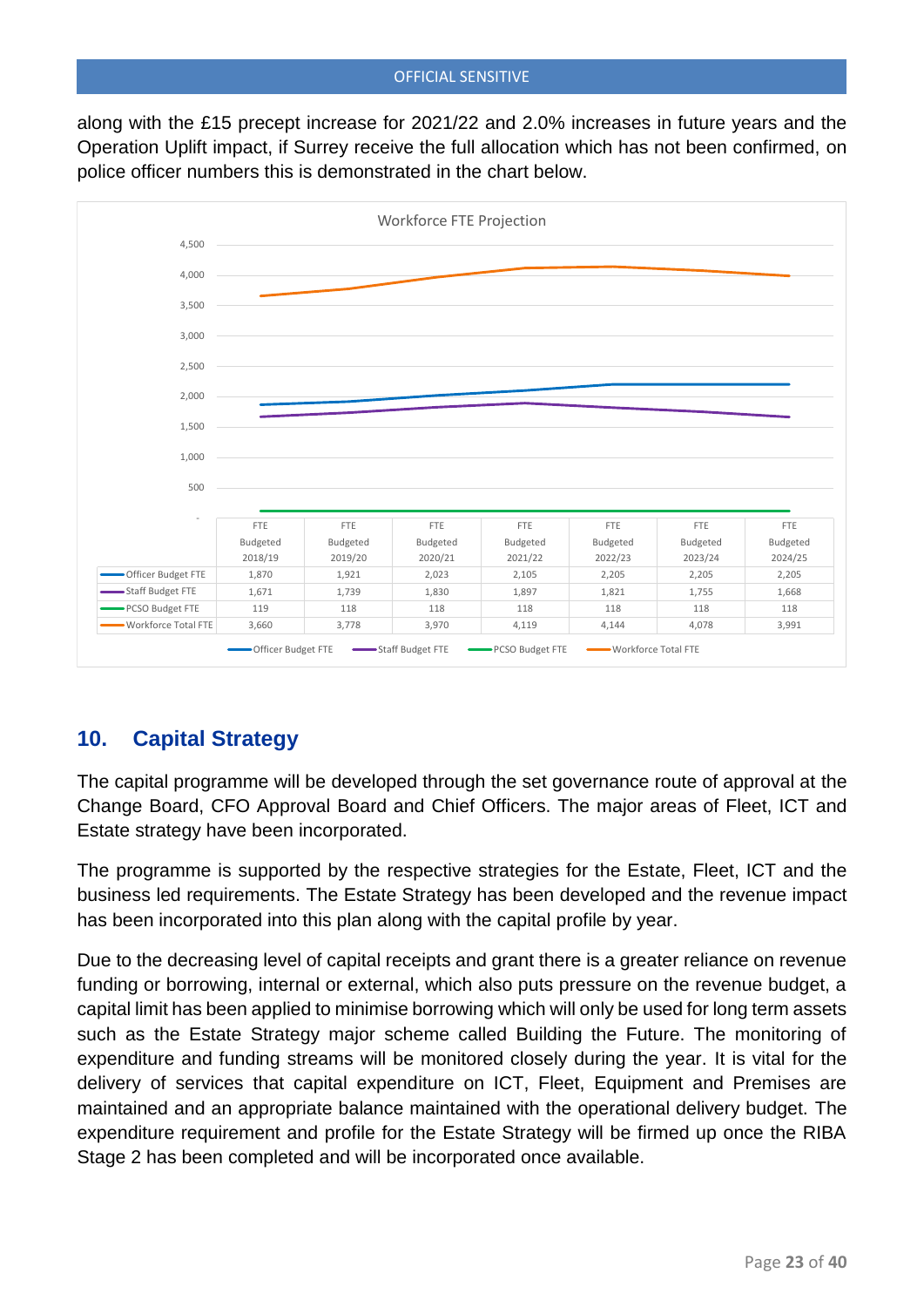along with the £15 precept increase for 2021/22 and 2.0% increases in future years and the Operation Uplift impact, if Surrey receive the full allocation which has not been confirmed, on police officer numbers this is demonstrated in the chart below.



# **10. Capital Strategy**

The capital programme will be developed through the set governance route of approval at the Change Board, CFO Approval Board and Chief Officers. The major areas of Fleet, ICT and Estate strategy have been incorporated.

The programme is supported by the respective strategies for the Estate, Fleet, ICT and the business led requirements. The Estate Strategy has been developed and the revenue impact has been incorporated into this plan along with the capital profile by year.

Due to the decreasing level of capital receipts and grant there is a greater reliance on revenue funding or borrowing, internal or external, which also puts pressure on the revenue budget, a capital limit has been applied to minimise borrowing which will only be used for long term assets such as the Estate Strategy major scheme called Building the Future. The monitoring of expenditure and funding streams will be monitored closely during the year. It is vital for the delivery of services that capital expenditure on ICT, Fleet, Equipment and Premises are maintained and an appropriate balance maintained with the operational delivery budget. The expenditure requirement and profile for the Estate Strategy will be firmed up once the RIBA Stage 2 has been completed and will be incorporated once available.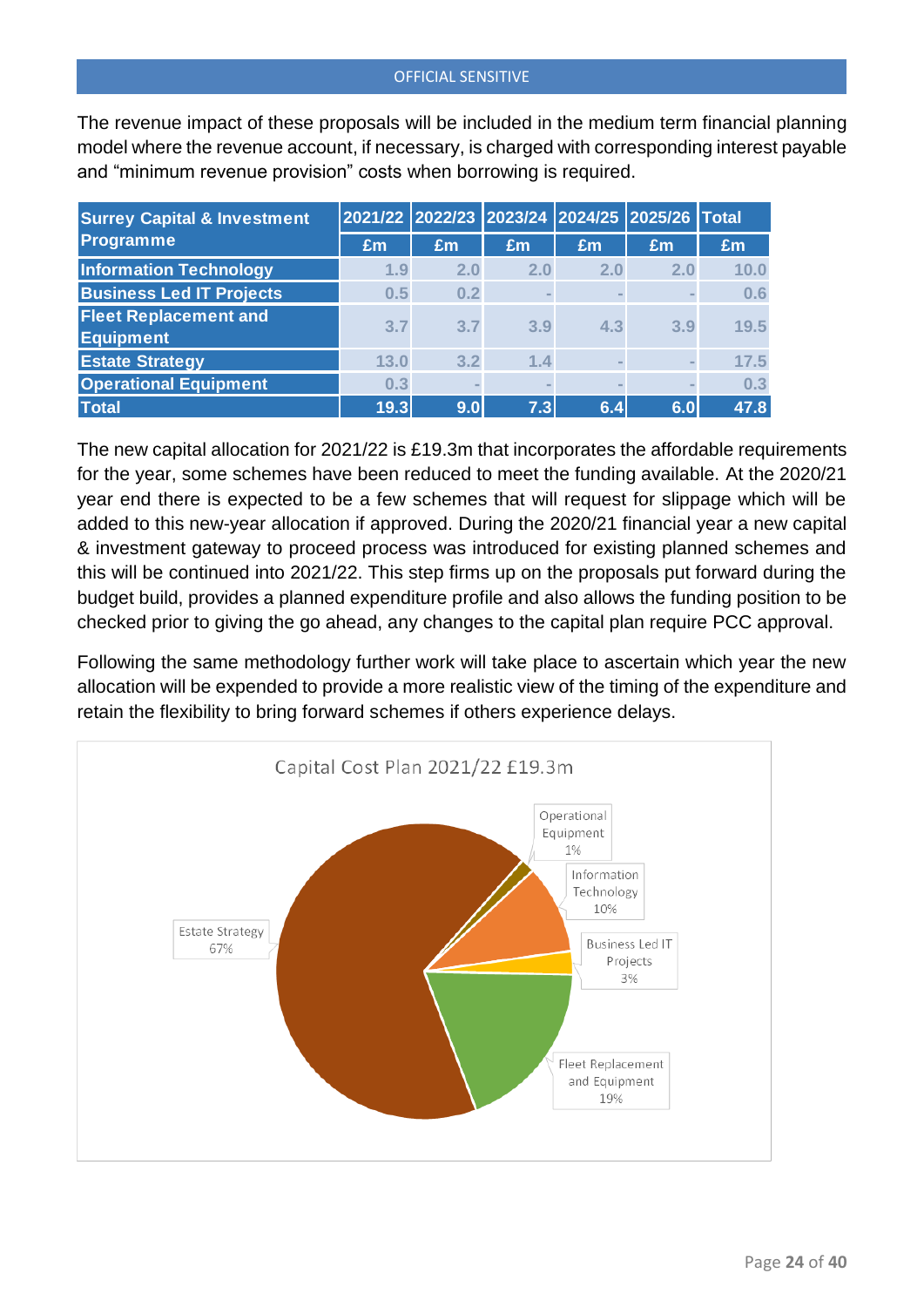The revenue impact of these proposals will be included in the medium term financial planning model where the revenue account, if necessary, is charged with corresponding interest payable and "minimum revenue provision" costs when borrowing is required.

| <b>Surrey Capital &amp; Investment</b>           |      |     |        | 2021/22 2022/23 2023/24 2024/25 2025/26 Total |     |      |
|--------------------------------------------------|------|-----|--------|-----------------------------------------------|-----|------|
| <b>Programme</b>                                 | Em   | Em  | Em     | Em                                            | £m  | £m   |
| <b>Information Technology</b>                    | 1.9  | 2.0 | 2.0    | 2.0                                           | 2.0 | 10.0 |
| <b>Business Led IT Projects</b>                  | 0.5  | 0.2 | $\sim$ | $\sim$                                        |     | 0.6  |
| <b>Fleet Replacement and</b><br><b>Equipment</b> | 3.7  | 3.7 | 3.9    | 4.3                                           | 3.9 | 19.5 |
| <b>Estate Strategy</b>                           | 13.0 | 3.2 | 1.4    |                                               |     | 17.5 |
| <b>Operational Equipment</b>                     | 0.3  |     |        |                                               |     | 0.3  |
| <b>Total</b>                                     | 19.3 | 9.0 | 7.3    | 6.4                                           | 6.0 | 47.8 |

The new capital allocation for 2021/22 is £19.3m that incorporates the affordable requirements for the year, some schemes have been reduced to meet the funding available. At the 2020/21 year end there is expected to be a few schemes that will request for slippage which will be added to this new-year allocation if approved. During the 2020/21 financial year a new capital & investment gateway to proceed process was introduced for existing planned schemes and this will be continued into 2021/22. This step firms up on the proposals put forward during the budget build, provides a planned expenditure profile and also allows the funding position to be checked prior to giving the go ahead, any changes to the capital plan require PCC approval.

Following the same methodology further work will take place to ascertain which year the new allocation will be expended to provide a more realistic view of the timing of the expenditure and retain the flexibility to bring forward schemes if others experience delays.

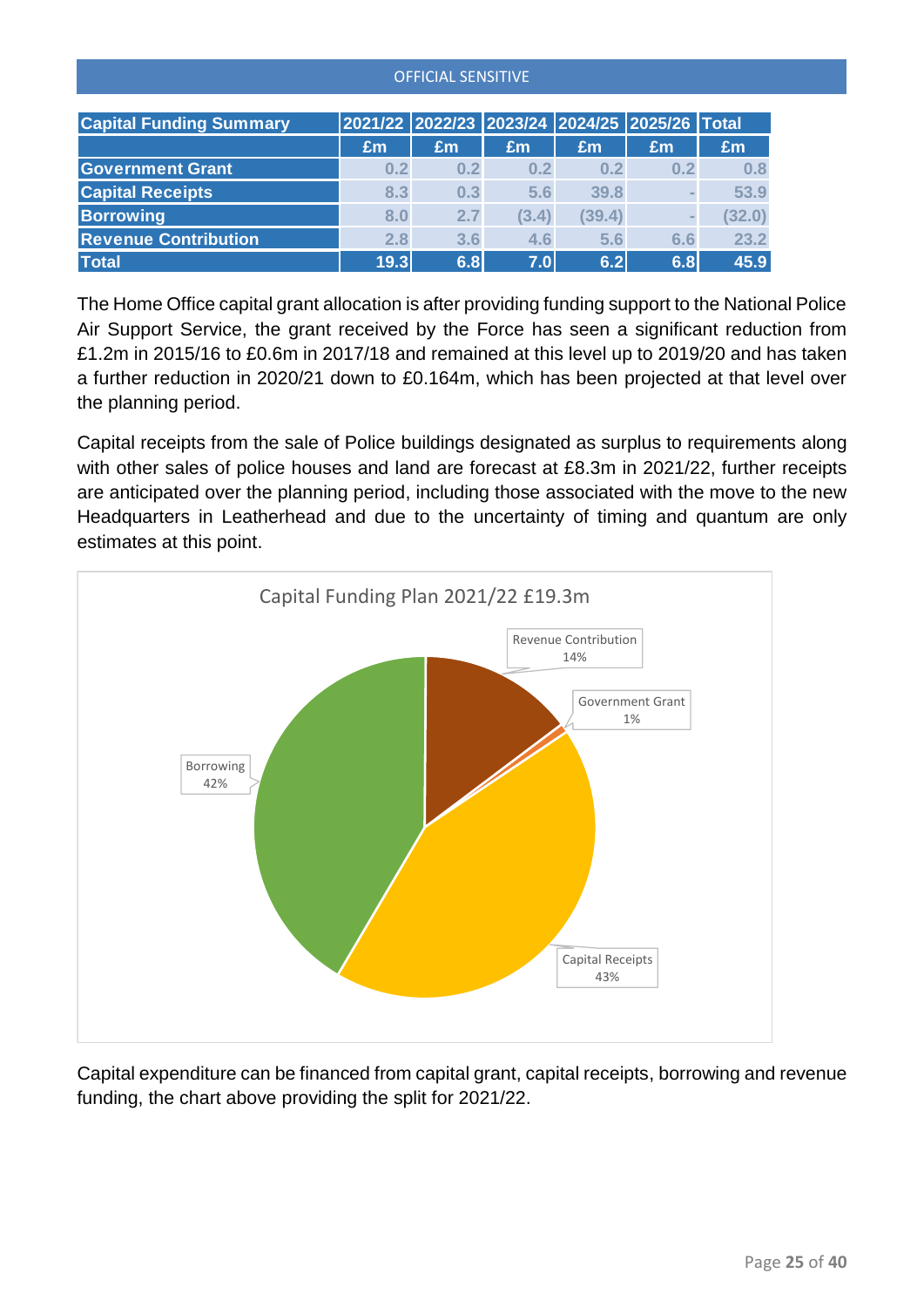| <b>Capital Funding Summary</b> |      |     |       | 2021/22 2022/23 2023/24 2024/25 2025/26 Total |     |        |
|--------------------------------|------|-----|-------|-----------------------------------------------|-----|--------|
|                                | £m   | Em  | £m    | £m                                            | £m  | Em     |
| <b>Government Grant</b>        | 0.2  | 0.2 | 0.2   | 0.2                                           | 0.2 | 0.8    |
| <b>Capital Receipts</b>        | 8.3  | 0.3 | 5.6   | 39.8                                          |     | 53.9   |
| <b>Borrowing</b>               | 8.0  | 2.7 | (3.4) | (39.4)                                        |     | (32.0) |
| <b>Revenue Contribution</b>    | 2.8  | 3.6 | 4.6   | 5.6                                           | 6.6 | 23.2   |
| <b>Total</b>                   | 19.3 | 6.8 | 7.0   | 6.2                                           | 6.8 | 45.9   |

The Home Office capital grant allocation is after providing funding support to the National Police Air Support Service, the grant received by the Force has seen a significant reduction from £1.2m in 2015/16 to £0.6m in 2017/18 and remained at this level up to 2019/20 and has taken a further reduction in 2020/21 down to £0.164m, which has been projected at that level over the planning period.

Capital receipts from the sale of Police buildings designated as surplus to requirements along with other sales of police houses and land are forecast at £8.3m in 2021/22, further receipts are anticipated over the planning period, including those associated with the move to the new Headquarters in Leatherhead and due to the uncertainty of timing and quantum are only estimates at this point.



Capital expenditure can be financed from capital grant, capital receipts, borrowing and revenue funding, the chart above providing the split for 2021/22.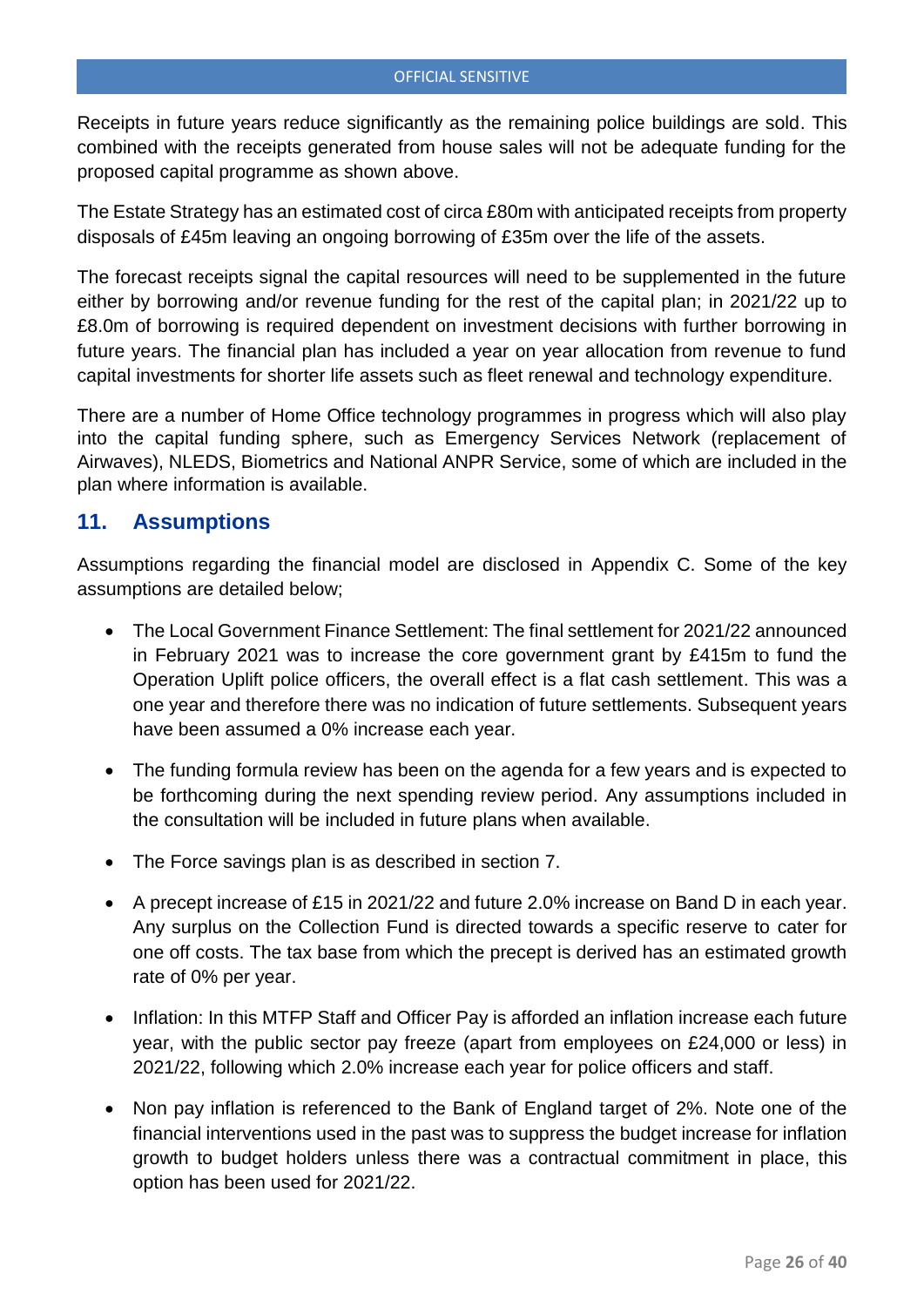Receipts in future years reduce significantly as the remaining police buildings are sold. This combined with the receipts generated from house sales will not be adequate funding for the proposed capital programme as shown above.

The Estate Strategy has an estimated cost of circa £80m with anticipated receipts from property disposals of £45m leaving an ongoing borrowing of £35m over the life of the assets.

The forecast receipts signal the capital resources will need to be supplemented in the future either by borrowing and/or revenue funding for the rest of the capital plan; in 2021/22 up to £8.0m of borrowing is required dependent on investment decisions with further borrowing in future years. The financial plan has included a year on year allocation from revenue to fund capital investments for shorter life assets such as fleet renewal and technology expenditure.

There are a number of Home Office technology programmes in progress which will also play into the capital funding sphere, such as Emergency Services Network (replacement of Airwaves), NLEDS, Biometrics and National ANPR Service, some of which are included in the plan where information is available.

### **11. Assumptions**

Assumptions regarding the financial model are disclosed in Appendix C. Some of the key assumptions are detailed below;

- The Local Government Finance Settlement: The final settlement for 2021/22 announced in February 2021 was to increase the core government grant by £415m to fund the Operation Uplift police officers, the overall effect is a flat cash settlement. This was a one year and therefore there was no indication of future settlements. Subsequent years have been assumed a 0% increase each year.
- The funding formula review has been on the agenda for a few years and is expected to be forthcoming during the next spending review period. Any assumptions included in the consultation will be included in future plans when available.
- The Force savings plan is as described in section 7.
- A precept increase of £15 in 2021/22 and future 2.0% increase on Band D in each year. Any surplus on the Collection Fund is directed towards a specific reserve to cater for one off costs. The tax base from which the precept is derived has an estimated growth rate of 0% per year.
- Inflation: In this MTFP Staff and Officer Pay is afforded an inflation increase each future year, with the public sector pay freeze (apart from employees on £24,000 or less) in 2021/22, following which 2.0% increase each year for police officers and staff.
- Non pay inflation is referenced to the Bank of England target of 2%. Note one of the financial interventions used in the past was to suppress the budget increase for inflation growth to budget holders unless there was a contractual commitment in place, this option has been used for 2021/22.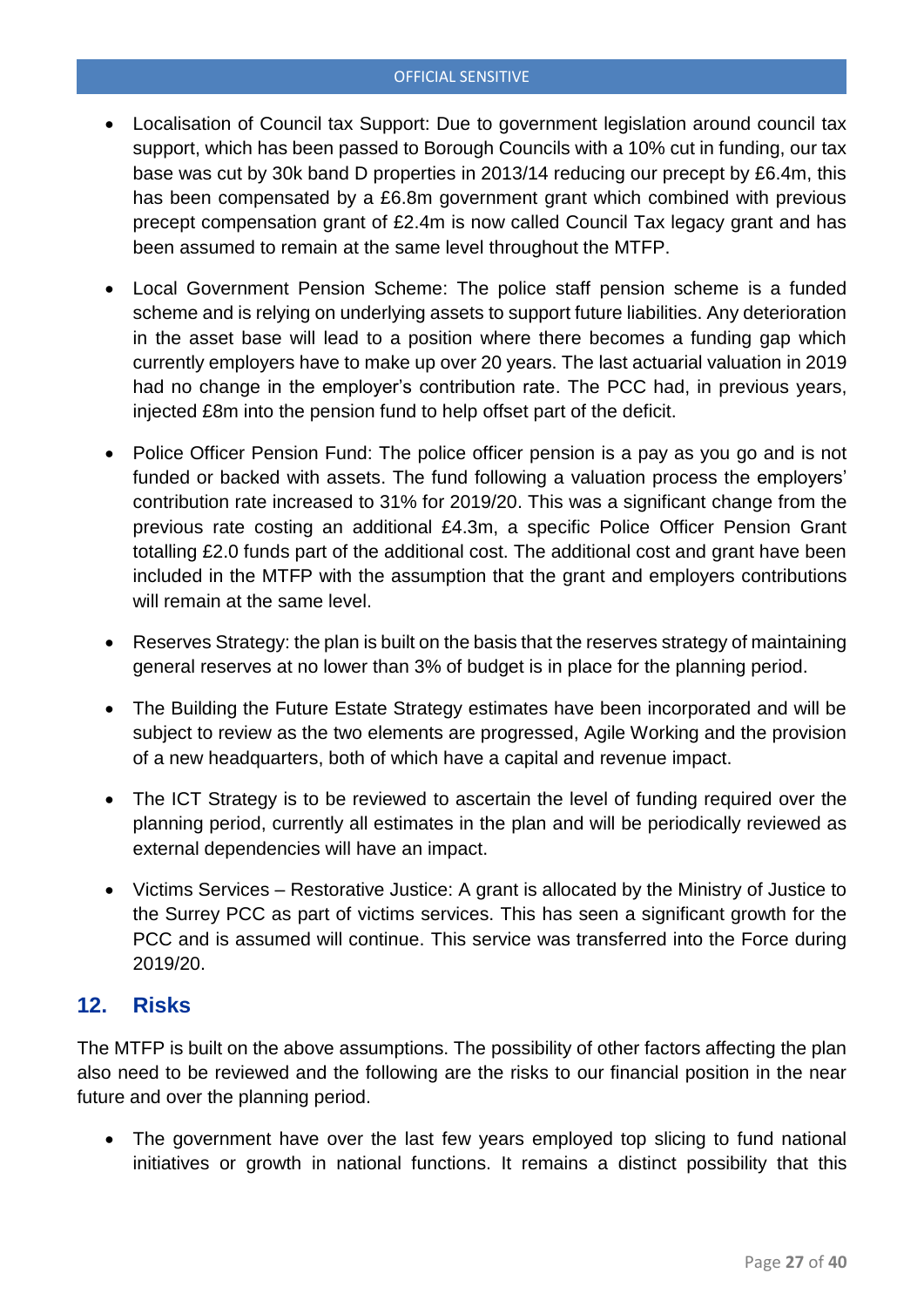- Localisation of Council tax Support: Due to government legislation around council tax support, which has been passed to Borough Councils with a 10% cut in funding, our tax base was cut by 30k band D properties in 2013/14 reducing our precept by £6.4m, this has been compensated by a £6.8m government grant which combined with previous precept compensation grant of £2.4m is now called Council Tax legacy grant and has been assumed to remain at the same level throughout the MTFP.
- Local Government Pension Scheme: The police staff pension scheme is a funded scheme and is relying on underlying assets to support future liabilities. Any deterioration in the asset base will lead to a position where there becomes a funding gap which currently employers have to make up over 20 years. The last actuarial valuation in 2019 had no change in the employer's contribution rate. The PCC had, in previous years, injected £8m into the pension fund to help offset part of the deficit.
- Police Officer Pension Fund: The police officer pension is a pay as you go and is not funded or backed with assets. The fund following a valuation process the employers' contribution rate increased to 31% for 2019/20. This was a significant change from the previous rate costing an additional £4.3m, a specific Police Officer Pension Grant totalling £2.0 funds part of the additional cost. The additional cost and grant have been included in the MTFP with the assumption that the grant and employers contributions will remain at the same level.
- Reserves Strategy: the plan is built on the basis that the reserves strategy of maintaining general reserves at no lower than 3% of budget is in place for the planning period.
- The Building the Future Estate Strategy estimates have been incorporated and will be subject to review as the two elements are progressed, Agile Working and the provision of a new headquarters, both of which have a capital and revenue impact.
- The ICT Strategy is to be reviewed to ascertain the level of funding required over the planning period, currently all estimates in the plan and will be periodically reviewed as external dependencies will have an impact.
- Victims Services Restorative Justice: A grant is allocated by the Ministry of Justice to the Surrey PCC as part of victims services. This has seen a significant growth for the PCC and is assumed will continue. This service was transferred into the Force during 2019/20.

# **12. Risks**

The MTFP is built on the above assumptions. The possibility of other factors affecting the plan also need to be reviewed and the following are the risks to our financial position in the near future and over the planning period.

• The government have over the last few years employed top slicing to fund national initiatives or growth in national functions. It remains a distinct possibility that this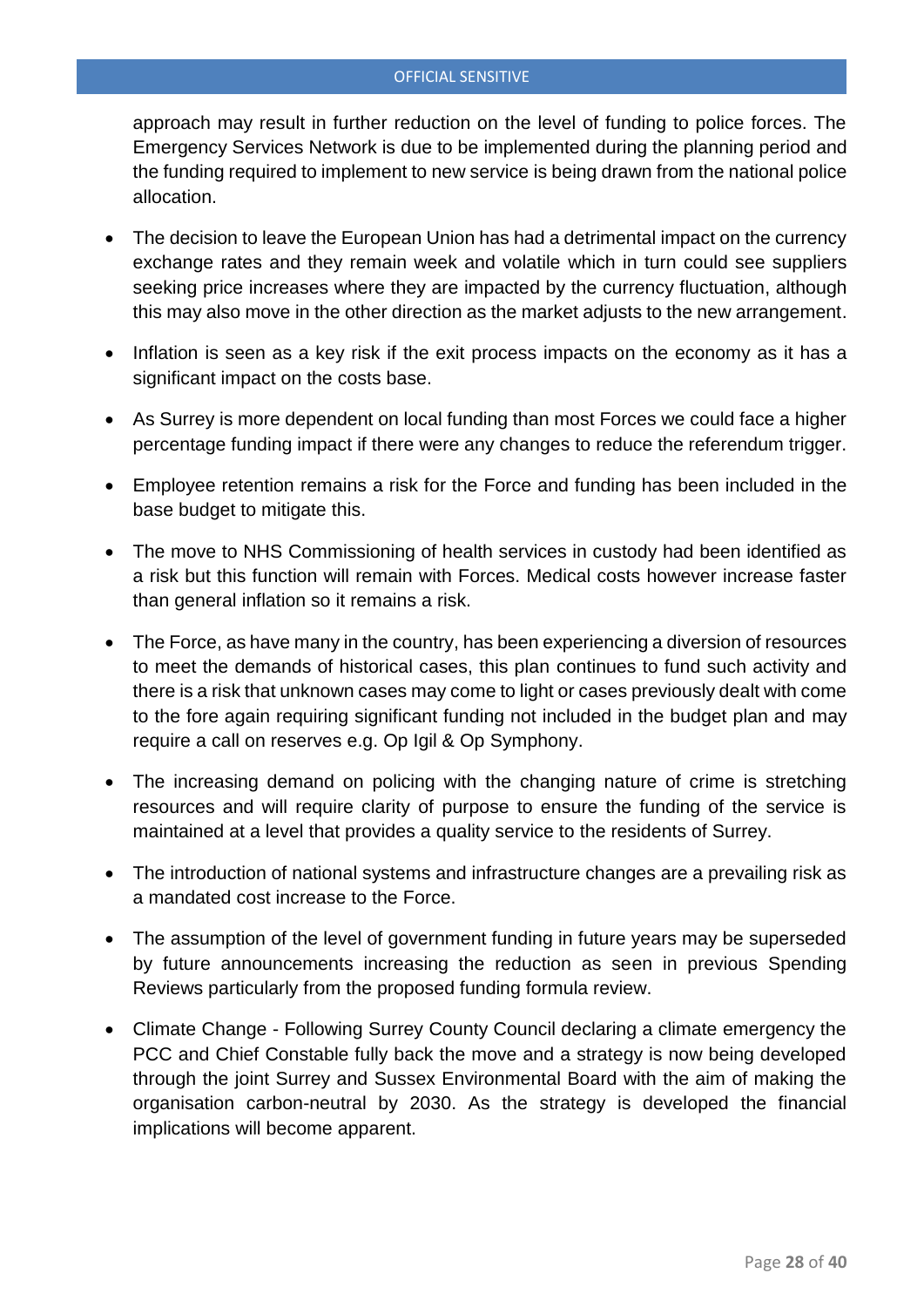approach may result in further reduction on the level of funding to police forces. The Emergency Services Network is due to be implemented during the planning period and the funding required to implement to new service is being drawn from the national police allocation.

- The decision to leave the European Union has had a detrimental impact on the currency exchange rates and they remain week and volatile which in turn could see suppliers seeking price increases where they are impacted by the currency fluctuation, although this may also move in the other direction as the market adjusts to the new arrangement.
- Inflation is seen as a key risk if the exit process impacts on the economy as it has a significant impact on the costs base.
- As Surrey is more dependent on local funding than most Forces we could face a higher percentage funding impact if there were any changes to reduce the referendum trigger.
- Employee retention remains a risk for the Force and funding has been included in the base budget to mitigate this.
- The move to NHS Commissioning of health services in custody had been identified as a risk but this function will remain with Forces. Medical costs however increase faster than general inflation so it remains a risk.
- The Force, as have many in the country, has been experiencing a diversion of resources to meet the demands of historical cases, this plan continues to fund such activity and there is a risk that unknown cases may come to light or cases previously dealt with come to the fore again requiring significant funding not included in the budget plan and may require a call on reserves e.g. Op Igil & Op Symphony.
- The increasing demand on policing with the changing nature of crime is stretching resources and will require clarity of purpose to ensure the funding of the service is maintained at a level that provides a quality service to the residents of Surrey.
- The introduction of national systems and infrastructure changes are a prevailing risk as a mandated cost increase to the Force.
- The assumption of the level of government funding in future years may be superseded by future announcements increasing the reduction as seen in previous Spending Reviews particularly from the proposed funding formula review.
- Climate Change Following Surrey County Council declaring a climate emergency the PCC and Chief Constable fully back the move and a strategy is now being developed through the joint Surrey and Sussex Environmental Board with the aim of making the organisation carbon-neutral by 2030. As the strategy is developed the financial implications will become apparent.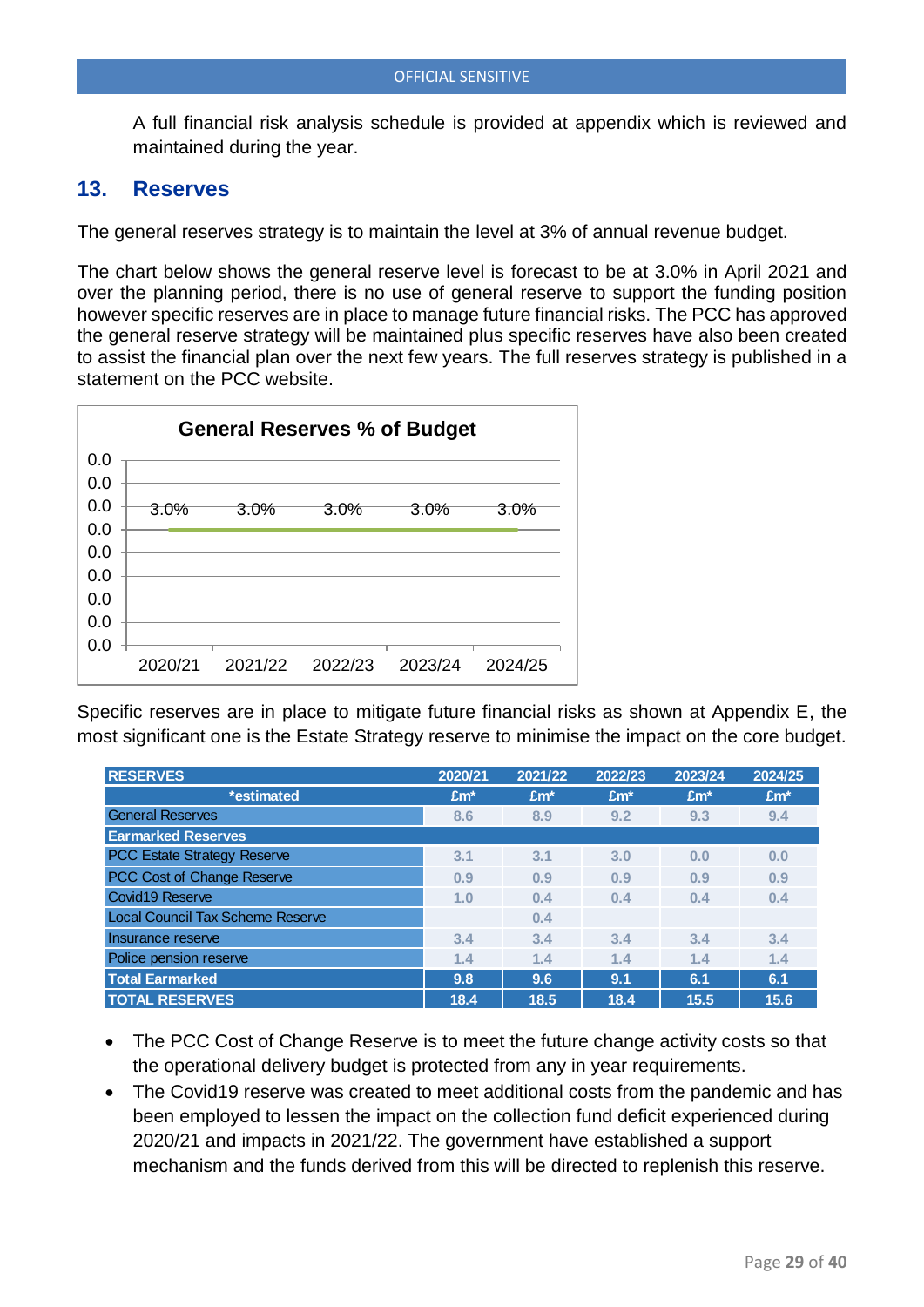A full financial risk analysis schedule is provided at appendix which is reviewed and maintained during the year.

### **13. Reserves**

The general reserves strategy is to maintain the level at 3% of annual revenue budget.

The chart below shows the general reserve level is forecast to be at 3.0% in April 2021 and over the planning period, there is no use of general reserve to support the funding position however specific reserves are in place to manage future financial risks. The PCC has approved the general reserve strategy will be maintained plus specific reserves have also been created to assist the financial plan over the next few years. The full reserves strategy is published in a statement on the PCC website.



Specific reserves are in place to mitigate future financial risks as shown at Appendix E, the most significant one is the Estate Strategy reserve to minimise the impact on the core budget.

| <b>RESERVES</b>                    | 2020/21 | 2021/22 | 2022/23 | 2023/24 | 2024/25 |
|------------------------------------|---------|---------|---------|---------|---------|
| *estimated                         | $Em*$   | $Em*$   | $Em*$   | $Em*$   | $Em*$   |
| <b>General Reserves</b>            | 8.6     | 8.9     | 9.2     | 9.3     | 9.4     |
| <b>Earmarked Reserves</b>          |         |         |         |         |         |
| <b>PCC Estate Strategy Reserve</b> | 3.1     | 3.1     | 3.0     | 0.0     | 0.0     |
| PCC Cost of Change Reserve         | 0.9     | 0.9     | 0.9     | 0.9     | 0.9     |
| Covid19 Reserve                    | 1.0     | 0.4     | 0.4     | 0.4     | 0.4     |
| Local Council Tax Scheme Reserve   |         | 0.4     |         |         |         |
| Insurance reserve                  | 3.4     | 3.4     | 3.4     | 3.4     | 3.4     |
| Police pension reserve             | 1.4     | 1.4     | 1.4     | 1.4     | 1.4     |
| <b>Total Earmarked</b>             | 9.8     | 9.6     | 9.1     | 6.1     | 6.1     |
| <b>TOTAL RESERVES</b>              | 18.4    | 18.5    | 18.4    | 15.5    | 15.6    |

- The PCC Cost of Change Reserve is to meet the future change activity costs so that the operational delivery budget is protected from any in year requirements.
- The Covid19 reserve was created to meet additional costs from the pandemic and has been employed to lessen the impact on the collection fund deficit experienced during 2020/21 and impacts in 2021/22. The government have established a support mechanism and the funds derived from this will be directed to replenish this reserve.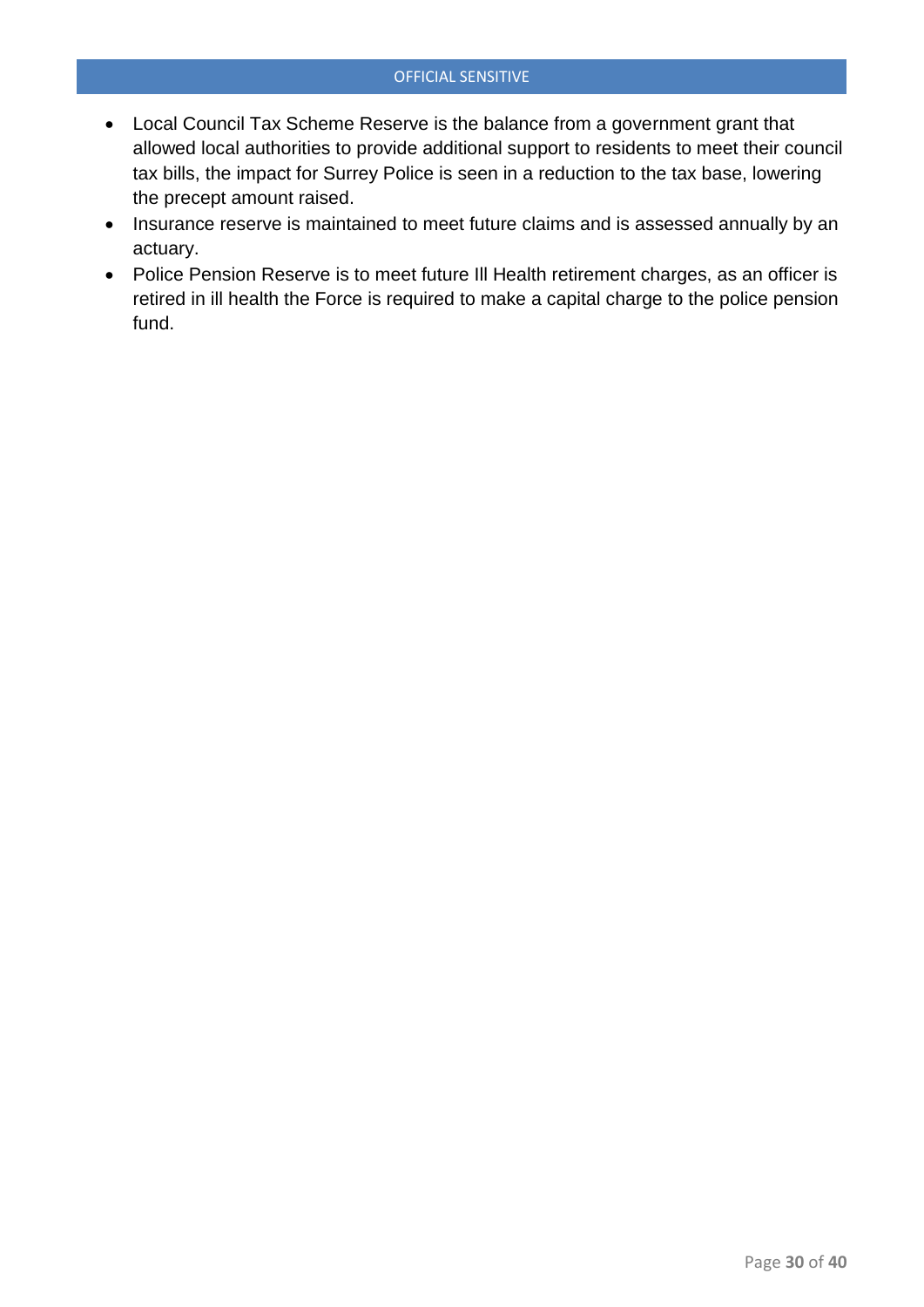- Local Council Tax Scheme Reserve is the balance from a government grant that allowed local authorities to provide additional support to residents to meet their council tax bills, the impact for Surrey Police is seen in a reduction to the tax base, lowering the precept amount raised.
- Insurance reserve is maintained to meet future claims and is assessed annually by an actuary.
- Police Pension Reserve is to meet future Ill Health retirement charges, as an officer is retired in ill health the Force is required to make a capital charge to the police pension fund.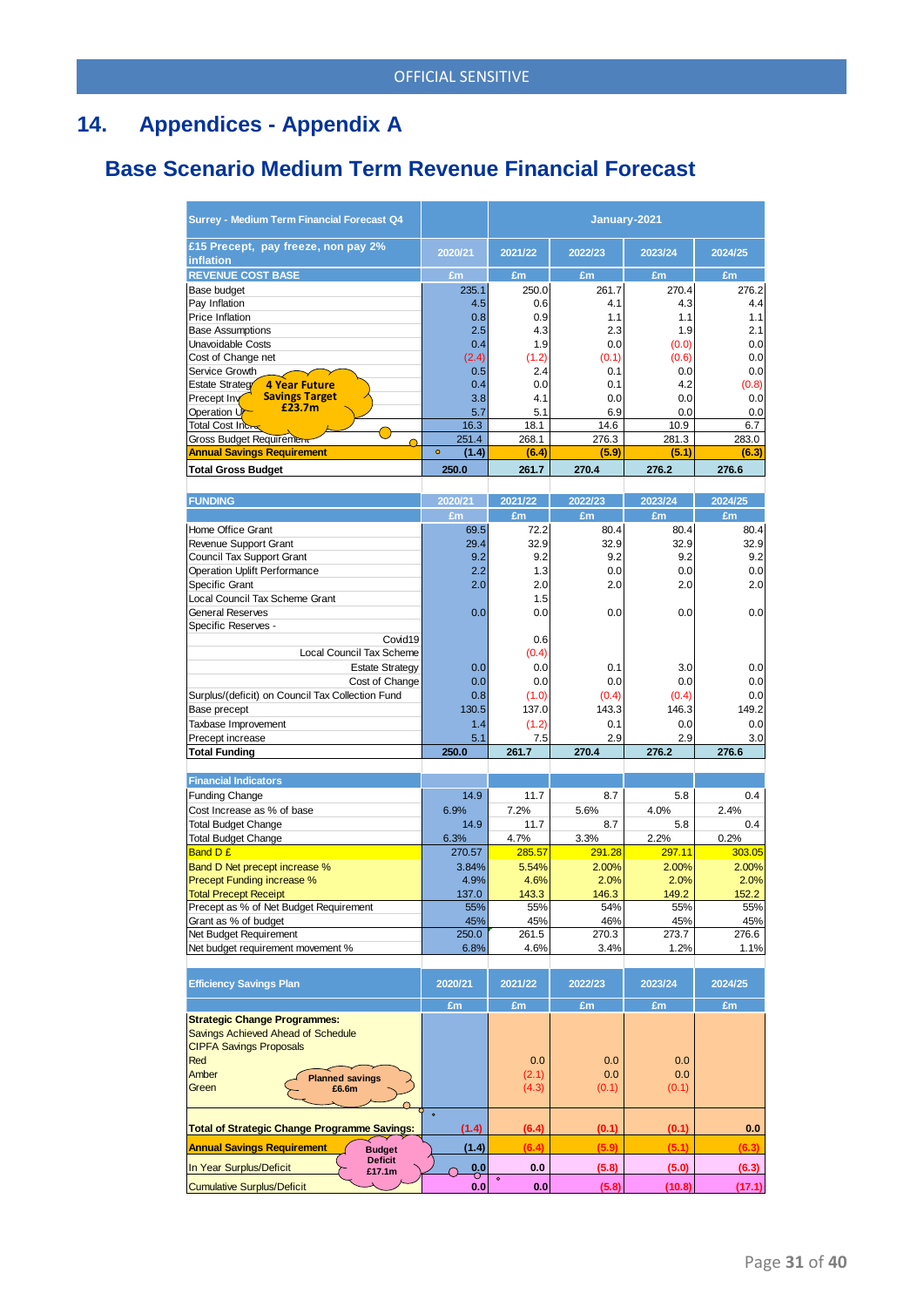# **14. Appendices - Appendix A**

# **Base Scenario Medium Term Revenue Financial Forecast**

| <b>Surrey - Medium Term Financial Forecast Q4</b>                |                        | January-2021   |               |                |              |  |  |
|------------------------------------------------------------------|------------------------|----------------|---------------|----------------|--------------|--|--|
| £15 Precept, pay freeze, non pay 2%<br>inflation                 | 2020/21                | 2021/22        | 2022/23       | 2023/24        | 2024/25      |  |  |
| <b>REVENUE COST BASE</b>                                         | £m                     | £m             | £m            | £m             | £m           |  |  |
| Base budget                                                      | 235.1                  | 250.0          | 261.7         | 270.4          | 276.2        |  |  |
| Pay Inflation                                                    | 4.5                    | 0.6            | 4.1           | 4.3            | 4.4          |  |  |
| Price Inflation                                                  | 0.8                    | 0.9            | 1.1           | 1.1            | 1.1          |  |  |
| <b>Base Assumptions</b>                                          | 2.5                    | 4.3            | 2.3           | 1.9            | 2.1          |  |  |
| <b>Unavoidable Costs</b>                                         | 0.4                    | 1.9            | 0.0           | (0.0)          | 0.0          |  |  |
| Cost of Change net                                               | (2.4)                  | (1.2)          | (0.1)         | (0.6)          | 0.0          |  |  |
| Service Growth                                                   | 0.5                    | 2.4            | 0.1           | 0.0            | 0.0          |  |  |
| Estate Strateo<br><b>4 Year Future</b>                           | 0.4                    | 0.0            | 0.1           | 4.2            | (0.8)        |  |  |
| <b>Savings Target</b><br>Precept Inv<br>£23.7m                   | 3.8                    | 4.1            | 0.0           | 0.0            | 0.0          |  |  |
| Operation U                                                      | 5.7                    | 5.1            | 6.9           | 0.0            | 0.0          |  |  |
| Total Cost Incre<br>Gross Budget Requirement                     | 16.3<br>251.4          | 18.1<br>268.1  | 14.6<br>276.3 | 10.9<br>281.3  | 6.7<br>283.0 |  |  |
| <b>Annual Savings Requirement</b>                                | $\bullet$<br>(1.4)     | (6.4)          | (5.9)         | (5.1)          | (6.3)        |  |  |
|                                                                  |                        |                |               |                |              |  |  |
| <b>Total Gross Budget</b>                                        | 250.0                  | 261.7          | 270.4         | 276.2          | 276.6        |  |  |
| <b>FUNDING</b>                                                   | 2020/21                | 2021/22        | 2022/23       | 2023/24        | 2024/25      |  |  |
|                                                                  | £m                     | £m             | £m            | £m             | £m           |  |  |
| Home Office Grant                                                | 69.5                   | 72.2           | 80.4          | 80.4           | 80.4         |  |  |
| <b>Revenue Support Grant</b>                                     | 29.4                   | 32.9           | 32.9          | 32.9           | 32.9         |  |  |
| <b>Council Tax Support Grant</b><br>Operation Uplift Performance | 9.2<br>2.2             | 9.2<br>1.3     | 9.2<br>0.0    | 9.2<br>0.0     | 9.2<br>0.0   |  |  |
| Specific Grant                                                   | 2.0                    | 2.0            | 2.0           | 2.0            | 2.0          |  |  |
| Local Council Tax Scheme Grant                                   |                        | 1.5            |               |                |              |  |  |
| <b>General Reserves</b>                                          | 0.0                    | 0.0            | 0.0           | 0.0            | 0.0          |  |  |
| Specific Reserves -                                              |                        |                |               |                |              |  |  |
| Covid19                                                          |                        | 0.6            |               |                |              |  |  |
| <b>Local Council Tax Scheme</b>                                  |                        | (0.4)          |               |                |              |  |  |
| <b>Estate Strategy</b>                                           | 0.0                    | 0.0            | 0.1           | 3.0            | 0.0          |  |  |
| Cost of Change                                                   | 0.0                    | 0.0            | 0.0           | 0.0            | 0.0          |  |  |
| Surplus/(deficit) on Council Tax Collection Fund                 | 0.8                    | (1.0)          | (0.4)         | (0.4)          | 0.0          |  |  |
| Base precept                                                     | 130.5                  | 137.0          | 143.3         | 146.3          | 149.2        |  |  |
| Taxbase Improvement                                              | 1.4                    | (1.2)          | 0.1           | 0.0            | 0.0          |  |  |
| Precept increase                                                 | 5.1                    | 7.5            | 2.9           | 2.9            | 3.0          |  |  |
| <b>Total Funding</b>                                             | 250.0                  | 261.7          | 270.4         | 276.2          | 276.6        |  |  |
|                                                                  |                        |                |               |                |              |  |  |
| <b>Financial Indicators</b>                                      |                        |                |               |                |              |  |  |
| <b>Funding Change</b>                                            | 14.9                   | 11.7           | 8.7           | 5.8            | 0.4          |  |  |
| Cost Increase as % of base                                       | 6.9%                   | 7.2%           | 5.6%          | 4.0%           | 2.4%         |  |  |
| <b>Total Budget Change</b>                                       | 14.9<br>6.3%           | 11.7<br>4.7%   | 8.7<br>3.3%   | 5.8            | 0.4<br>0.2%  |  |  |
| <b>Total Budget Change</b><br>Band D £                           | 270.57                 | 285.57         | 291.28        | 2.2%<br>297.11 | 303.05       |  |  |
| Band D Net precept increase %                                    | 3.84%                  | 5.54%          | 2.00%         | 2.00%          | 2.00%        |  |  |
| <b>Precept Funding increase %</b>                                | 4.9%                   | 4.6%           | 2.0%          | 2.0%           | 2.0%         |  |  |
| <b>Total Precept Receipt</b>                                     | 137.0                  | 143.3          | 146.3         | 149.2          | 152.2        |  |  |
| Precept as % of Net Budget Requirement                           | 55%                    | 55%            | 54%           | 55%            | 55%          |  |  |
| Grant as % of budget                                             | 45%                    | 45%            | 46%           | 45%            | 45%          |  |  |
| Net Budget Requirement                                           | 250.0                  | 261.5          | 270.3         | 273.7          | 276.6        |  |  |
| Net budget requirement movement %                                | 6.8%                   | 4.6%           | 3.4%          | 1.2%           | 1.1%         |  |  |
|                                                                  |                        |                |               |                |              |  |  |
| <b>Efficiency Savings Plan</b>                                   | 2020/21                | 2021/22        | 2022/23       | 2023/24        | 2024/25      |  |  |
|                                                                  | £m                     | £m             | £m            | £m             | £m           |  |  |
| <b>Strategic Change Programmes:</b>                              |                        |                |               |                |              |  |  |
| Savings Achieved Ahead of Schedule                               |                        |                |               |                |              |  |  |
| <b>CIPFA Savings Proposals</b>                                   |                        |                |               |                |              |  |  |
| Red                                                              |                        | 0.0            | 0.0           | 0.0            |              |  |  |
| Amber<br><b>Planned savings</b>                                  |                        | (2.1)          | 0.0           | 0.0            |              |  |  |
| Green<br>£6.6m                                                   |                        | (4.3)          | (0.1)         | (0.1)          |              |  |  |
|                                                                  | $\bullet$              |                |               |                |              |  |  |
| <b>Total of Strategic Change Programme Savings:</b>              | (1.4)                  | (6.4)          | (0.1)         | (0.1)          | 0.0          |  |  |
| <b>Annual Savings Requirement</b><br><b>Budget</b>               |                        |                |               |                |              |  |  |
|                                                                  | (1.4)                  | (6.4)          | (5.9)         | (5.1)          | (6.3)        |  |  |
| <b>Deficit</b><br>In Year Surplus/Deficit                        |                        | 0.0            | (5.8)         | (5.0)          | (6.3)        |  |  |
| £17.1m<br><b>Cumulative Surplus/Deficit</b>                      | $\frac{0.0}{0}$<br>0.0 | $\circ$<br>0.0 | (5.8)         | (10.8)         | (17.1)       |  |  |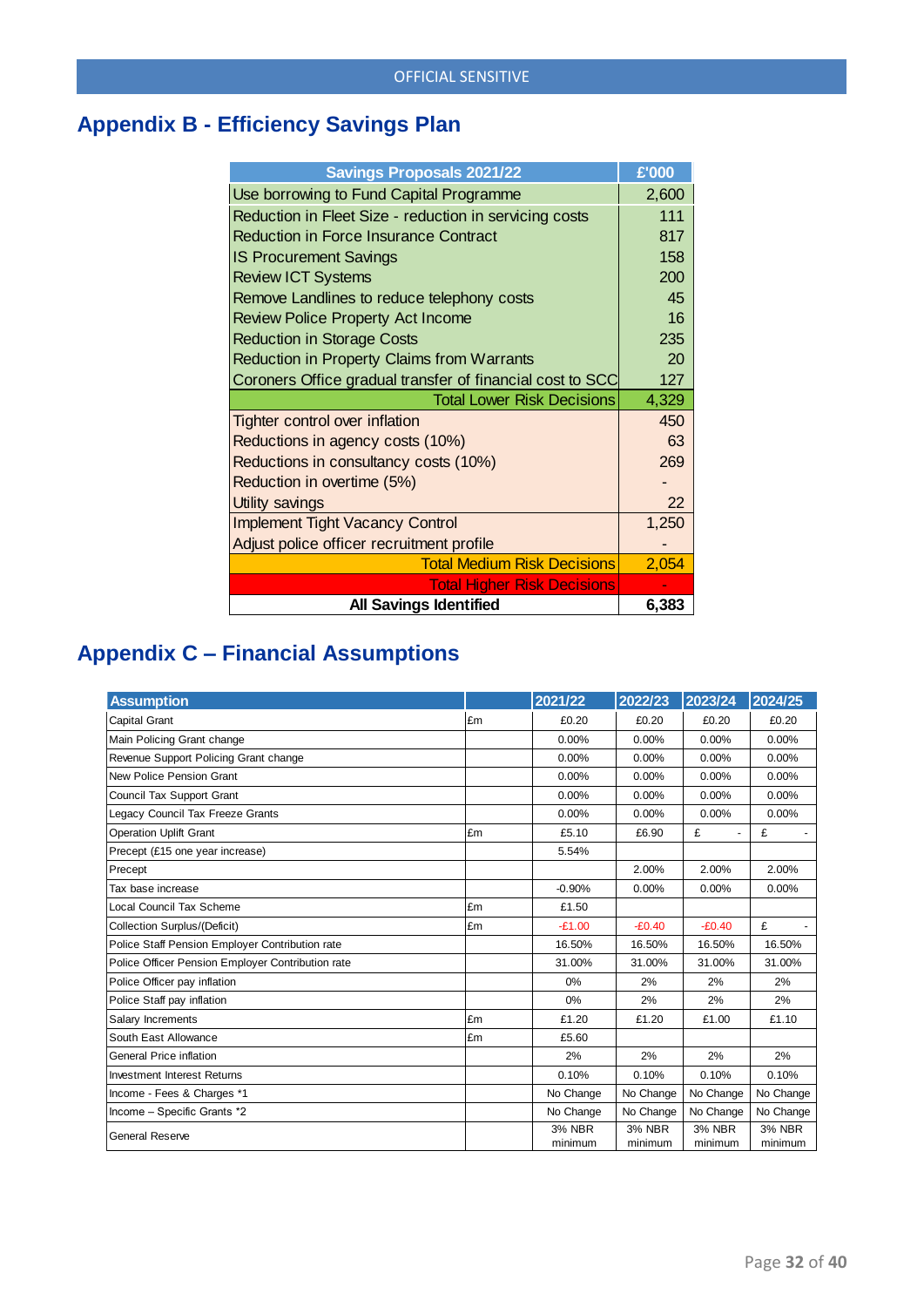# **Appendix B - Efficiency Savings Plan**

| <b>Savings Proposals 2021/22</b>                          | £'000 |
|-----------------------------------------------------------|-------|
| Use borrowing to Fund Capital Programme                   | 2,600 |
| Reduction in Fleet Size - reduction in servicing costs    | 111   |
| <b>Reduction in Force Insurance Contract</b>              | 817   |
| <b>IS Procurement Savings</b>                             | 158   |
| <b>Review ICT Systems</b>                                 | 200   |
| Remove Landlines to reduce telephony costs                | 45    |
| <b>Review Police Property Act Income</b>                  | 16    |
| <b>Reduction in Storage Costs</b>                         | 235   |
| <b>Reduction in Property Claims from Warrants</b>         | 20    |
| Coroners Office gradual transfer of financial cost to SCC | 127   |
| <b>Total Lower Risk Decisions</b>                         | 4,329 |
| Tighter control over inflation                            | 450   |
| Reductions in agency costs (10%)                          | 63    |
| Reductions in consultancy costs (10%)                     | 269   |
| Reduction in overtime (5%)                                |       |
| Utility savings                                           | 22    |
| <b>Implement Tight Vacancy Control</b>                    | 1,250 |
| Adjust police officer recruitment profile                 |       |
| <b>Total Medium Risk Decisions</b>                        | 2,054 |
| <b>Total Higher Risk Decisions</b>                        |       |
| <b>All Savings Identified</b>                             | 6,383 |

# **Appendix C – Financial Assumptions**

| <b>Assumption</b>                                 |    | 2021/22       | 2022/23   | 2023/24                       | 2024/25                       |
|---------------------------------------------------|----|---------------|-----------|-------------------------------|-------------------------------|
| Capital Grant                                     | £m | £0.20         | £0.20     | £0.20                         | £0.20                         |
| Main Policing Grant change                        |    | 0.00%         | 0.00%     | 0.00%                         | 0.00%                         |
| Revenue Support Policing Grant change             |    | 0.00%         | 0.00%     | 0.00%                         | 0.00%                         |
| New Police Pension Grant                          |    | 0.00%         | 0.00%     | 0.00%                         | 0.00%                         |
| Council Tax Support Grant                         |    | 0.00%         | 0.00%     | 0.00%                         | 0.00%                         |
| Legacy Council Tax Freeze Grants                  |    | 0.00%         | 0.00%     | 0.00%                         | 0.00%                         |
| <b>Operation Uplift Grant</b>                     | £m | £5.10         | £6.90     | £<br>$\overline{\phantom{a}}$ | £                             |
| Precept (£15 one year increase)                   |    | 5.54%         |           |                               |                               |
| Precept                                           |    |               | 2.00%     | 2.00%                         | 2.00%                         |
| Tax base increase                                 |    | $-0.90%$      | 0.00%     | 0.00%                         | 0.00%                         |
| Local Council Tax Scheme                          | £m | £1.50         |           |                               |                               |
| Collection Surplus/(Deficit)                      | £m | $-£1.00$      | $-£0.40$  | $-£0.40$                      | £<br>$\overline{\phantom{a}}$ |
| Police Staff Pension Employer Contribution rate   |    | 16.50%        | 16.50%    | 16.50%                        | 16.50%                        |
| Police Officer Pension Employer Contribution rate |    | 31.00%        | 31.00%    | 31.00%                        | 31.00%                        |
| Police Officer pay inflation                      |    | 0%            | 2%        | 2%                            | 2%                            |
| Police Staff pay inflation                        |    | 0%            | 2%        | 2%                            | 2%                            |
| Salary Increments                                 | £m | £1.20         | £1.20     | £1.00                         | £1.10                         |
| South East Allowance                              | £m | £5.60         |           |                               |                               |
| General Price inflation                           |    | 2%            | 2%        | 2%                            | 2%                            |
| <b>Investment Interest Returns</b>                |    | 0.10%         | 0.10%     | 0.10%                         | 0.10%                         |
| Income - Fees & Charges *1                        |    | No Change     | No Change | No Change                     | No Change                     |
| Income - Specific Grants *2                       |    | No Change     | No Change | No Change                     | No Change                     |
| <b>General Reserve</b>                            |    | <b>3% NBR</b> | 3% NBR    | <b>3% NBR</b>                 | <b>3% NBR</b>                 |
|                                                   |    | minimum       | minimum   | minimum                       | minimum                       |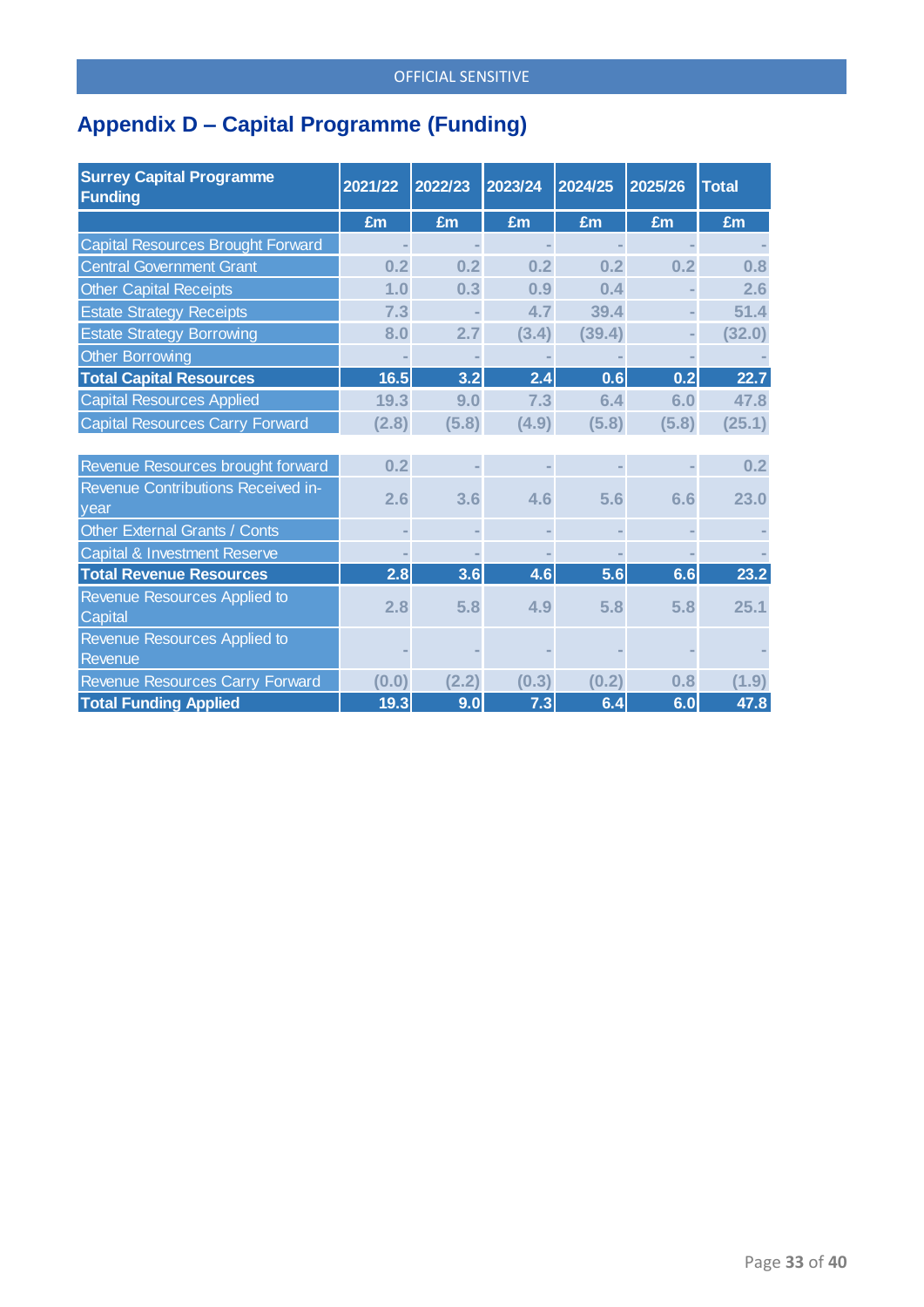# **Appendix D – Capital Programme (Funding)**

| <b>Surrey Capital Programme</b><br><b>Funding</b> | 2021/22 | 2022/23 | 2023/24 | 2024/25 | 2025/26 | <b>Total</b> |  |
|---------------------------------------------------|---------|---------|---------|---------|---------|--------------|--|
|                                                   | £m      | £m      | £m      | £m      | £m      | £m           |  |
| <b>Capital Resources Brought Forward</b>          |         |         |         |         |         |              |  |
| <b>Central Government Grant</b>                   | 0.2     | 0.2     | 0.2     | 0.2     | 0.2     | 0.8          |  |
| <b>Other Capital Receipts</b>                     | 1.0     | 0.3     | 0.9     | 0.4     |         | 2.6          |  |
| <b>Estate Strategy Receipts</b>                   | 7.3     |         | 4.7     | 39.4    |         | 51.4         |  |
| <b>Estate Strategy Borrowing</b>                  | 8.0     | 2.7     | (3.4)   | (39.4)  |         | (32.0)       |  |
| <b>Other Borrowing</b>                            |         |         |         |         |         |              |  |
| <b>Total Capital Resources</b>                    | 16.5    | 3.2     | 2.4     | 0.6     | 0.2     | 22.7         |  |
| <b>Capital Resources Applied</b>                  | 19.3    | 9.0     | 7.3     | 6.4     | 6.0     | 47.8         |  |
| <b>Capital Resources Carry Forward</b>            | (2.8)   | (5.8)   | (4.9)   | (5.8)   | (5.8)   | (25.1)       |  |
|                                                   |         |         |         |         |         |              |  |
| Revenue Resources brought forward                 | 0.2     |         |         |         |         | 0.2          |  |
| <b>Revenue Contributions Received in-</b>         | 2.6     | 3.6     | 4.6     | 5.6     | 6.6     | 23.0         |  |
| vear                                              |         |         |         |         |         |              |  |
| Other External Grants / Conts                     |         |         |         |         |         |              |  |
| <b>Capital &amp; Investment Reserve</b>           |         |         |         |         |         |              |  |
| <b>Total Revenue Resources</b>                    | 2.8     | 3.6     | 4.6     | 5.6     | 6.6     | 23.2         |  |
| <b>Revenue Resources Applied to</b><br>Capital    | 2.8     | 5.8     | 4.9     | 5.8     | 5.8     | 25.1         |  |
| Revenue Resources Applied to<br>Revenue           |         |         |         |         |         |              |  |
| <b>Revenue Resources Carry Forward</b>            | (0.0)   | (2.2)   | (0.3)   | (0.2)   | 0.8     | (1.9)        |  |
| <b>Total Funding Applied</b>                      | 19.3    | 9.0     | 7.3     | 6.4     | 6.0     | 47.8         |  |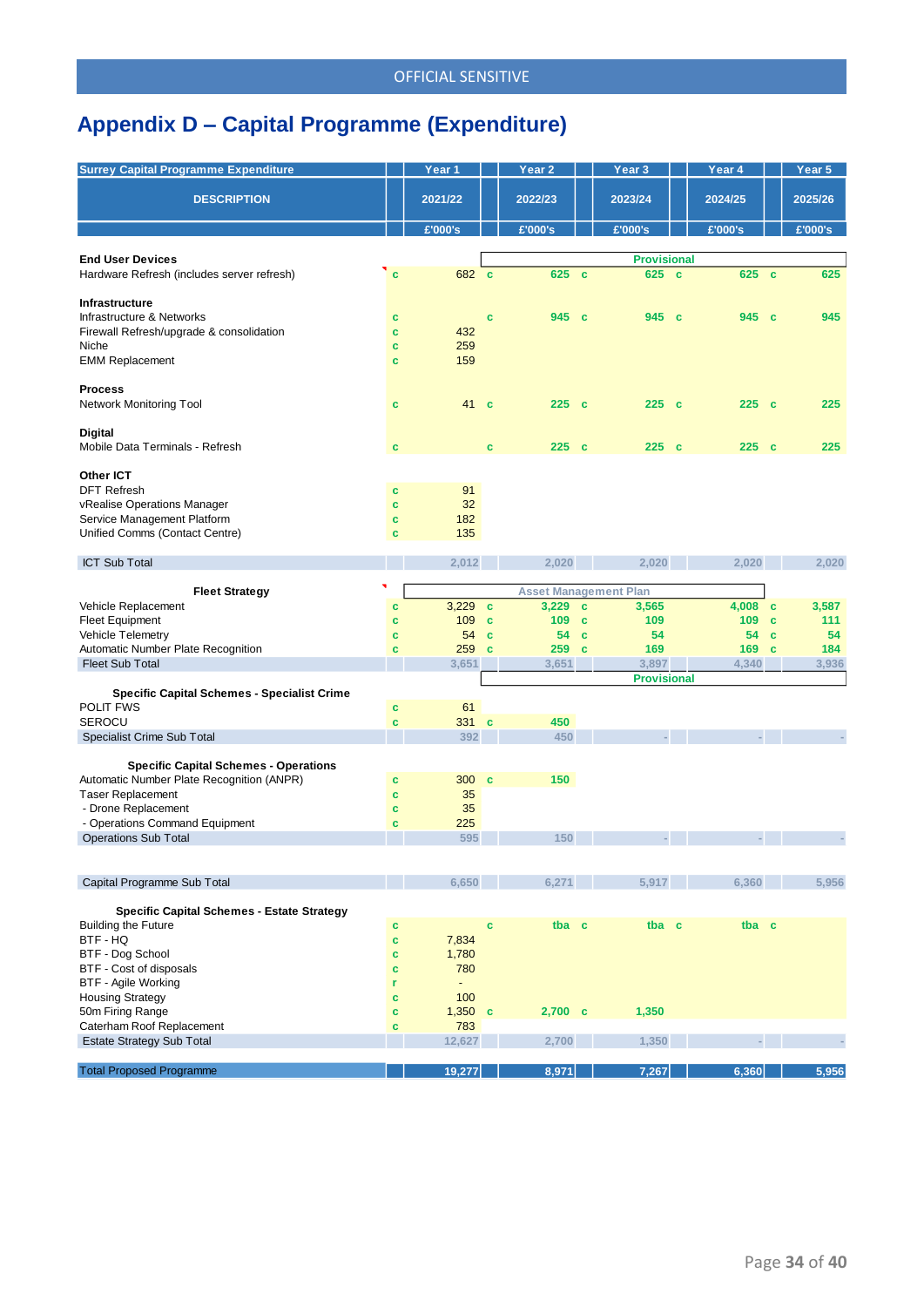# **Appendix D – Capital Programme (Expenditure)**

| <b>Surrey Capital Programme Expenditure</b>                           |              | Year 1         |              | Year <sub>2</sub> |              | Year 3                       |   | Year 4  |              | Year 5  |
|-----------------------------------------------------------------------|--------------|----------------|--------------|-------------------|--------------|------------------------------|---|---------|--------------|---------|
| <b>DESCRIPTION</b>                                                    |              | 2021/22        |              | 2022/23           |              | 2023/24                      |   | 2024/25 |              | 2025/26 |
|                                                                       |              | £'000's        |              | £'000's           |              | £'000's                      |   | £'000's |              | £'000's |
|                                                                       |              |                |              |                   |              |                              |   |         |              |         |
| <b>End User Devices</b><br>Hardware Refresh (includes server refresh) | $\mathbf{c}$ | 682 c          |              | 625 c             |              | <b>Provisional</b><br>625    | c | 625     | $\mathbf{c}$ | 625     |
|                                                                       |              |                |              |                   |              |                              |   |         |              |         |
| Infrastructure                                                        |              |                |              |                   |              |                              |   |         |              |         |
| Infrastructure & Networks                                             | c            |                | c            | 945 c             |              | 945 c                        |   | 945 c   |              | 945     |
| Firewall Refresh/upgrade & consolidation                              | c            | 432            |              |                   |              |                              |   |         |              |         |
| Niche                                                                 | c            | 259            |              |                   |              |                              |   |         |              |         |
| <b>EMM Replacement</b>                                                | <b>C</b>     | 159            |              |                   |              |                              |   |         |              |         |
|                                                                       |              |                |              |                   |              |                              |   |         |              |         |
| <b>Process</b><br>Network Monitoring Tool                             | c            | 41             | $\mathbf{c}$ | 225               | $\mathbf{c}$ | $225$ c                      |   | 225     | $\mathbf{c}$ | 225     |
|                                                                       |              |                |              |                   |              |                              |   |         |              |         |
| <b>Digital</b>                                                        |              |                |              |                   |              |                              |   |         |              |         |
| Mobile Data Terminals - Refresh                                       | c            |                | c            | $225$ c           |              | $225$ c                      |   | 225 c   |              | 225     |
|                                                                       |              |                |              |                   |              |                              |   |         |              |         |
| Other ICT                                                             |              |                |              |                   |              |                              |   |         |              |         |
| <b>DFT Refresh</b>                                                    | c            | 91             |              |                   |              |                              |   |         |              |         |
| vRealise Operations Manager                                           | c            | 32             |              |                   |              |                              |   |         |              |         |
| Service Management Platform<br>Unified Comms (Contact Centre)         | c            | 182<br>135     |              |                   |              |                              |   |         |              |         |
|                                                                       | c            |                |              |                   |              |                              |   |         |              |         |
| <b>ICT Sub Total</b>                                                  |              | 2,012          |              | 2,020             |              | 2,020                        |   | 2,020   |              | 2,020   |
|                                                                       |              |                |              |                   |              |                              |   |         |              |         |
| <b>Fleet Strategy</b>                                                 |              |                |              |                   |              | <b>Asset Management Plan</b> |   |         |              |         |
| Vehicle Replacement                                                   | c            | 3,229          | $\mathbf{c}$ | 3,229             | $\mathbf{c}$ | 3,565                        |   | 4,008   | $\mathbf{c}$ | 3,587   |
| <b>Fleet Equipment</b>                                                | c            | 109            | $\mathbf{c}$ | 109               | $\mathbf{c}$ | 109                          |   | 109     | $\mathbf c$  | 111     |
| Vehicle Telemetry                                                     | c            | 54             | $\mathbf{c}$ | 54                | $\mathbf{c}$ | 54                           |   | 54      | $\mathbf{c}$ | 54      |
| Automatic Number Plate Recognition<br><b>Fleet Sub Total</b>          | c            | 259            | $\mathbf c$  | 259               | $\mathbf c$  | 169                          |   | 169     | $\mathbf c$  | 184     |
|                                                                       |              | 3,651          |              | 3,651             |              | 3,897<br><b>Provisional</b>  |   | 4,340   |              | 3,936   |
| <b>Specific Capital Schemes - Specialist Crime</b>                    |              |                |              |                   |              |                              |   |         |              |         |
| POLIT FWS                                                             | c            | 61             |              |                   |              |                              |   |         |              |         |
| <b>SEROCU</b>                                                         | c            | 331 c          |              | 450               |              |                              |   |         |              |         |
| Specialist Crime Sub Total                                            |              | 392            |              | 450               |              |                              |   |         |              |         |
|                                                                       |              |                |              |                   |              |                              |   |         |              |         |
| <b>Specific Capital Schemes - Operations</b>                          |              |                |              |                   |              |                              |   |         |              |         |
| Automatic Number Plate Recognition (ANPR)                             | c            | 300            | $\mathbf c$  | 150               |              |                              |   |         |              |         |
| <b>Taser Replacement</b><br>- Drone Replacement                       | c<br>c       | 35<br>35       |              |                   |              |                              |   |         |              |         |
| - Operations Command Equipment                                        | c            | 225            |              |                   |              |                              |   |         |              |         |
| <b>Operations Sub Total</b>                                           |              | 595            |              | 150               |              |                              |   |         |              |         |
|                                                                       |              |                |              |                   |              |                              |   |         |              |         |
|                                                                       |              |                |              |                   |              |                              |   |         |              |         |
| Capital Programme Sub Total                                           |              | 6,650          |              | 6,271             |              | 5,917                        |   | 6,360   |              | 5,956   |
|                                                                       |              |                |              |                   |              |                              |   |         |              |         |
| Specific Capital Schemes - Estate Strategy                            |              |                |              |                   |              |                              |   |         |              |         |
| <b>Building the Future</b>                                            | c            |                | $\mathbf c$  | tba c             |              | tba c                        |   | tba c   |              |         |
| BTF-HQ<br>BTF - Dog School                                            | c<br>c       | 7,834<br>1,780 |              |                   |              |                              |   |         |              |         |
| BTF - Cost of disposals                                               | c            | 780            |              |                   |              |                              |   |         |              |         |
| BTF - Agile Working                                                   | r            | $\blacksquare$ |              |                   |              |                              |   |         |              |         |
| <b>Housing Strategy</b>                                               | c            | 100            |              |                   |              |                              |   |         |              |         |
| 50m Firing Range                                                      | c            | 1,350          | $\mathbf c$  | 2,700 c           |              | 1,350                        |   |         |              |         |
| Caterham Roof Replacement                                             | c            | 783            |              |                   |              |                              |   |         |              |         |
| <b>Estate Strategy Sub Total</b>                                      |              | 12,627         |              | 2,700             |              | 1,350                        |   |         |              |         |
|                                                                       |              |                |              |                   |              |                              |   |         |              |         |
| <b>Total Proposed Programme</b>                                       |              | 19,277         |              | 8,971             |              | 7,267                        |   | 6,360   |              | 5,956   |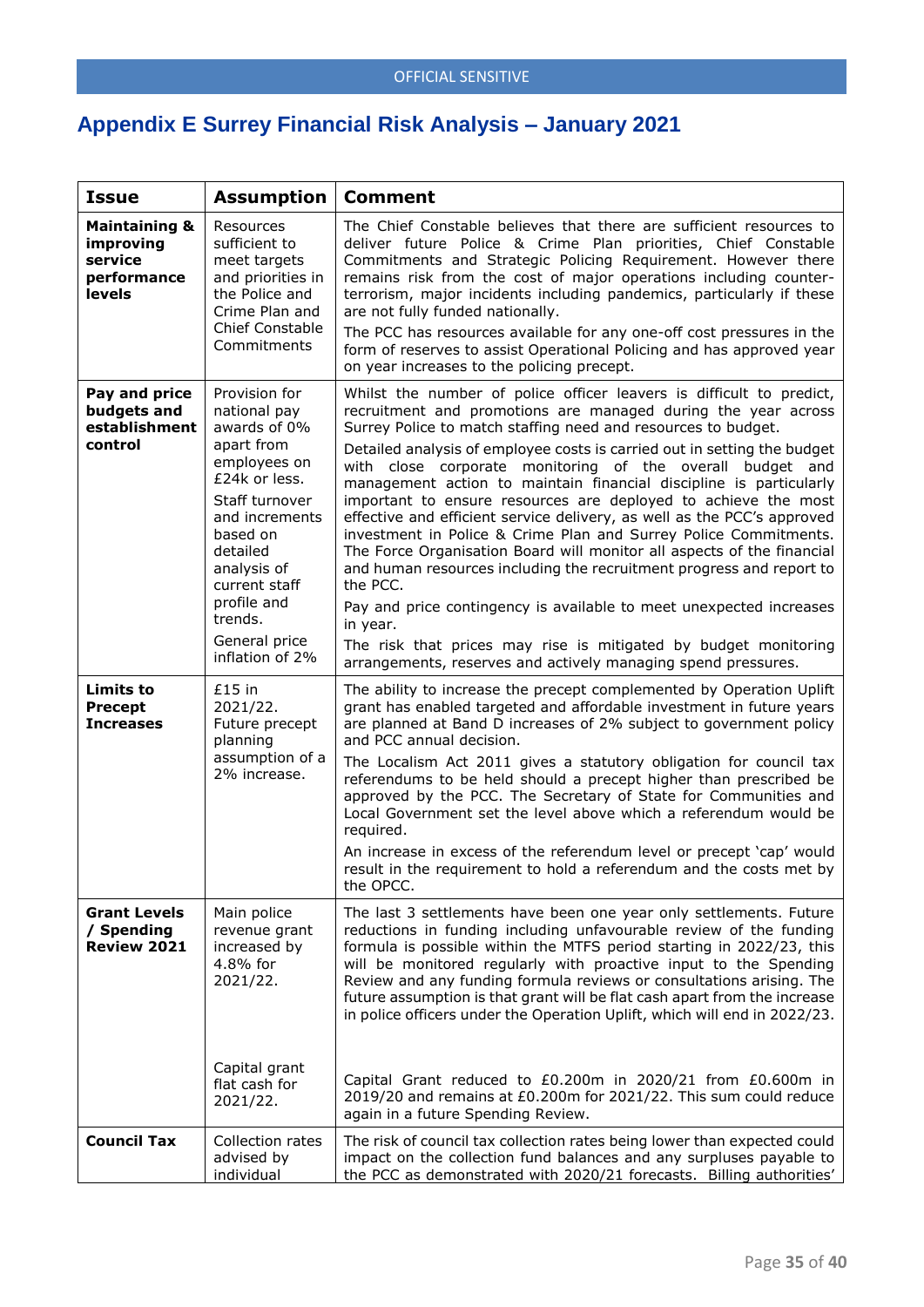# **Appendix E Surrey Financial Risk Analysis – January 2021**

| <b>Issue</b>                                                                            | <b>Assumption</b>                                                                                                                                                                                                                                                            | <b>Comment</b>                                                                                                                                                                                                                                                                                                                                                                                                                                                                                                                                                                                                                                                                                                                                                                                                                                                                                                                                                                                                                                                                                                                                                              |
|-----------------------------------------------------------------------------------------|------------------------------------------------------------------------------------------------------------------------------------------------------------------------------------------------------------------------------------------------------------------------------|-----------------------------------------------------------------------------------------------------------------------------------------------------------------------------------------------------------------------------------------------------------------------------------------------------------------------------------------------------------------------------------------------------------------------------------------------------------------------------------------------------------------------------------------------------------------------------------------------------------------------------------------------------------------------------------------------------------------------------------------------------------------------------------------------------------------------------------------------------------------------------------------------------------------------------------------------------------------------------------------------------------------------------------------------------------------------------------------------------------------------------------------------------------------------------|
| <b>Maintaining &amp;</b><br>improving<br>service<br>performance<br>levels               | Resources<br>sufficient to<br>meet targets<br>and priorities in<br>the Police and<br>Crime Plan and<br><b>Chief Constable</b><br>Commitments                                                                                                                                 | The Chief Constable believes that there are sufficient resources to<br>deliver future Police & Crime Plan priorities, Chief Constable<br>Commitments and Strategic Policing Requirement. However there<br>remains risk from the cost of major operations including counter-<br>terrorism, major incidents including pandemics, particularly if these<br>are not fully funded nationally.<br>The PCC has resources available for any one-off cost pressures in the<br>form of reserves to assist Operational Policing and has approved year<br>on year increases to the policing precept.                                                                                                                                                                                                                                                                                                                                                                                                                                                                                                                                                                                    |
| Pay and price<br>budgets and<br>establishment<br>control<br>Limits to<br><b>Precept</b> | Provision for<br>national pay<br>awards of 0%<br>apart from<br>employees on<br>£24k or less.<br>Staff turnover<br>and increments<br>based on<br>detailed<br>analysis of<br>current staff<br>profile and<br>trends.<br>General price<br>inflation of 2%<br>£15 in<br>2021/22. | Whilst the number of police officer leavers is difficult to predict,<br>recruitment and promotions are managed during the year across<br>Surrey Police to match staffing need and resources to budget.<br>Detailed analysis of employee costs is carried out in setting the budget<br>with close corporate monitoring of the overall budget and<br>management action to maintain financial discipline is particularly<br>important to ensure resources are deployed to achieve the most<br>effective and efficient service delivery, as well as the PCC's approved<br>investment in Police & Crime Plan and Surrey Police Commitments.<br>The Force Organisation Board will monitor all aspects of the financial<br>and human resources including the recruitment progress and report to<br>the PCC.<br>Pay and price contingency is available to meet unexpected increases<br>in year.<br>The risk that prices may rise is mitigated by budget monitoring<br>arrangements, reserves and actively managing spend pressures.<br>The ability to increase the precept complemented by Operation Uplift<br>grant has enabled targeted and affordable investment in future years |
| <b>Increases</b>                                                                        | Future precept<br>planning<br>assumption of a<br>2% increase.                                                                                                                                                                                                                | are planned at Band D increases of 2% subject to government policy<br>and PCC annual decision.<br>The Localism Act 2011 gives a statutory obligation for council tax<br>referendums to be held should a precept higher than prescribed be<br>approved by the PCC. The Secretary of State for Communities and<br>Local Government set the level above which a referendum would be<br>required.<br>An increase in excess of the referendum level or precept 'cap' would<br>result in the requirement to hold a referendum and the costs met by<br>the OPCC.                                                                                                                                                                                                                                                                                                                                                                                                                                                                                                                                                                                                                   |
| <b>Grant Levels</b><br>/ Spending<br><b>Review 2021</b>                                 | Main police<br>revenue grant<br>increased by<br>4.8% for<br>2021/22.<br>Capital grant<br>flat cash for<br>2021/22.                                                                                                                                                           | The last 3 settlements have been one year only settlements. Future<br>reductions in funding including unfavourable review of the funding<br>formula is possible within the MTFS period starting in 2022/23, this<br>will be monitored regularly with proactive input to the Spending<br>Review and any funding formula reviews or consultations arising. The<br>future assumption is that grant will be flat cash apart from the increase<br>in police officers under the Operation Uplift, which will end in 2022/23.<br>Capital Grant reduced to £0.200m in 2020/21 from £0.600m in<br>2019/20 and remains at £0.200m for 2021/22. This sum could reduce<br>again in a future Spending Review.                                                                                                                                                                                                                                                                                                                                                                                                                                                                            |
| <b>Council Tax</b>                                                                      | Collection rates<br>advised by<br>individual                                                                                                                                                                                                                                 | The risk of council tax collection rates being lower than expected could<br>impact on the collection fund balances and any surpluses payable to<br>the PCC as demonstrated with 2020/21 forecasts. Billing authorities'                                                                                                                                                                                                                                                                                                                                                                                                                                                                                                                                                                                                                                                                                                                                                                                                                                                                                                                                                     |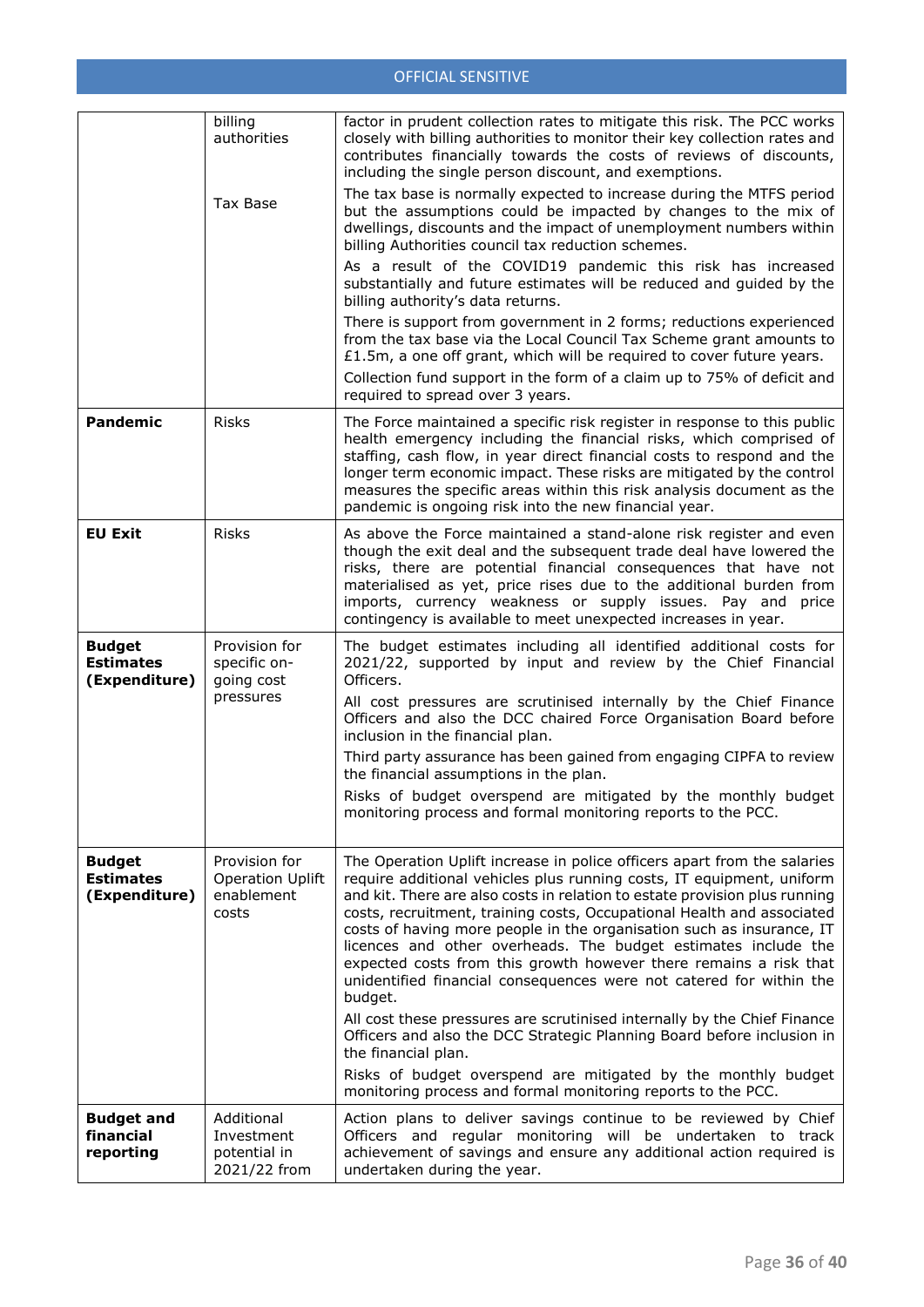|                                                    | billing<br>authorities                                          | factor in prudent collection rates to mitigate this risk. The PCC works<br>closely with billing authorities to monitor their key collection rates and<br>contributes financially towards the costs of reviews of discounts,<br>including the single person discount, and exemptions.                                                                                                                                                                                                                                                                                                                        |
|----------------------------------------------------|-----------------------------------------------------------------|-------------------------------------------------------------------------------------------------------------------------------------------------------------------------------------------------------------------------------------------------------------------------------------------------------------------------------------------------------------------------------------------------------------------------------------------------------------------------------------------------------------------------------------------------------------------------------------------------------------|
|                                                    | Tax Base                                                        | The tax base is normally expected to increase during the MTFS period<br>but the assumptions could be impacted by changes to the mix of<br>dwellings, discounts and the impact of unemployment numbers within<br>billing Authorities council tax reduction schemes.                                                                                                                                                                                                                                                                                                                                          |
|                                                    |                                                                 | As a result of the COVID19 pandemic this risk has increased<br>substantially and future estimates will be reduced and guided by the<br>billing authority's data returns.                                                                                                                                                                                                                                                                                                                                                                                                                                    |
|                                                    |                                                                 | There is support from government in 2 forms; reductions experienced<br>from the tax base via the Local Council Tax Scheme grant amounts to<br>£1.5m, a one off grant, which will be required to cover future years.                                                                                                                                                                                                                                                                                                                                                                                         |
|                                                    |                                                                 | Collection fund support in the form of a claim up to 75% of deficit and<br>required to spread over 3 years.                                                                                                                                                                                                                                                                                                                                                                                                                                                                                                 |
| <b>Pandemic</b>                                    | <b>Risks</b>                                                    | The Force maintained a specific risk register in response to this public<br>health emergency including the financial risks, which comprised of<br>staffing, cash flow, in year direct financial costs to respond and the<br>longer term economic impact. These risks are mitigated by the control<br>measures the specific areas within this risk analysis document as the<br>pandemic is ongoing risk into the new financial year.                                                                                                                                                                         |
| <b>EU Exit</b>                                     | <b>Risks</b>                                                    | As above the Force maintained a stand-alone risk register and even<br>though the exit deal and the subsequent trade deal have lowered the<br>risks, there are potential financial consequences that have not<br>materialised as yet, price rises due to the additional burden from<br>imports, currency weakness or supply issues. Pay and price<br>contingency is available to meet unexpected increases in year.                                                                                                                                                                                          |
| <b>Budget</b><br><b>Estimates</b><br>(Expenditure) | Provision for<br>specific on-<br>going cost                     | The budget estimates including all identified additional costs for<br>2021/22, supported by input and review by the Chief Financial<br>Officers.                                                                                                                                                                                                                                                                                                                                                                                                                                                            |
|                                                    | pressures                                                       | All cost pressures are scrutinised internally by the Chief Finance<br>Officers and also the DCC chaired Force Organisation Board before<br>inclusion in the financial plan.                                                                                                                                                                                                                                                                                                                                                                                                                                 |
|                                                    |                                                                 | Third party assurance has been gained from engaging CIPFA to review<br>the financial assumptions in the plan.                                                                                                                                                                                                                                                                                                                                                                                                                                                                                               |
|                                                    |                                                                 | Risks of budget overspend are mitigated by the monthly budget<br>monitoring process and formal monitoring reports to the PCC.                                                                                                                                                                                                                                                                                                                                                                                                                                                                               |
| <b>Budget</b><br><b>Estimates</b><br>(Expenditure) | Provision for<br><b>Operation Uplift</b><br>enablement<br>costs | The Operation Uplift increase in police officers apart from the salaries<br>require additional vehicles plus running costs, IT equipment, uniform<br>and kit. There are also costs in relation to estate provision plus running<br>costs, recruitment, training costs, Occupational Health and associated<br>costs of having more people in the organisation such as insurance, IT<br>licences and other overheads. The budget estimates include the<br>expected costs from this growth however there remains a risk that<br>unidentified financial consequences were not catered for within the<br>budget. |
|                                                    |                                                                 | All cost these pressures are scrutinised internally by the Chief Finance<br>Officers and also the DCC Strategic Planning Board before inclusion in<br>the financial plan.                                                                                                                                                                                                                                                                                                                                                                                                                                   |
|                                                    |                                                                 | Risks of budget overspend are mitigated by the monthly budget<br>monitoring process and formal monitoring reports to the PCC.                                                                                                                                                                                                                                                                                                                                                                                                                                                                               |
| <b>Budget and</b><br>financial<br>reporting        | Additional<br>Investment<br>potential in<br>2021/22 from        | Action plans to deliver savings continue to be reviewed by Chief<br>Officers and regular monitoring will be undertaken to track<br>achievement of savings and ensure any additional action required is<br>undertaken during the year.                                                                                                                                                                                                                                                                                                                                                                       |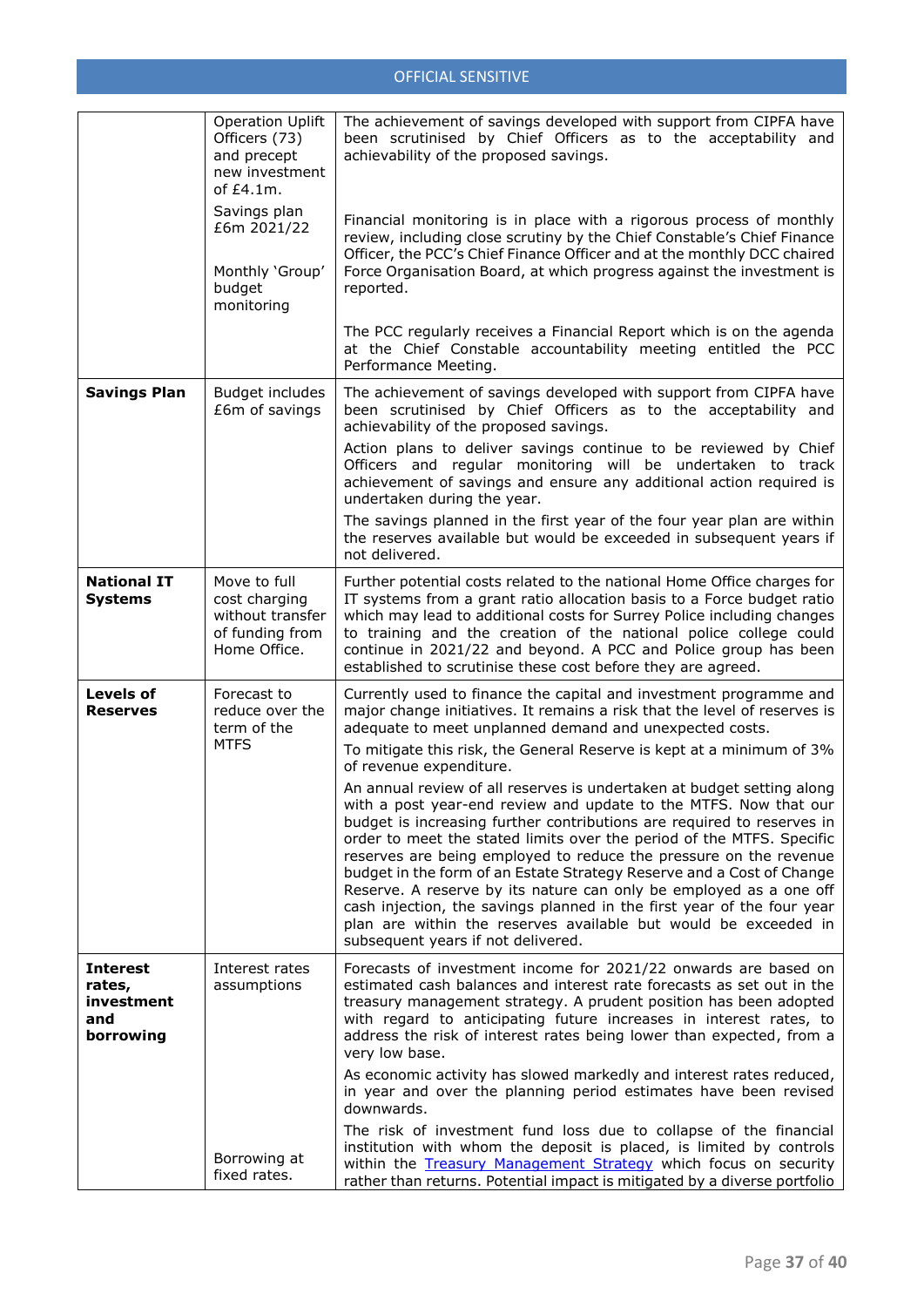|                                                             | <b>Operation Uplift</b><br>Officers (73)<br>and precept<br>new investment<br>of $E4.1m$ .<br>Savings plan<br>£6m 2021/22<br>Monthly 'Group'<br>budget | The achievement of savings developed with support from CIPFA have<br>been scrutinised by Chief Officers as to the acceptability and<br>achievability of the proposed savings.<br>Financial monitoring is in place with a rigorous process of monthly<br>review, including close scrutiny by the Chief Constable's Chief Finance<br>Officer, the PCC's Chief Finance Officer and at the monthly DCC chaired<br>Force Organisation Board, at which progress against the investment is<br>reported.                                                                                                                                                                                                     |
|-------------------------------------------------------------|-------------------------------------------------------------------------------------------------------------------------------------------------------|------------------------------------------------------------------------------------------------------------------------------------------------------------------------------------------------------------------------------------------------------------------------------------------------------------------------------------------------------------------------------------------------------------------------------------------------------------------------------------------------------------------------------------------------------------------------------------------------------------------------------------------------------------------------------------------------------|
|                                                             | monitoring                                                                                                                                            | The PCC regularly receives a Financial Report which is on the agenda<br>at the Chief Constable accountability meeting entitled the PCC<br>Performance Meeting.                                                                                                                                                                                                                                                                                                                                                                                                                                                                                                                                       |
| <b>Savings Plan</b>                                         | <b>Budget includes</b><br>£6m of savings                                                                                                              | The achievement of savings developed with support from CIPFA have<br>been scrutinised by Chief Officers as to the acceptability and<br>achievability of the proposed savings.                                                                                                                                                                                                                                                                                                                                                                                                                                                                                                                        |
|                                                             |                                                                                                                                                       | Action plans to deliver savings continue to be reviewed by Chief<br>Officers and regular monitoring will be undertaken to track<br>achievement of savings and ensure any additional action required is<br>undertaken during the year.                                                                                                                                                                                                                                                                                                                                                                                                                                                                |
|                                                             |                                                                                                                                                       | The savings planned in the first year of the four year plan are within<br>the reserves available but would be exceeded in subsequent years if<br>not delivered.                                                                                                                                                                                                                                                                                                                                                                                                                                                                                                                                      |
| <b>National IT</b><br><b>Systems</b>                        | Move to full<br>cost charging<br>without transfer<br>of funding from<br>Home Office.                                                                  | Further potential costs related to the national Home Office charges for<br>IT systems from a grant ratio allocation basis to a Force budget ratio<br>which may lead to additional costs for Surrey Police including changes<br>to training and the creation of the national police college could<br>continue in 2021/22 and beyond. A PCC and Police group has been<br>established to scrutinise these cost before they are agreed.                                                                                                                                                                                                                                                                  |
| <b>Levels of</b><br><b>Reserves</b>                         | Forecast to<br>reduce over the<br>term of the<br><b>MTFS</b>                                                                                          | Currently used to finance the capital and investment programme and<br>major change initiatives. It remains a risk that the level of reserves is<br>adequate to meet unplanned demand and unexpected costs.<br>To mitigate this risk, the General Reserve is kept at a minimum of 3%<br>of revenue expenditure.                                                                                                                                                                                                                                                                                                                                                                                       |
|                                                             |                                                                                                                                                       | An annual review of all reserves is undertaken at budget setting along<br>with a post year-end review and update to the MTFS. Now that our<br>budget is increasing further contributions are required to reserves in<br>order to meet the stated limits over the period of the MTFS. Specific<br>reserves are being employed to reduce the pressure on the revenue<br>budget in the form of an Estate Strategy Reserve and a Cost of Change<br>Reserve. A reserve by its nature can only be employed as a one off<br>cash injection, the savings planned in the first year of the four year<br>plan are within the reserves available but would be exceeded in<br>subsequent years if not delivered. |
| <b>Interest</b><br>rates,<br>investment<br>and<br>borrowing | Interest rates<br>assumptions                                                                                                                         | Forecasts of investment income for 2021/22 onwards are based on<br>estimated cash balances and interest rate forecasts as set out in the<br>treasury management strategy. A prudent position has been adopted<br>with regard to anticipating future increases in interest rates, to<br>address the risk of interest rates being lower than expected, from a<br>very low base.                                                                                                                                                                                                                                                                                                                        |
|                                                             |                                                                                                                                                       | As economic activity has slowed markedly and interest rates reduced,<br>in year and over the planning period estimates have been revised<br>downwards.                                                                                                                                                                                                                                                                                                                                                                                                                                                                                                                                               |
|                                                             | Borrowing at<br>fixed rates.                                                                                                                          | The risk of investment fund loss due to collapse of the financial<br>institution with whom the deposit is placed, is limited by controls<br>within the <b>Treasury Management Strategy</b> which focus on security<br>rather than returns. Potential impact is mitigated by a diverse portfolio                                                                                                                                                                                                                                                                                                                                                                                                      |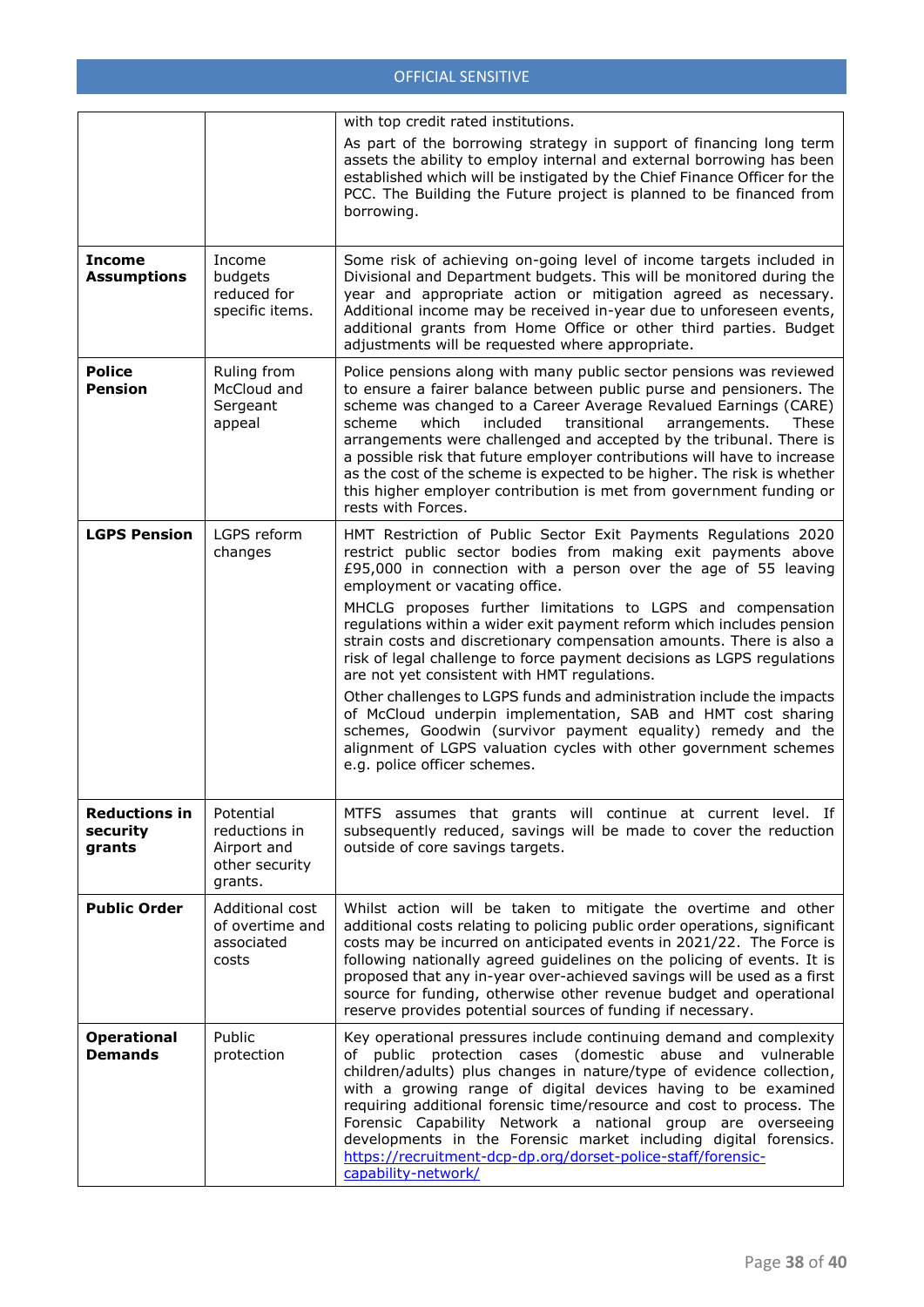|                                            |                                                                        | with top credit rated institutions.                                                                                                                                                                                                                                                                                                                                                                                                                                                                                                                                                                               |
|--------------------------------------------|------------------------------------------------------------------------|-------------------------------------------------------------------------------------------------------------------------------------------------------------------------------------------------------------------------------------------------------------------------------------------------------------------------------------------------------------------------------------------------------------------------------------------------------------------------------------------------------------------------------------------------------------------------------------------------------------------|
|                                            |                                                                        | As part of the borrowing strategy in support of financing long term<br>assets the ability to employ internal and external borrowing has been<br>established which will be instigated by the Chief Finance Officer for the<br>PCC. The Building the Future project is planned to be financed from<br>borrowing.                                                                                                                                                                                                                                                                                                    |
| <b>Income</b><br><b>Assumptions</b>        | Income<br>budgets<br>reduced for<br>specific items.                    | Some risk of achieving on-going level of income targets included in<br>Divisional and Department budgets. This will be monitored during the<br>year and appropriate action or mitigation agreed as necessary.<br>Additional income may be received in-year due to unforeseen events,<br>additional grants from Home Office or other third parties. Budget<br>adjustments will be requested where appropriate.                                                                                                                                                                                                     |
| <b>Police</b><br><b>Pension</b>            | Ruling from<br>McCloud and<br>Sergeant<br>appeal                       | Police pensions along with many public sector pensions was reviewed<br>to ensure a fairer balance between public purse and pensioners. The<br>scheme was changed to a Career Average Revalued Earnings (CARE)<br>scheme<br>which<br>included<br>transitional<br>arrangements.<br>These<br>arrangements were challenged and accepted by the tribunal. There is<br>a possible risk that future employer contributions will have to increase<br>as the cost of the scheme is expected to be higher. The risk is whether<br>this higher employer contribution is met from government funding or<br>rests with Forces. |
| <b>LGPS Pension</b>                        | LGPS reform<br>changes                                                 | HMT Restriction of Public Sector Exit Payments Regulations 2020<br>restrict public sector bodies from making exit payments above<br>£95,000 in connection with a person over the age of 55 leaving<br>employment or vacating office.<br>MHCLG proposes further limitations to LGPS and compensation<br>regulations within a wider exit payment reform which includes pension<br>strain costs and discretionary compensation amounts. There is also a<br>risk of legal challenge to force payment decisions as LGPS regulations                                                                                    |
|                                            |                                                                        | are not yet consistent with HMT regulations.<br>Other challenges to LGPS funds and administration include the impacts<br>of McCloud underpin implementation, SAB and HMT cost sharing<br>schemes, Goodwin (survivor payment equality) remedy and the<br>alignment of LGPS valuation cycles with other government schemes<br>e.g. police officer schemes.                                                                                                                                                                                                                                                          |
| <b>Reductions in</b><br>security<br>grants | Potential<br>reductions in<br>Airport and<br>other security<br>grants. | MTFS assumes that grants will continue at current level. If<br>subsequently reduced, savings will be made to cover the reduction<br>outside of core savings targets.                                                                                                                                                                                                                                                                                                                                                                                                                                              |
| <b>Public Order</b>                        | Additional cost<br>of overtime and<br>associated<br>costs              | Whilst action will be taken to mitigate the overtime and other<br>additional costs relating to policing public order operations, significant<br>costs may be incurred on anticipated events in 2021/22. The Force is<br>following nationally agreed guidelines on the policing of events. It is<br>proposed that any in-year over-achieved savings will be used as a first<br>source for funding, otherwise other revenue budget and operational<br>reserve provides potential sources of funding if necessary.                                                                                                   |
| <b>Operational</b><br><b>Demands</b>       | Public<br>protection                                                   | Key operational pressures include continuing demand and complexity<br>of public protection cases (domestic abuse and vulnerable<br>children/adults) plus changes in nature/type of evidence collection,<br>with a growing range of digital devices having to be examined<br>requiring additional forensic time/resource and cost to process. The<br>Forensic Capability Network a national group are overseeing<br>developments in the Forensic market including digital forensics.<br>https://recruitment-dcp-dp.org/dorset-police-staff/forensic-<br>capability-network/                                        |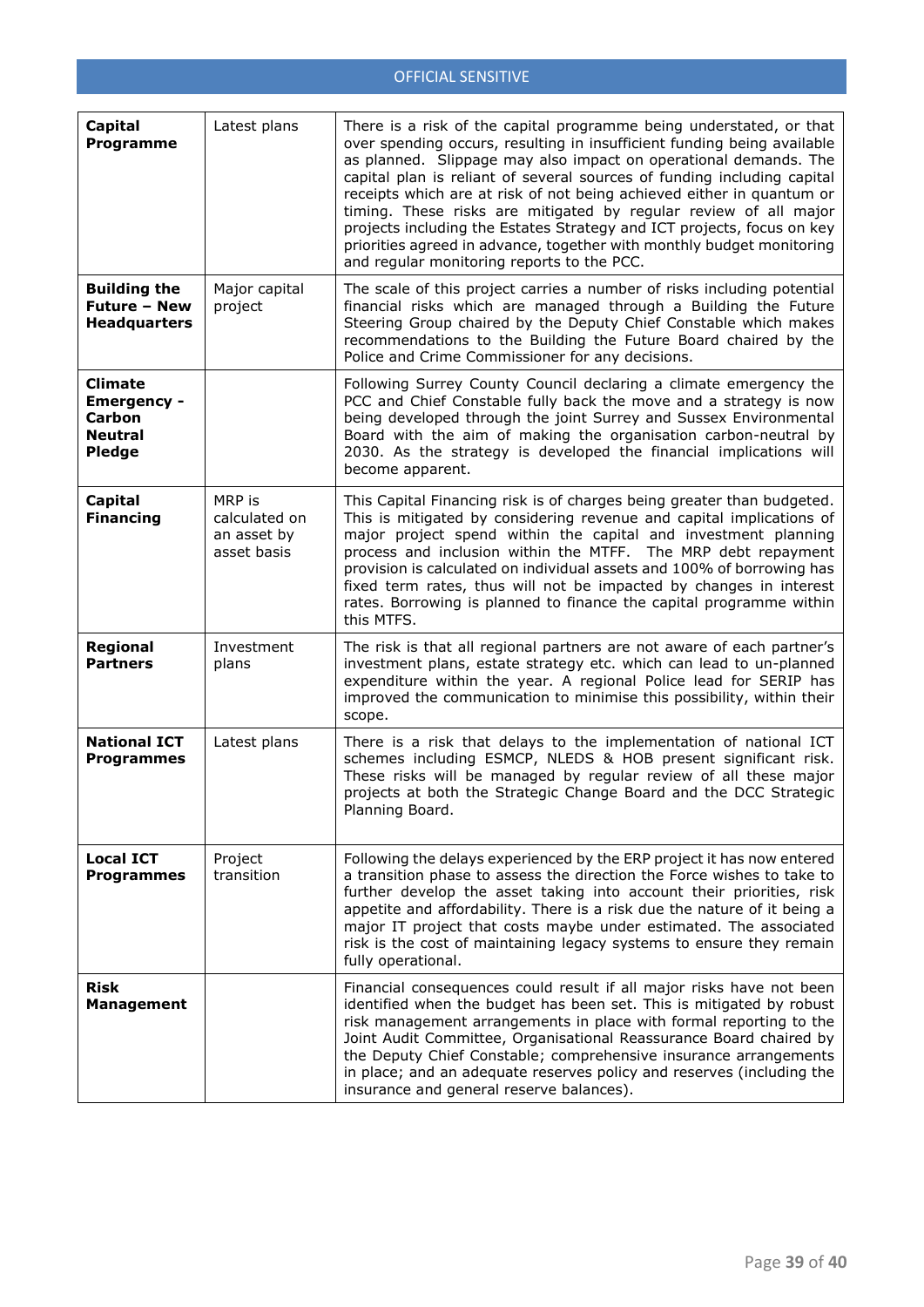| Capital<br>Programme                                                              | Latest plans                                          | There is a risk of the capital programme being understated, or that<br>over spending occurs, resulting in insufficient funding being available<br>as planned. Slippage may also impact on operational demands. The<br>capital plan is reliant of several sources of funding including capital<br>receipts which are at risk of not being achieved either in quantum or<br>timing. These risks are mitigated by regular review of all major<br>projects including the Estates Strategy and ICT projects, focus on key<br>priorities agreed in advance, together with monthly budget monitoring<br>and regular monitoring reports to the PCC. |
|-----------------------------------------------------------------------------------|-------------------------------------------------------|---------------------------------------------------------------------------------------------------------------------------------------------------------------------------------------------------------------------------------------------------------------------------------------------------------------------------------------------------------------------------------------------------------------------------------------------------------------------------------------------------------------------------------------------------------------------------------------------------------------------------------------------|
| <b>Building the</b><br><b>Future - New</b><br><b>Headquarters</b>                 | Major capital<br>project                              | The scale of this project carries a number of risks including potential<br>financial risks which are managed through a Building the Future<br>Steering Group chaired by the Deputy Chief Constable which makes<br>recommendations to the Building the Future Board chaired by the<br>Police and Crime Commissioner for any decisions.                                                                                                                                                                                                                                                                                                       |
| <b>Climate</b><br><b>Emergency -</b><br>Carbon<br><b>Neutral</b><br><b>Pledge</b> |                                                       | Following Surrey County Council declaring a climate emergency the<br>PCC and Chief Constable fully back the move and a strategy is now<br>being developed through the joint Surrey and Sussex Environmental<br>Board with the aim of making the organisation carbon-neutral by<br>2030. As the strategy is developed the financial implications will<br>become apparent.                                                                                                                                                                                                                                                                    |
| Capital<br><b>Financing</b>                                                       | MRP is<br>calculated on<br>an asset by<br>asset basis | This Capital Financing risk is of charges being greater than budgeted.<br>This is mitigated by considering revenue and capital implications of<br>major project spend within the capital and investment planning<br>process and inclusion within the MTFF. The MRP debt repayment<br>provision is calculated on individual assets and 100% of borrowing has<br>fixed term rates, thus will not be impacted by changes in interest<br>rates. Borrowing is planned to finance the capital programme within<br>this MTFS.                                                                                                                      |
| Regional<br><b>Partners</b>                                                       | Investment<br>plans                                   | The risk is that all regional partners are not aware of each partner's<br>investment plans, estate strategy etc. which can lead to un-planned<br>expenditure within the year. A regional Police lead for SERIP has<br>improved the communication to minimise this possibility, within their<br>scope.                                                                                                                                                                                                                                                                                                                                       |
| <b>National ICT</b><br><b>Programmes</b>                                          | Latest plans                                          | There is a risk that delays to the implementation of national ICT<br>schemes including ESMCP, NLEDS & HOB present significant risk.<br>These risks will be managed by regular review of all these major<br>projects at both the Strategic Change Board and the DCC Strategic<br>Planning Board.                                                                                                                                                                                                                                                                                                                                             |
| <b>Local ICT</b><br><b>Programmes</b>                                             | Project<br>transition                                 | Following the delays experienced by the ERP project it has now entered<br>a transition phase to assess the direction the Force wishes to take to<br>further develop the asset taking into account their priorities, risk<br>appetite and affordability. There is a risk due the nature of it being a<br>major IT project that costs maybe under estimated. The associated<br>risk is the cost of maintaining legacy systems to ensure they remain<br>fully operational.                                                                                                                                                                     |
| <b>Risk</b><br><b>Management</b>                                                  |                                                       | Financial consequences could result if all major risks have not been<br>identified when the budget has been set. This is mitigated by robust<br>risk management arrangements in place with formal reporting to the<br>Joint Audit Committee, Organisational Reassurance Board chaired by<br>the Deputy Chief Constable; comprehensive insurance arrangements<br>in place; and an adequate reserves policy and reserves (including the<br>insurance and general reserve balances).                                                                                                                                                           |